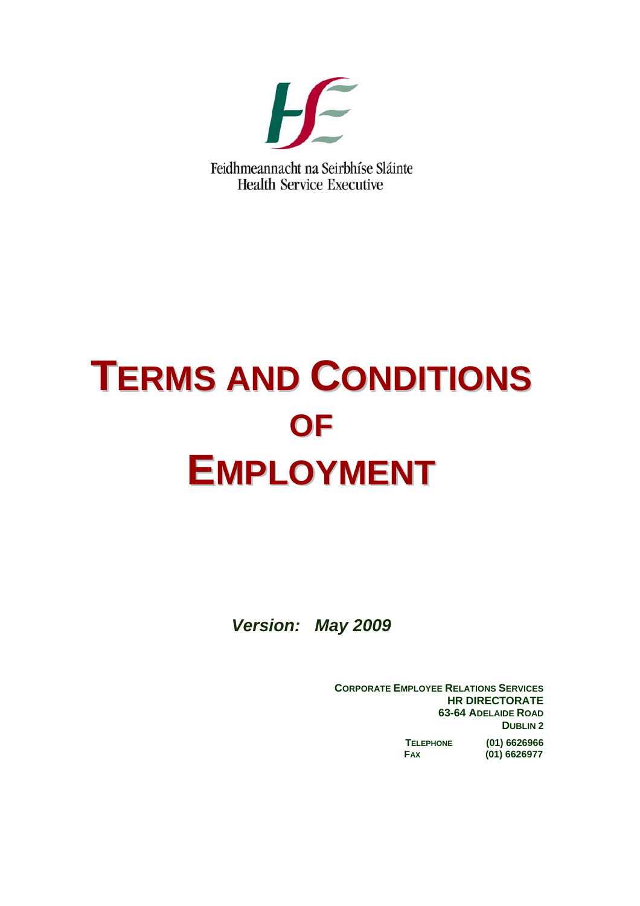

# **TERMS AND CONDITIONS OF EMPLOYMENT**

*Version: May 2009* 

**CORPORATE EMPLOYEE RELATIONS SERVICES HR DIRECTORATE 63-64 ADELAIDE ROAD DUBLIN 2 TELEPHONE (01) 6626966 FAX (01) 6626977**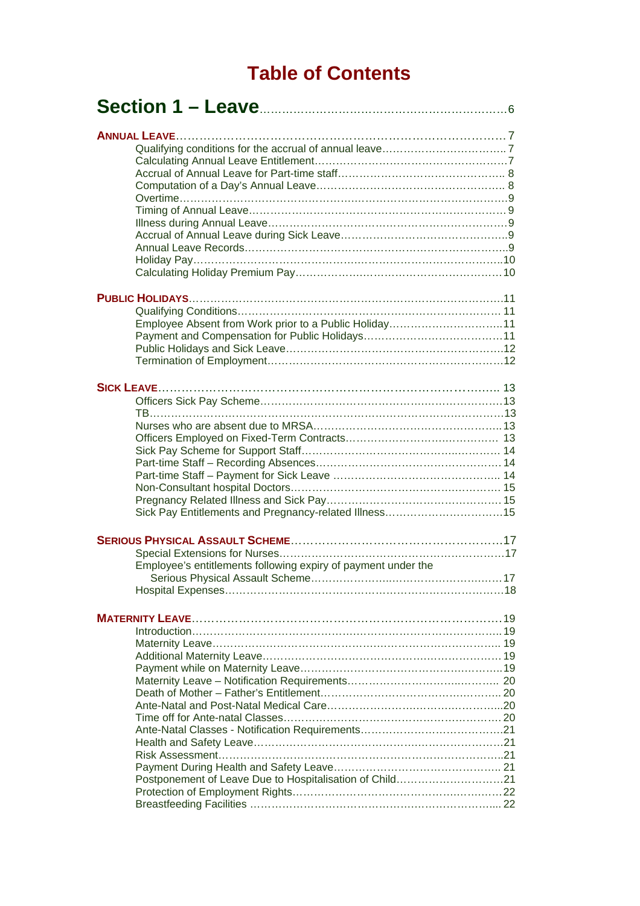## **Table of Contents**

| Employee Absent from Work prior to a Public Holiday11         |  |
|---------------------------------------------------------------|--|
|                                                               |  |
|                                                               |  |
|                                                               |  |
|                                                               |  |
|                                                               |  |
|                                                               |  |
|                                                               |  |
|                                                               |  |
|                                                               |  |
|                                                               |  |
|                                                               |  |
|                                                               |  |
|                                                               |  |
|                                                               |  |
|                                                               |  |
|                                                               |  |
|                                                               |  |
|                                                               |  |
| Employee's entitlements following expiry of payment under the |  |
|                                                               |  |
|                                                               |  |
|                                                               |  |
|                                                               |  |
|                                                               |  |
|                                                               |  |
|                                                               |  |
|                                                               |  |
|                                                               |  |
|                                                               |  |
|                                                               |  |
|                                                               |  |
|                                                               |  |
|                                                               |  |
|                                                               |  |
|                                                               |  |
|                                                               |  |
| Postponement of Leave Due to Hospitalisation of Child21       |  |
|                                                               |  |
|                                                               |  |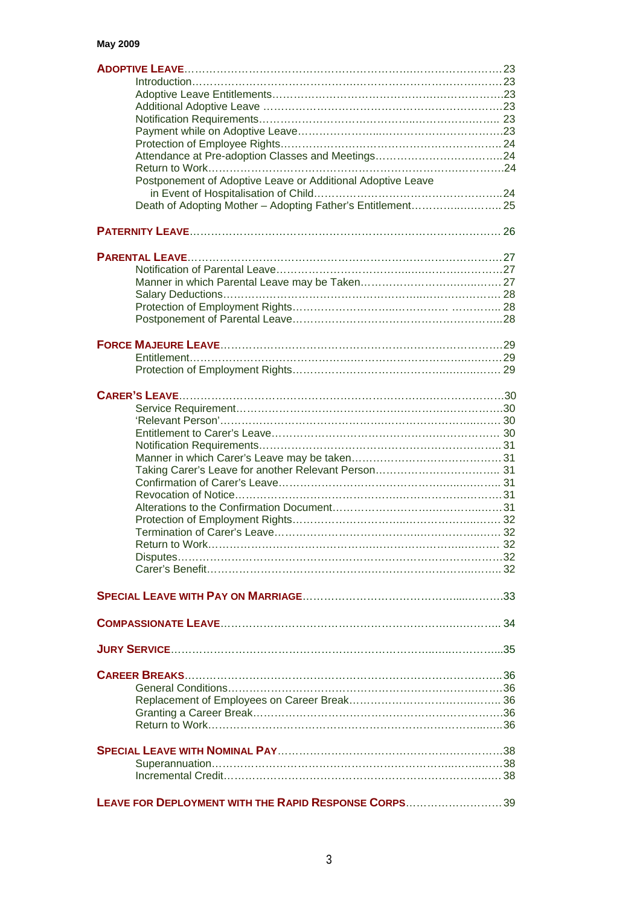| Postponement of Adoptive Leave or Additional Adoptive Leave |  |
|-------------------------------------------------------------|--|
|                                                             |  |
|                                                             |  |
|                                                             |  |
|                                                             |  |
|                                                             |  |
|                                                             |  |
|                                                             |  |
|                                                             |  |
|                                                             |  |
|                                                             |  |
|                                                             |  |
|                                                             |  |
|                                                             |  |
|                                                             |  |
|                                                             |  |
|                                                             |  |
|                                                             |  |
|                                                             |  |
|                                                             |  |
|                                                             |  |
|                                                             |  |
|                                                             |  |
|                                                             |  |
|                                                             |  |
|                                                             |  |
|                                                             |  |
| Return to Work                                              |  |
|                                                             |  |
|                                                             |  |
|                                                             |  |
|                                                             |  |
|                                                             |  |
|                                                             |  |
|                                                             |  |
|                                                             |  |
|                                                             |  |
|                                                             |  |
|                                                             |  |
|                                                             |  |
|                                                             |  |
|                                                             |  |
|                                                             |  |
|                                                             |  |
|                                                             |  |
|                                                             |  |
| LEAVE FOR DEPLOYMENT WITH THE RAPID RESPONSE CORPS39        |  |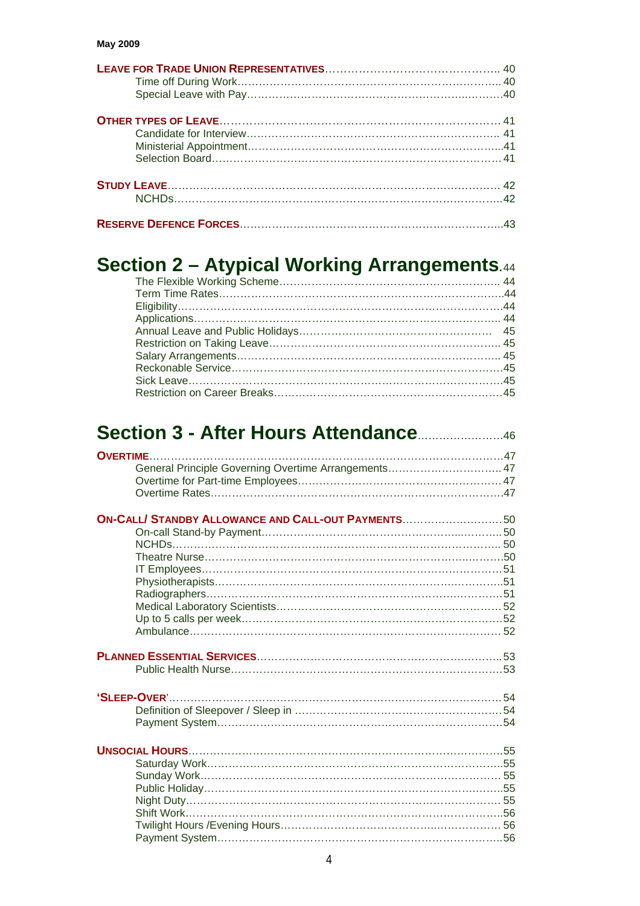### **Section 2 – Atypical Working Arrangements.** <sup>44</sup>

### **Section 3 - After Hours Attendance**……………………46 **OVERTIME**………………………………………………………………………………………47 General Principle Governing Overtime Arrangements………………………….. 47 Overtime for Part-time Employees………………………………………………… 47 Overtime Rates……………………………………………………………………….47 **ON-CALL/ STANDBY ALLOWANCE AND CALL-OUT PAYMENTS**………………………. 50 On-call Stand-by Payment………………………………………………...……….. 50 NCHDs……………………………………………………………………………….. 50 Theatre Nurse………………………………………………………………..……….50 IT Employees………………………………………………………………………… 51 Physiotherapists………………………………………………………….………….. 51 Radiographers…………………………………………………………….…………. 51 Medical Laboratory Scientists……………………………………………………… 52 Up to 5 calls per week………………………………………………………………. 52 Ambulance…………………………………………………………………………… 52 **PLANNED ESSENTIAL SERVICES**………………………………………………….……….. 53 Public Health Nurse…………………………………………………………………. 53 **'SLEEP-OVER**'………………………………………………………………………………… 54 Definition of Sleepover / Sleep in …………………………………………………. 54 Payment System…………………….………………………………………………. 54 **UNSOCIAL HOURS**……………………………………………………………………………. 55 Saturday Work……………………………………………………………………….. 55 Sunday Work………………………………………………………………………… 55 Public Holiday………………………………………………………………….…….. 55 Night Duty……………………………………………………………………………. 55 Shift Work…………………………………………………………………………….. 56 Twilight Hours /Evening Hours……………………………………..……………… 56

Payment System…………………………………………………………………….. 56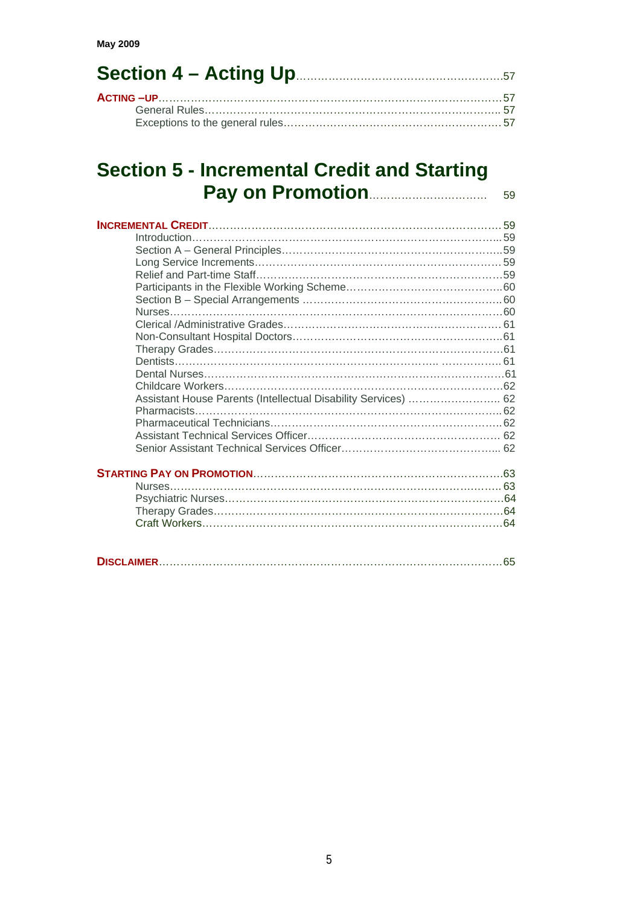### **Section 5 - Incremental Credit and Starting Pay on Promotion**<br>59

| Assistant House Parents (Intellectual Disability Services)  62 | 59 |
|----------------------------------------------------------------|----|
|                                                                | 65 |
|                                                                |    |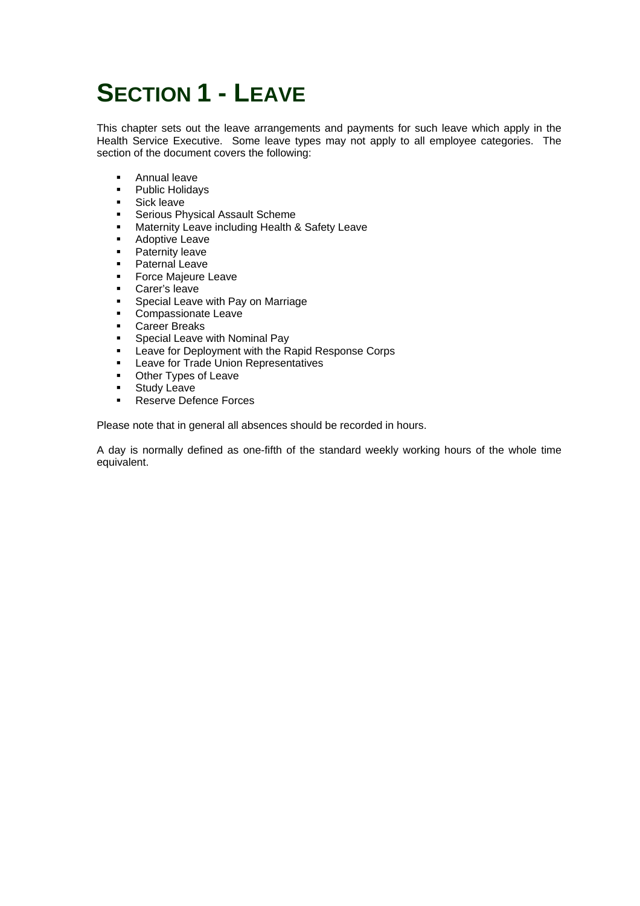# **SECTION 1 - LEAVE**

This chapter sets out the leave arrangements and payments for such leave which apply in the Health Service Executive. Some leave types may not apply to all employee categories. The section of the document covers the following:

- **Annual leave**
- **•** Public Holidays
- **Sick leave**
- Serious Physical Assault Scheme
- Maternity Leave including Health & Safety Leave
- Adoptive Leave
- Paternity leave
- **Paternal Leave**
- **Force Majeure Leave**
- **Caren's leave**
- **Special Leave with Pay on Marriage**
- **Compassionate Leave**
- **Career Breaks**
- **Special Leave with Nominal Pay**
- **EXECT:** Leave for Deployment with the Rapid Response Corps
- Leave for Trade Union Representatives
- **•** Other Types of Leave
- **Study Leave**
- **Reserve Defence Forces**

Please note that in general all absences should be recorded in hours.

A day is normally defined as one-fifth of the standard weekly working hours of the whole time equivalent.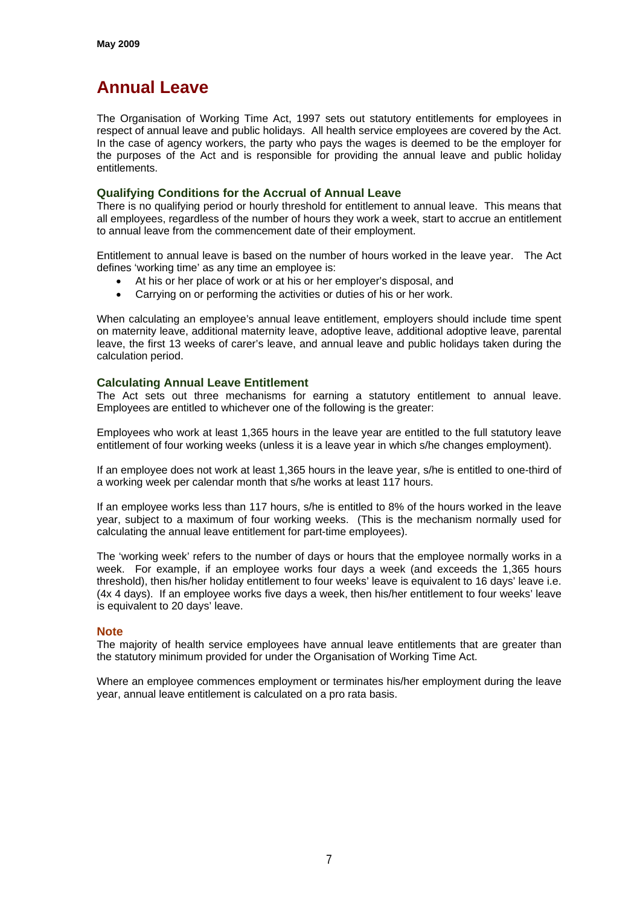### **Annual Leave**

The Organisation of Working Time Act, 1997 sets out statutory entitlements for employees in respect of annual leave and public holidays. All health service employees are covered by the Act. In the case of agency workers, the party who pays the wages is deemed to be the employer for the purposes of the Act and is responsible for providing the annual leave and public holiday entitlements.

### **Qualifying Conditions for the Accrual of Annual Leave**

There is no qualifying period or hourly threshold for entitlement to annual leave. This means that all employees, regardless of the number of hours they work a week, start to accrue an entitlement to annual leave from the commencement date of their employment.

Entitlement to annual leave is based on the number of hours worked in the leave year. The Act defines 'working time' as any time an employee is:

- At his or her place of work or at his or her employer's disposal, and
- Carrying on or performing the activities or duties of his or her work.

When calculating an employee's annual leave entitlement, employers should include time spent on maternity leave, additional maternity leave, adoptive leave, additional adoptive leave, parental leave, the first 13 weeks of carer's leave, and annual leave and public holidays taken during the calculation period.

### **Calculating Annual Leave Entitlement**

The Act sets out three mechanisms for earning a statutory entitlement to annual leave. Employees are entitled to whichever one of the following is the greater:

Employees who work at least 1,365 hours in the leave year are entitled to the full statutory leave entitlement of four working weeks (unless it is a leave year in which s/he changes employment).

If an employee does not work at least 1,365 hours in the leave year, s/he is entitled to one-third of a working week per calendar month that s/he works at least 117 hours.

If an employee works less than 117 hours, s/he is entitled to 8% of the hours worked in the leave year, subject to a maximum of four working weeks. (This is the mechanism normally used for calculating the annual leave entitlement for part-time employees).

The 'working week' refers to the number of days or hours that the employee normally works in a week. For example, if an employee works four days a week (and exceeds the 1,365 hours threshold), then his/her holiday entitlement to four weeks' leave is equivalent to 16 days' leave i.e. (4x 4 days). If an employee works five days a week, then his/her entitlement to four weeks' leave is equivalent to 20 days' leave.

### **Note**

The majority of health service employees have annual leave entitlements that are greater than the statutory minimum provided for under the Organisation of Working Time Act.

Where an employee commences employment or terminates his/her employment during the leave year, annual leave entitlement is calculated on a pro rata basis.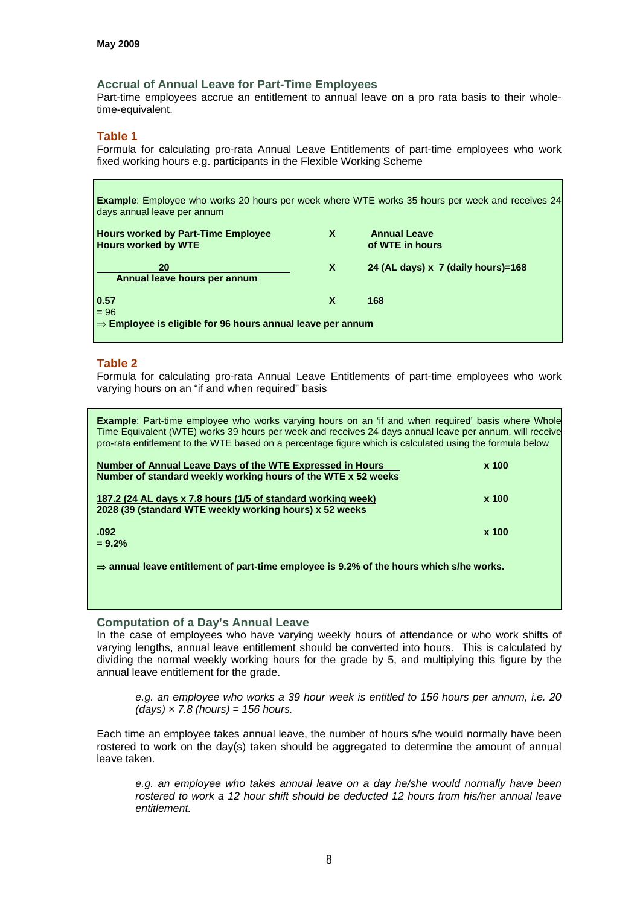### **Accrual of Annual Leave for Part-Time Employees**

Part-time employees accrue an entitlement to annual leave on a pro rata basis to their wholetime-equivalent.

### **Table 1**

Formula for calculating pro-rata Annual Leave Entitlements of part-time employees who work fixed working hours e.g. participants in the Flexible Working Scheme

| <b>Example:</b> Employee who works 20 hours per week where WTE works 35 hours per week and receives 24<br>days annual leave per annum |   |                                        |
|---------------------------------------------------------------------------------------------------------------------------------------|---|----------------------------------------|
| <b>Hours worked by Part-Time Employee</b><br><b>Hours worked by WTE</b>                                                               | X | <b>Annual Leave</b><br>of WTE in hours |
| 20<br>Annual leave hours per annum                                                                                                    | X | 24 (AL days) $x$ 7 (daily hours)=168   |
| 0.57<br>$= 96$                                                                                                                        | X | 168                                    |
| $\Rightarrow$ Employee is eligible for 96 hours annual leave per annum                                                                |   |                                        |

### **Table 2**

Formula for calculating pro-rata Annual Leave Entitlements of part-time employees who work varying hours on an "if and when required" basis

**Example**: Part-time employee who works varying hours on an 'if and when required' basis where Whole Time Equivalent (WTE) works 39 hours per week and receives 24 days annual leave per annum, will receive pro-rata entitlement to the WTE based on a percentage figure which is calculated using the formula below **Number of Annual Leave Days of the WTE Expressed in Hours x 100 Number of standard weekly working hours of the WTE x 52 weeks 187.2 (24 AL days x 7.8 hours (1/5 of standard working week) x 100 2028 (39 (standard WTE weekly working hours) x 52 weeks .092 x 100 = 9.2%** ⇒ **annual leave entitlement of part-time employee is 9.2% of the hours which s/he works.** 

### **Computation of a Day's Annual Leave**

In the case of employees who have varying weekly hours of attendance or who work shifts of varying lengths, annual leave entitlement should be converted into hours. This is calculated by dividing the normal weekly working hours for the grade by 5, and multiplying this figure by the annual leave entitlement for the grade.

*e.g. an employee who works a 39 hour week is entitled to 156 hours per annum, i.e. 20 (days) × 7.8 (hours) = 156 hours.* 

Each time an employee takes annual leave, the number of hours s/he would normally have been rostered to work on the day(s) taken should be aggregated to determine the amount of annual leave taken.

*e.g. an employee who takes annual leave on a day he/she would normally have been rostered to work a 12 hour shift should be deducted 12 hours from his/her annual leave entitlement.*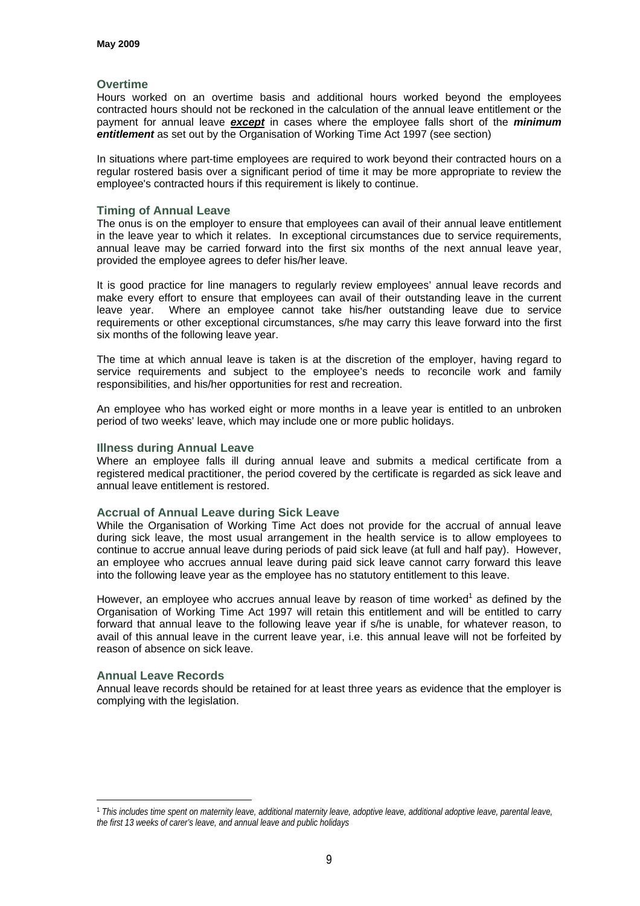#### **Overtime**

Hours worked on an overtime basis and additional hours worked beyond the employees contracted hours should not be reckoned in the calculation of the annual leave entitlement or the payment for annual leave *except* in cases where the employee falls short of the *minimum entitlement* as set out by the Organisation of Working Time Act 1997 (see section)

In situations where part-time employees are required to work beyond their contracted hours on a regular rostered basis over a significant period of time it may be more appropriate to review the employee's contracted hours if this requirement is likely to continue.

### **Timing of Annual Leave**

The onus is on the employer to ensure that employees can avail of their annual leave entitlement in the leave year to which it relates. In exceptional circumstances due to service requirements, annual leave may be carried forward into the first six months of the next annual leave year, provided the employee agrees to defer his/her leave.

It is good practice for line managers to regularly review employees' annual leave records and make every effort to ensure that employees can avail of their outstanding leave in the current leave year. Where an employee cannot take his/her outstanding leave due to service requirements or other exceptional circumstances, s/he may carry this leave forward into the first six months of the following leave year.

The time at which annual leave is taken is at the discretion of the employer, having regard to service requirements and subject to the employee's needs to reconcile work and family responsibilities, and his/her opportunities for rest and recreation.

An employee who has worked eight or more months in a leave year is entitled to an unbroken period of two weeks' leave, which may include one or more public holidays.

### **Illness during Annual Leave**

Where an employee falls ill during annual leave and submits a medical certificate from a registered medical practitioner, the period covered by the certificate is regarded as sick leave and annual leave entitlement is restored.

### **Accrual of Annual Leave during Sick Leave**

While the Organisation of Working Time Act does not provide for the accrual of annual leave during sick leave, the most usual arrangement in the health service is to allow employees to continue to accrue annual leave during periods of paid sick leave (at full and half pay). However, an employee who accrues annual leave during paid sick leave cannot carry forward this leave into the following leave year as the employee has no statutory entitlement to this leave.

However, an employee who accrues annual leave by reason of time worked<sup>[1](#page-8-0)</sup> as defined by the Organisation of Working Time Act 1997 will retain this entitlement and will be entitled to carry forward that annual leave to the following leave year if s/he is unable, for whatever reason, to avail of this annual leave in the current leave year, i.e. this annual leave will not be forfeited by reason of absence on sick leave.

#### **Annual Leave Records**

 $\overline{a}$ 

Annual leave records should be retained for at least three years as evidence that the employer is complying with the legislation.

<span id="page-8-0"></span><sup>1</sup> *This includes time spent on maternity leave, additional maternity leave, adoptive leave, additional adoptive leave, parental leave, the first 13 weeks of carer's leave, and annual leave and public holidays*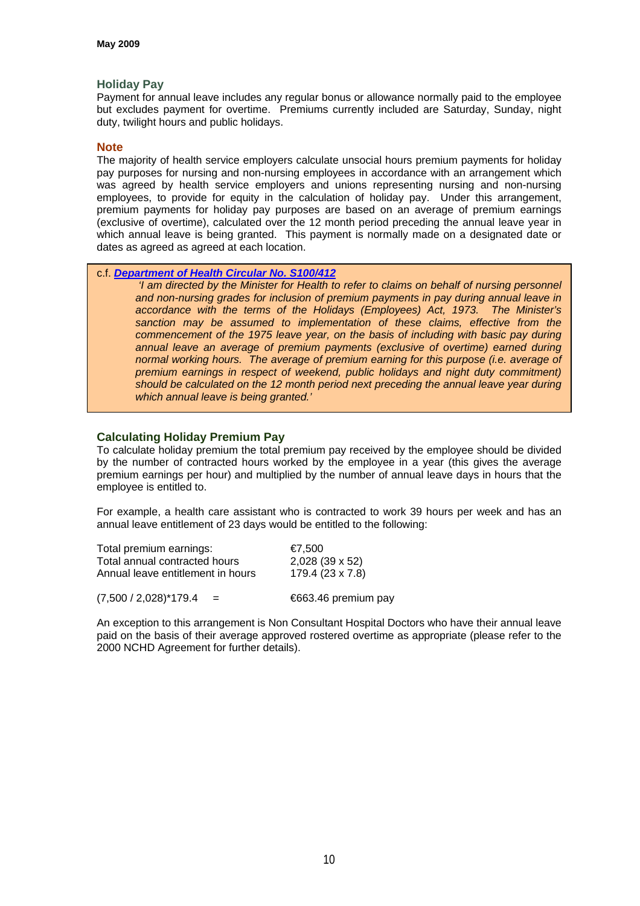### **Holiday Pay**

Payment for annual leave includes any regular bonus or allowance normally paid to the employee but excludes payment for overtime. Premiums currently included are Saturday, Sunday, night duty, twilight hours and public holidays.

### **Note**

The majority of health service employers calculate unsocial hours premium payments for holiday pay purposes for nursing and non-nursing employees in accordance with an arrangement which was agreed by health service employers and unions representing nursing and non-nursing employees, to provide for equity in the calculation of holiday pay. Under this arrangement, premium payments for holiday pay purposes are based on an average of premium earnings (exclusive of overtime), calculated over the 12 month period preceding the annual leave year in which annual leave is being granted. This payment is normally made on a designated date or dates as agreed as agreed at each location.

### c.f. *[Department of Health Circular No. S100/412](http://www.hseea.ie//Circulars/90.11.13.DoH Circular No. S100-412 Calculation of Premium Pay during annual leave.pdf)*

*'I am directed by the Minister for Health to refer to claims on behalf of nursing personnel and non-nursing grades for inclusion of premium payments in pay during annual leave in accordance with the terms of the Holidays (Employees) Act, 1973. The Minister's sanction may be assumed to implementation of these claims, effective from the commencement of the 1975 leave year, on the basis of including with basic pay during annual leave an average of premium payments (exclusive of overtime) earned during normal working hours. The average of premium earning for this purpose (i.e. average of premium earnings in respect of weekend, public holidays and night duty commitment) should be calculated on the 12 month period next preceding the annual leave year during which annual leave is being granted.'*

### **Calculating Holiday Premium Pay**

To calculate holiday premium the total premium pay received by the employee should be divided by the number of contracted hours worked by the employee in a year (this gives the average premium earnings per hour) and multiplied by the number of annual leave days in hours that the employee is entitled to.

For example, a health care assistant who is contracted to work 39 hours per week and has an annual leave entitlement of 23 days would be entitled to the following:

| Total premium earnings:           | €7.500              |
|-----------------------------------|---------------------|
| Total annual contracted hours     | 2,028 (39 x 52)     |
| Annual leave entitlement in hours | 179.4 (23 x 7.8)    |
|                                   |                     |
| $(7,500 / 2,028)$ *179.4<br>$=$   | €663.46 premium pay |

An exception to this arrangement is Non Consultant Hospital Doctors who have their annual leave paid on the basis of their average approved rostered overtime as appropriate (please refer to the 2000 NCHD Agreement for further details).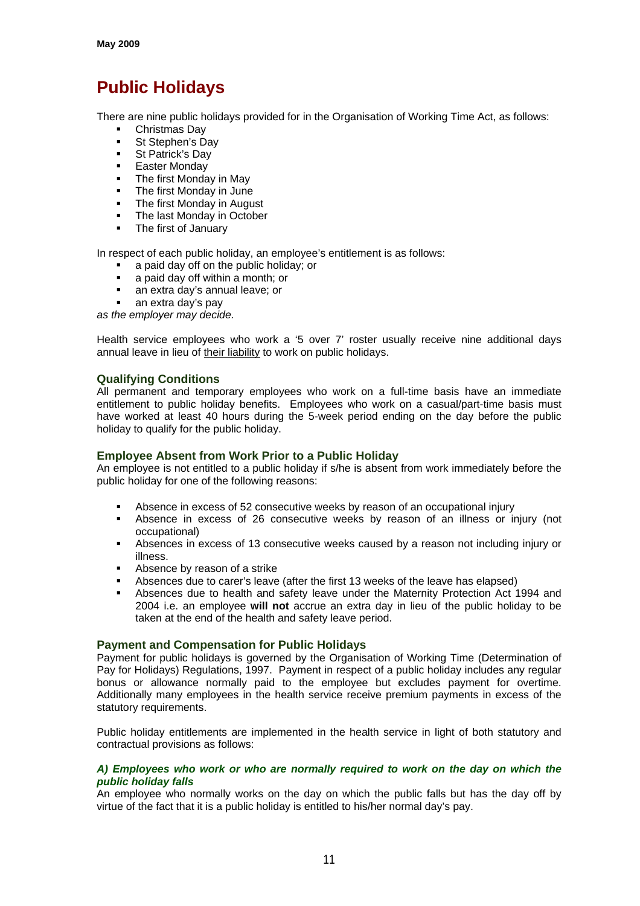### **Public Holidays**

There are nine public holidays provided for in the Organisation of Working Time Act, as follows:

- Christmas Day
- St Stephen's Day
- **St Patrick's Day**
- Easter Monday
- The first Monday in May
- The first Monday in June
- The first Monday in August
- The last Monday in October
- The first of January

In respect of each public holiday, an employee's entitlement is as follows:

- a paid day off on the public holiday; or
- a paid day off within a month; or
- an extra day's annual leave; or
- an extra day's pay

*as the employer may decide.* 

Health service employees who work a '5 over 7' roster usually receive nine additional days annual leave in lieu of their liability to work on public holidays.

### **Qualifying Conditions**

All permanent and temporary employees who work on a full-time basis have an immediate entitlement to public holiday benefits. Employees who work on a casual/part-time basis must have worked at least 40 hours during the 5-week period ending on the day before the public holiday to qualify for the public holiday.

### **Employee Absent from Work Prior to a Public Holiday**

An employee is not entitled to a public holiday if s/he is absent from work immediately before the public holiday for one of the following reasons:

- Absence in excess of 52 consecutive weeks by reason of an occupational injury
- Absence in excess of 26 consecutive weeks by reason of an illness or injury (not occupational)
- Absences in excess of 13 consecutive weeks caused by a reason not including injury or illness.
- Absence by reason of a strike
- Absences due to carer's leave (after the first 13 weeks of the leave has elapsed)
- Absences due to health and safety leave under the Maternity Protection Act 1994 and 2004 i.e. an employee **will not** accrue an extra day in lieu of the public holiday to be taken at the end of the health and safety leave period.

### **Payment and Compensation for Public Holidays**

Payment for public holidays is governed by the Organisation of Working Time (Determination of Pay for Holidays) Regulations, 1997. Payment in respect of a public holiday includes any regular bonus or allowance normally paid to the employee but excludes payment for overtime. Additionally many employees in the health service receive premium payments in excess of the statutory requirements.

Public holiday entitlements are implemented in the health service in light of both statutory and contractual provisions as follows:

### *A) Employees who work or who are normally required to work on the day on which the public holiday falls*

An employee who normally works on the day on which the public falls but has the day off by virtue of the fact that it is a public holiday is entitled to his/her normal day's pay.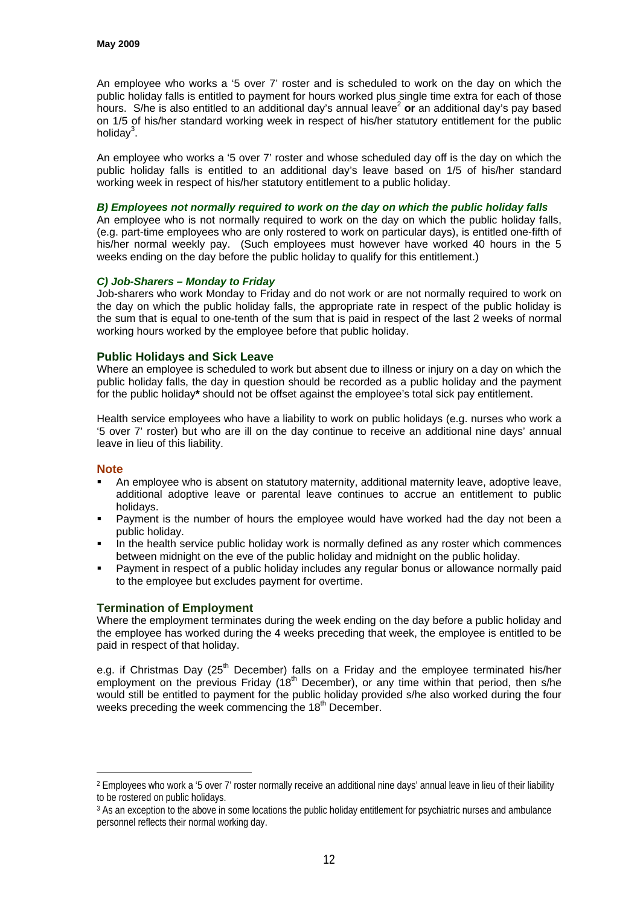An employee who works a '5 over 7' roster and is scheduled to work on the day on which the public holiday falls is entitled to payment for hours worked plus single time extra for each of those hours. S/he is also entitled to an additional day's annual leave<sup>2</sup> or an additional day's pay based on 1/5 of his/her standard working week in respect of his/her statutory entitlement for the public holiday<sup>[3](#page-11-1)</sup>.

An employee who works a '5 over 7' roster and whose scheduled day off is the day on which the public holiday falls is entitled to an additional day's leave based on 1/5 of his/her standard working week in respect of his/her statutory entitlement to a public holiday.

### *B) Employees not normally required to work on the day on which the public holiday falls*

An employee who is not normally required to work on the day on which the public holiday falls, (e.g. part-time employees who are only rostered to work on particular days), is entitled one-fifth of his/her normal weekly pay. (Such employees must however have worked 40 hours in the 5 weeks ending on the day before the public holiday to qualify for this entitlement.)

### *C) Job-Sharers – Monday to Friday*

Job-sharers who work Monday to Friday and do not work or are not normally required to work on the day on which the public holiday falls, the appropriate rate in respect of the public holiday is the sum that is equal to one-tenth of the sum that is paid in respect of the last 2 weeks of normal working hours worked by the employee before that public holiday.

### **Public Holidays and Sick Leave**

Where an employee is scheduled to work but absent due to illness or injury on a day on which the public holiday falls, the day in question should be recorded as a public holiday and the payment for the public holiday**\*** should not be offset against the employee's total sick pay entitlement.

Health service employees who have a liability to work on public holidays (e.g. nurses who work a '5 over 7' roster) but who are ill on the day continue to receive an additional nine days' annual leave in lieu of this liability.

### **Note**

 $\overline{a}$ 

- An employee who is absent on statutory maternity, additional maternity leave, adoptive leave, additional adoptive leave or parental leave continues to accrue an entitlement to public holidays.
- Payment is the number of hours the employee would have worked had the day not been a public holiday.
- In the health service public holiday work is normally defined as any roster which commences between midnight on the eve of the public holiday and midnight on the public holiday.
- Payment in respect of a public holiday includes any regular bonus or allowance normally paid to the employee but excludes payment for overtime.

### **Termination of Employment**

Where the employment terminates during the week ending on the day before a public holiday and the employee has worked during the 4 weeks preceding that week, the employee is entitled to be paid in respect of that holiday.

e.g. if Christmas Day (25<sup>th</sup> December) falls on a Friday and the employee terminated his/her employment on the previous Friday (18<sup>th</sup> December), or any time within that period, then s/he would still be entitled to payment for the public holiday provided s/he also worked during the four weeks preceding the week commencing the 18<sup>th</sup> December.

<span id="page-11-0"></span><sup>2</sup> Employees who work a '5 over 7' roster normally receive an additional nine days' annual leave in lieu of their liability to be rostered on public holidays.

<span id="page-11-1"></span><sup>&</sup>lt;sup>3</sup> As an exception to the above in some locations the public holiday entitlement for psychiatric nurses and ambulance personnel reflects their normal working day.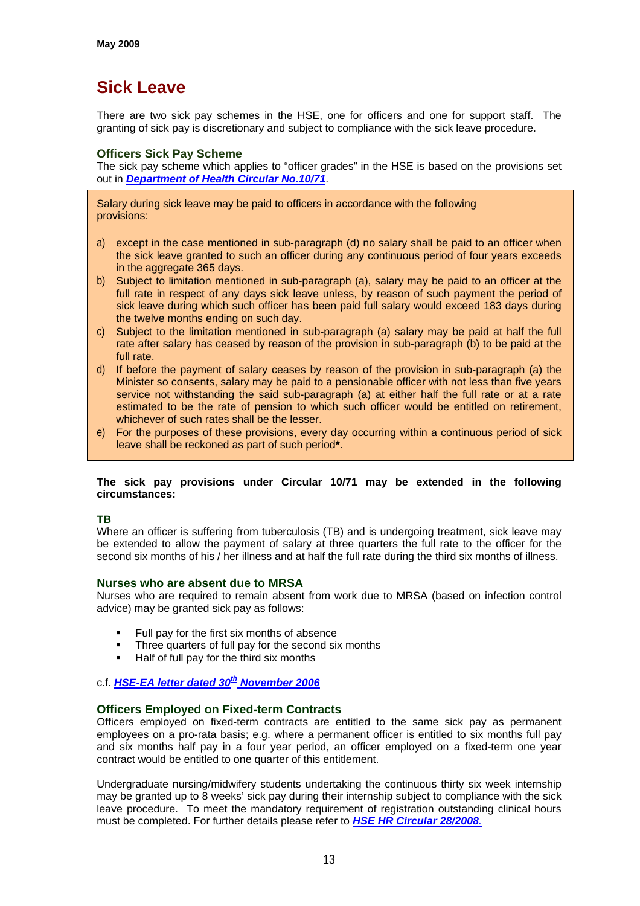### **Sick Leave**

There are two sick pay schemes in the HSE, one for officers and one for support staff. The granting of sick pay is discretionary and subject to compliance with the sick leave procedure.

### **Officers Sick Pay Scheme**

The sick pay scheme which applies to "officer grades" in the HSE is based on the provisions set out in *[Department of Health Circular No.10/71](http://www.hseea.ie//Circulars/71_03_29_DOH_10_Appointment and Conditions of Service of Officers and Servants under HBs1.pdf)*.

Salary during sick leave may be paid to officers in accordance with the following provisions:

- a) except in the case mentioned in sub-paragraph (d) no salary shall be paid to an officer when the sick leave granted to such an officer during any continuous period of four years exceeds in the aggregate 365 days.
- b) Subject to limitation mentioned in sub-paragraph (a), salary may be paid to an officer at the full rate in respect of any days sick leave unless, by reason of such payment the period of sick leave during which such officer has been paid full salary would exceed 183 days during the twelve months ending on such day.
- c) Subject to the limitation mentioned in sub-paragraph (a) salary may be paid at half the full rate after salary has ceased by reason of the provision in sub-paragraph (b) to be paid at the full rate.
- d) If before the payment of salary ceases by reason of the provision in sub-paragraph (a) the Minister so consents, salary may be paid to a pensionable officer with not less than five years service not withstanding the said sub-paragraph (a) at either half the full rate or at a rate estimated to be the rate of pension to which such officer would be entitled on retirement, whichever of such rates shall be the lesser.
- e) For the purposes of these provisions, every day occurring within a continuous period of sick leave shall be reckoned as part of such period**\***.

### **The sick pay provisions under Circular 10/71 may be extended in the following circumstances:**

### **TB**

Where an officer is suffering from tuberculosis (TB) and is undergoing treatment, sick leave may be extended to allow the payment of salary at three quarters the full rate to the officer for the second six months of his / her illness and at half the full rate during the third six months of illness.

### **Nurses who are absent due to MRSA**

Nurses who are required to remain absent from work due to MRSA (based on infection control advice) may be granted sick pay as follows:

- Full pay for the first six months of absence
- Three quarters of full pay for the second six months
- Half of full pay for the third six months

### c.f. *[HSE-EA letter dated 30](http://www.hseea.ie/subNav.aspx?pid=circulars§ion=nursing&year=2006)th November 2006*

### **Officers Employed on Fixed-term Contracts**

Officers employed on fixed-term contracts are entitled to the same sick pay as permanent employees on a pro-rata basis; e.g. where a permanent officer is entitled to six months full pay and six months half pay in a four year period, an officer employed on a fixed-term one year contract would be entitled to one quarter of this entitlement.

Undergraduate nursing/midwifery students undertaking the continuous thirty six week internship may be granted up to 8 weeks' sick pay during their internship subject to compliance with the sick leave procedure. To meet the mandatory requirement of registration outstanding clinical hours must be completed. For further details please refer to *[HSE HR Circular 28/2008](http://www.hseea.ie//Circulars/08.11.19.HSE HR Circular 28-2008 - Nursing Internship.pdf).*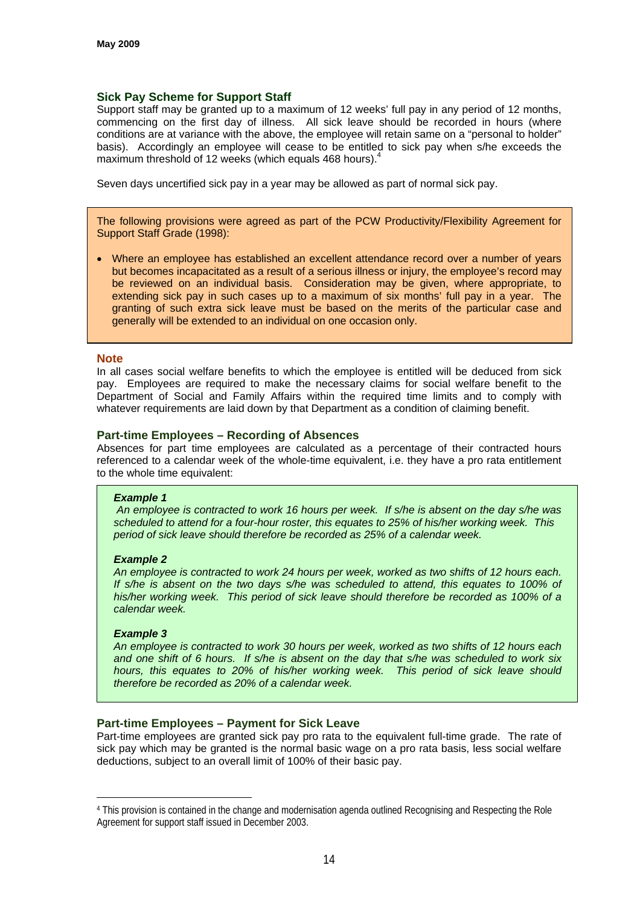### **Sick Pay Scheme for Support Staff**

Support staff may be granted up to a maximum of 12 weeks' full pay in any period of 12 months, commencing on the first day of illness. All sick leave should be recorded in hours (where conditions are at variance with the above, the employee will retain same on a "personal to holder" basis). Accordingly an employee will cease to be entitled to sick pay when s/he exceeds the maximum threshold of 12 weeks (which equals [4](#page-13-0)68 hours).<sup>4</sup>

Seven days uncertified sick pay in a year may be allowed as part of normal sick pay.

The following provisions were agreed as part of the PCW Productivity/Flexibility Agreement for Support Staff Grade (1998):

• Where an employee has established an excellent attendance record over a number of years but becomes incapacitated as a result of a serious illness or injury, the employee's record may be reviewed on an individual basis. Consideration may be given, where appropriate, to extending sick pay in such cases up to a maximum of six months' full pay in a year. The granting of such extra sick leave must be based on the merits of the particular case and generally will be extended to an individual on one occasion only.

### **Note**

In all cases social welfare benefits to which the employee is entitled will be deduced from sick pay. Employees are required to make the necessary claims for social welfare benefit to the Department of Social and Family Affairs within the required time limits and to comply with whatever requirements are laid down by that Department as a condition of claiming benefit.

### **Part-time Employees – Recording of Absences**

Absences for part time employees are calculated as a percentage of their contracted hours referenced to a calendar week of the whole-time equivalent, i.e. they have a pro rata entitlement to the whole time equivalent:

#### *Example 1*

*An employee is contracted to work 16 hours per week. If s/he is absent on the day s/he was scheduled to attend for a four-hour roster, this equates to 25% of his/her working week. This period of sick leave should therefore be recorded as 25% of a calendar week.* 

#### *Example 2*

*An employee is contracted to work 24 hours per week, worked as two shifts of 12 hours each. If s/he is absent on the two days s/he was scheduled to attend, this equates to 100% of his/her working week. This period of sick leave should therefore be recorded as 100% of a calendar week.* 

### *Example 3*

 $\overline{a}$ 

*An employee is contracted to work 30 hours per week, worked as two shifts of 12 hours each and one shift of 6 hours. If s/he is absent on the day that s/he was scheduled to work six hours, this equates to 20% of his/her working week. This period of sick leave should therefore be recorded as 20% of a calendar week.* 

### **Part-time Employees – Payment for Sick Leave**

Part-time employees are granted sick pay pro rata to the equivalent full-time grade. The rate of sick pay which may be granted is the normal basic wage on a pro rata basis, less social welfare deductions, subject to an overall limit of 100% of their basic pay.

<span id="page-13-0"></span><sup>4</sup> This provision is contained in the change and modernisation agenda outlined Recognising and Respecting the Role Agreement for support staff issued in December 2003.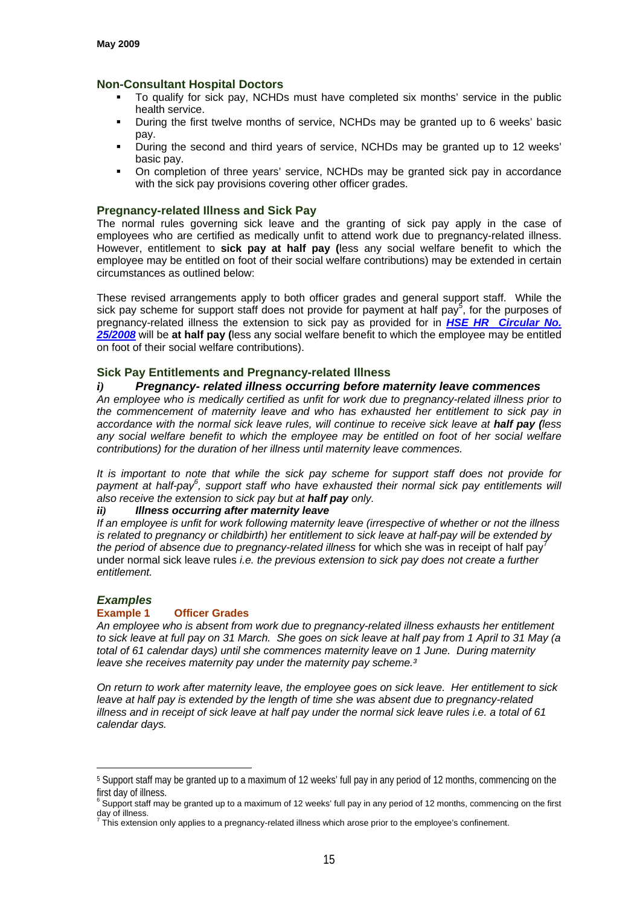### **Non-Consultant Hospital Doctors**

- To qualify for sick pay, NCHDs must have completed six months' service in the public health service.
- During the first twelve months of service, NCHDs may be granted up to 6 weeks' basic pay.
- During the second and third years of service, NCHDs may be granted up to 12 weeks' basic pay.
- On completion of three years' service, NCHDs may be granted sick pay in accordance with the sick pay provisions covering other officer grades.

### **Pregnancy-related Illness and Sick Pay**

The normal rules governing sick leave and the granting of sick pay apply in the case of employees who are certified as medically unfit to attend work due to pregnancy-related illness. However, entitlement to **sick pay at half pay (**less any social welfare benefit to which the employee may be entitled on foot of their social welfare contributions) may be extended in certain circumstances as outlined below:

These revised arrangements apply to both officer grades and general support staff. While the sick pay scheme for support staff does not provide for payment at half pay<sup>[5](#page-14-0)</sup>, for the purposes of pregnancy-related illness the extension to sick pay as provided for in *[HSE HR Circular No.](http://www.hseea.ie//Circulars/HSE HR Circular 25-2008 -  Pregnancy related Sick Leave.pdf) [25/2008](http://www.hseea.ie//Circulars/HSE HR Circular 25-2008 -  Pregnancy related Sick Leave.pdf)* will be **at half pay (**less any social welfare benefit to which the employee may be entitled on foot of their social welfare contributions).

### **Sick Pay Entitlements and Pregnancy-related Illness**

### *i) Pregnancy- related illness occurring before maternity leave commences*

*An employee who is medically certified as unfit for work due to pregnancy-related illness prior to the commencement of maternity leave and who has exhausted her entitlement to sick pay in accordance with the normal sick leave rules, will continue to receive sick leave at half pay (less any social welfare benefit to which the employee may be entitled on foot of her social welfare contributions) for the duration of her illness until maternity leave commences.* 

*It is important to note that while the sick pay scheme for support staff does not provide for*  payment at half-pay<sup>[6](#page-14-1)</sup>, support staff who have exhausted their normal sick pay entitlements will *also receive the extension to sick pay but at half pay only.* 

### *ii) Illness occurring after maternity leave*

*If an employee is unfit for work following maternity leave (irrespective of whether or not the illness is related to pregnancy or childbirth) her entitlement to sick leave at half-pay will be extended by the period of absence due to pregnancy-related illness for which she was in receipt of half pay*<sup>[7](#page-14-2)</sup> under normal sick leave rules *i.e. the previous extension to sick pay does not create a further entitlement.* 

### *Examples*

 $\overline{a}$ 

### **Example 1 Officer Grades**

*An employee who is absent from work due to pregnancy-related illness exhausts her entitlement to sick leave at full pay on 31 March. She goes on sick leave at half pay from 1 April to 31 May (a total of 61 calendar days) until she commences maternity leave on 1 June. During maternity leave she receives maternity pay under the maternity pay scheme.³* 

*On return to work after maternity leave, the employee goes on sick leave. Her entitlement to sick leave at half pay is extended by the length of time she was absent due to pregnancy-related illness and in receipt of sick leave at half pay under the normal sick leave rules i.e. a total of 61 calendar days.* 

<span id="page-14-0"></span><sup>5</sup> Support staff may be granted up to a maximum of 12 weeks' full pay in any period of 12 months, commencing on the first day of illness.<br><sup>6</sup> Support atoff move

<span id="page-14-1"></span>Support staff may be granted up to a maximum of 12 weeks' full pay in any period of 12 months, commencing on the first day of illness.<br><sup>7</sup> This extension only applies to a pregnancy-related illness which arose prior to the employee's confinement.

<span id="page-14-2"></span>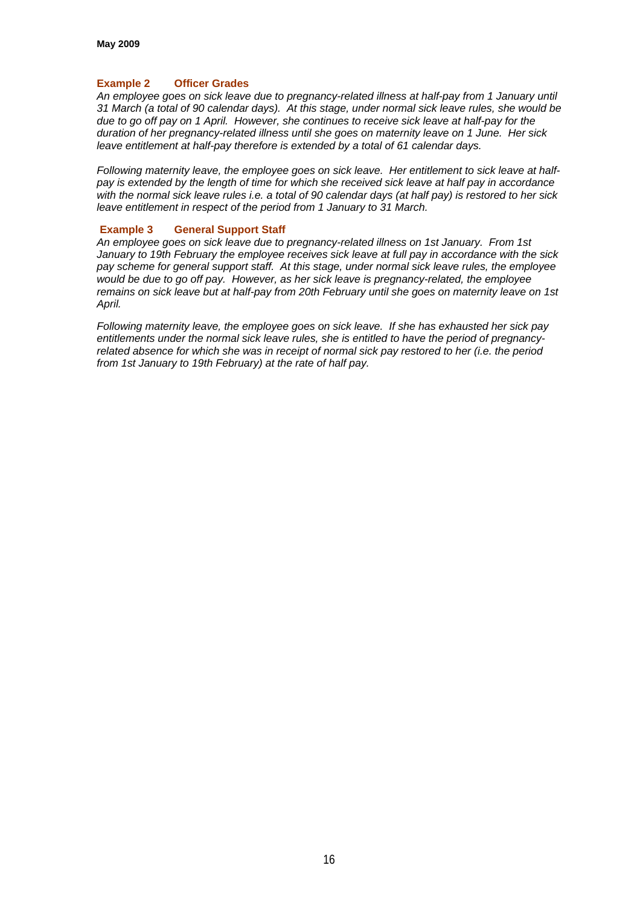### **Example 2 Officer Grades**

*An employee goes on sick leave due to pregnancy-related illness at half-pay from 1 January until 31 March (a total of 90 calendar days). At this stage, under normal sick leave rules, she would be due to go off pay on 1 April. However, she continues to receive sick leave at half-pay for the duration of her pregnancy-related illness until she goes on maternity leave on 1 June. Her sick leave entitlement at half-pay therefore is extended by a total of 61 calendar days.* 

*Following maternity leave, the employee goes on sick leave. Her entitlement to sick leave at halfpay is extended by the length of time for which she received sick leave at half pay in accordance with the normal sick leave rules i.e. a total of 90 calendar days (at half pay) is restored to her sick leave entitlement in respect of the period from 1 January to 31 March.* 

### **Example 3 General Support Staff**

*An employee goes on sick leave due to pregnancy-related illness on 1st January. From 1st January to 19th February the employee receives sick leave at full pay in accordance with the sick pay scheme for general support staff. At this stage, under normal sick leave rules, the employee would be due to go off pay. However, as her sick leave is pregnancy-related, the employee remains on sick leave but at half-pay from 20th February until she goes on maternity leave on 1st April.* 

*Following maternity leave, the employee goes on sick leave. If she has exhausted her sick pay entitlements under the normal sick leave rules, she is entitled to have the period of pregnancyrelated absence for which she was in receipt of normal sick pay restored to her (i.e. the period from 1st January to 19th February) at the rate of half pay.*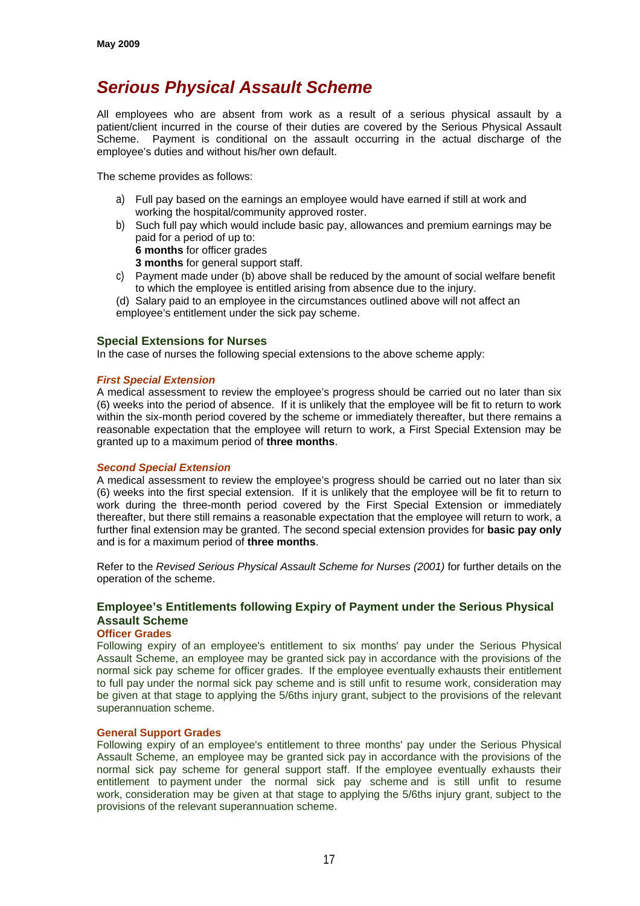### *Serious Physical Assault Scheme*

All employees who are absent from work as a result of a serious physical assault by a patient/client incurred in the course of their duties are covered by the Serious Physical Assault Scheme. Payment is conditional on the assault occurring in the actual discharge of the employee's duties and without his/her own default.

The scheme provides as follows:

- a) Full pay based on the earnings an employee would have earned if still at work and working the hospital/community approved roster.
- b) Such full pay which would include basic pay, allowances and premium earnings may be paid for a period of up to: **6 months** for officer grades

**3 months** for general support staff.

- c) Payment made under (b) above shall be reduced by the amount of social welfare benefit to which the employee is entitled arising from absence due to the injury.
- (d) Salary paid to an employee in the circumstances outlined above will not affect an employee's entitlement under the sick pay scheme.

### **Special Extensions for Nurses**

In the case of nurses the following special extensions to the above scheme apply:

### *First Special Extension*

A medical assessment to review the employee's progress should be carried out no later than six (6) weeks into the period of absence. If it is unlikely that the employee will be fit to return to work within the six-month period covered by the scheme or immediately thereafter, but there remains a reasonable expectation that the employee will return to work, a First Special Extension may be granted up to a maximum period of **three months**.

### *Second Special Extension*

A medical assessment to review the employee's progress should be carried out no later than six (6) weeks into the first special extension. If it is unlikely that the employee will be fit to return to work during the three-month period covered by the First Special Extension or immediately thereafter, but there still remains a reasonable expectation that the employee will return to work, a further final extension may be granted. The second special extension provides for **basic pay only** and is for a maximum period of **three months**.

Refer to the *Revised Serious Physical Assault Scheme for Nurses (2001)* for further details on the operation of the scheme.

### **Employee's Entitlements following Expiry of Payment under the Serious Physical Assault Scheme**

### **Officer Grades**

Following expiry of an employee's entitlement to six months' pay under the Serious Physical Assault Scheme, an employee may be granted sick pay in accordance with the provisions of the normal sick pay scheme for officer grades. If the employee eventually exhausts their entitlement to full pay under the normal sick pay scheme and is still unfit to resume work, consideration may be given at that stage to applying the 5/6ths injury grant, subject to the provisions of the relevant superannuation scheme.

### **General Support Grades**

Following expiry of an employee's entitlement to three months' pay under the Serious Physical Assault Scheme, an employee may be granted sick pay in accordance with the provisions of the normal sick pay scheme for general support staff. If the employee eventually exhausts their entitlement to payment under the normal sick pay scheme and is still unfit to resume work, consideration may be given at that stage to applying the 5/6ths injury grant, subject to the provisions of the relevant superannuation scheme.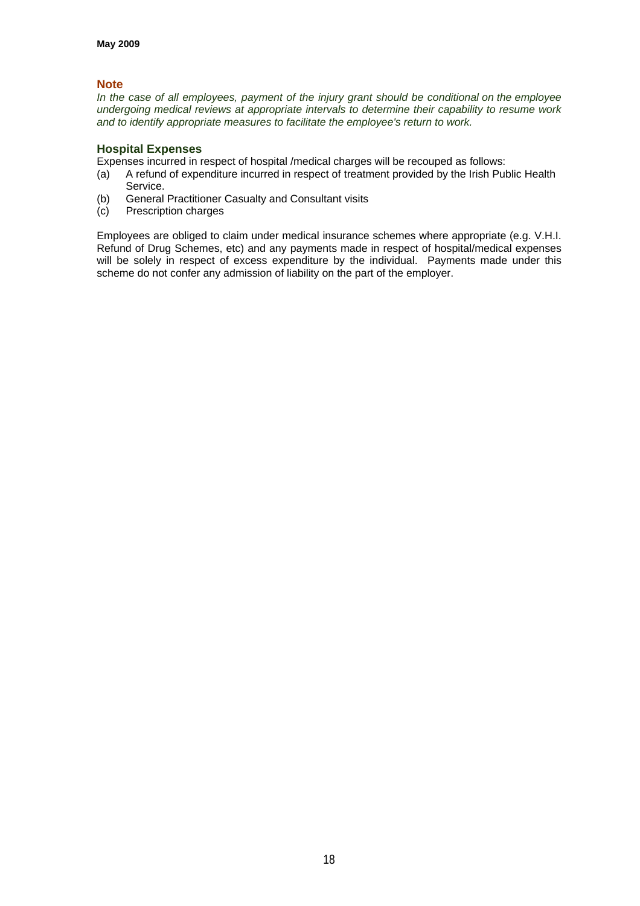### **Note**

In the case of all employees, payment of the injury grant should be conditional on the employee *undergoing medical reviews at appropriate intervals to determine their capability to resume work and to identify appropriate measures to facilitate the employee's return to work.* 

### **Hospital Expenses**

Expenses incurred in respect of hospital /medical charges will be recouped as follows:

- (a) A refund of expenditure incurred in respect of treatment provided by the Irish Public Health Service.
- (b) General Practitioner Casualty and Consultant visits
- (c) Prescription charges

Employees are obliged to claim under medical insurance schemes where appropriate (e.g. V.H.I. Refund of Drug Schemes, etc) and any payments made in respect of hospital/medical expenses will be solely in respect of excess expenditure by the individual. Payments made under this scheme do not confer any admission of liability on the part of the employer.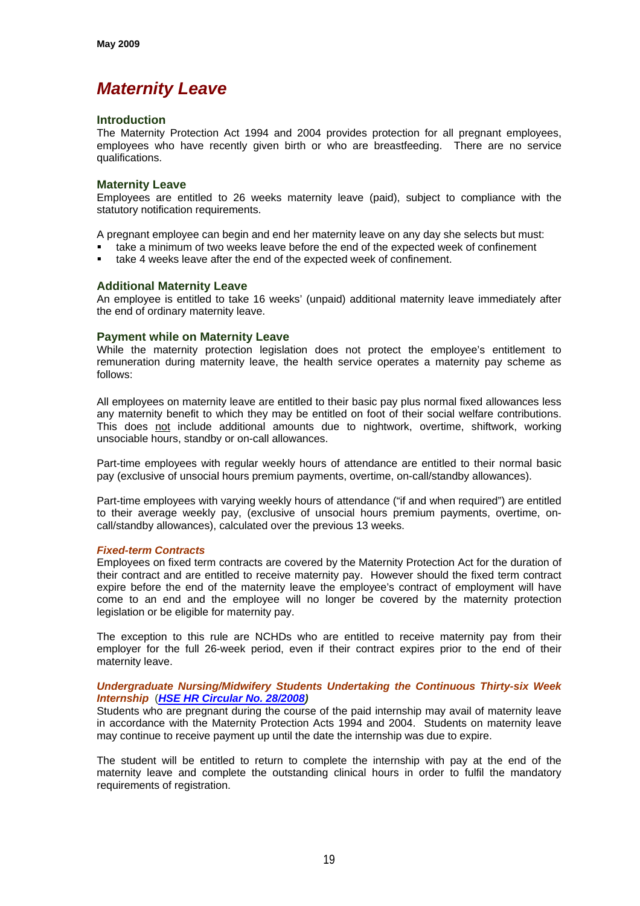### *Maternity Leave*

### **Introduction**

The Maternity Protection Act 1994 and 2004 provides protection for all pregnant employees, employees who have recently given birth or who are breastfeeding. There are no service qualifications.

### **Maternity Leave**

Employees are entitled to 26 weeks maternity leave (paid), subject to compliance with the statutory notification requirements.

A pregnant employee can begin and end her maternity leave on any day she selects but must:

- take a minimum of two weeks leave before the end of the expected week of confinement
- take 4 weeks leave after the end of the expected week of confinement.

### **Additional Maternity Leave**

An employee is entitled to take 16 weeks' (unpaid) additional maternity leave immediately after the end of ordinary maternity leave.

### **Payment while on Maternity Leave**

While the maternity protection legislation does not protect the employee's entitlement to remuneration during maternity leave, the health service operates a maternity pay scheme as follows:

All employees on maternity leave are entitled to their basic pay plus normal fixed allowances less any maternity benefit to which they may be entitled on foot of their social welfare contributions. This does not include additional amounts due to nightwork, overtime, shiftwork, working unsociable hours, standby or on-call allowances.

Part-time employees with regular weekly hours of attendance are entitled to their normal basic pay (exclusive of unsocial hours premium payments, overtime, on-call/standby allowances).

Part-time employees with varying weekly hours of attendance ("if and when required") are entitled to their average weekly pay, (exclusive of unsocial hours premium payments, overtime, oncall/standby allowances), calculated over the previous 13 weeks.

### *Fixed-term Contracts*

Employees on fixed term contracts are covered by the Maternity Protection Act for the duration of their contract and are entitled to receive maternity pay. However should the fixed term contract expire before the end of the maternity leave the employee's contract of employment will have come to an end and the employee will no longer be covered by the maternity protection legislation or be eligible for maternity pay.

The exception to this rule are NCHDs who are entitled to receive maternity pay from their employer for the full 26-week period, even if their contract expires prior to the end of their maternity leave.

### *Undergraduate Nursing/Midwifery Students Undertaking the Continuous Thirty-six Week Internship* (*[HSE HR Circular No. 28/2008](http://www.hseea.ie//Circulars/08.11.19.HSE HR Circular 28-2008 - Nursing Internship.pdf))*

Students who are pregnant during the course of the paid internship may avail of maternity leave in accordance with the Maternity Protection Acts 1994 and 2004. Students on maternity leave may continue to receive payment up until the date the internship was due to expire.

The student will be entitled to return to complete the internship with pay at the end of the maternity leave and complete the outstanding clinical hours in order to fulfil the mandatory requirements of registration.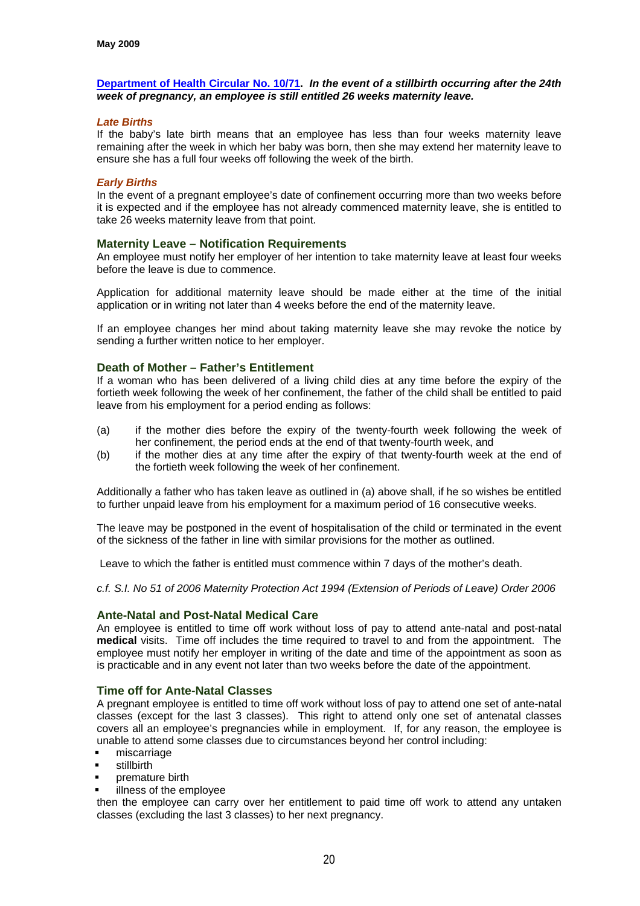### **Department [of Health Circular No. 10/71](http://www.hseea.ie//Circulars/71_03_29_DOH_10_Appointment and Conditions of Service of Officers and Servants under HBs1.pdf).** *In the event of a stillbirth occurring after the 24th week of pregnancy, an employee is still entitled 26 weeks maternity leave.*

### *Late Births*

If the baby's late birth means that an employee has less than four weeks maternity leave remaining after the week in which her baby was born, then she may extend her maternity leave to ensure she has a full four weeks off following the week of the birth.

### *Early Births*

In the event of a pregnant employee's date of confinement occurring more than two weeks before it is expected and if the employee has not already commenced maternity leave, she is entitled to take 26 weeks maternity leave from that point.

### **Maternity Leave – Notification Requirements**

An employee must notify her employer of her intention to take maternity leave at least four weeks before the leave is due to commence.

Application for additional maternity leave should be made either at the time of the initial application or in writing not later than 4 weeks before the end of the maternity leave.

If an employee changes her mind about taking maternity leave she may revoke the notice by sending a further written notice to her employer.

### **Death of Mother – Father's Entitlement**

If a woman who has been delivered of a living child dies at any time before the expiry of the fortieth week following the week of her confinement, the father of the child shall be entitled to paid leave from his employment for a period ending as follows:

- (a) if the mother dies before the expiry of the twenty-fourth week following the week of her confinement, the period ends at the end of that twenty-fourth week, and
- (b) if the mother dies at any time after the expiry of that twenty-fourth week at the end of the fortieth week following the week of her confinement.

Additionally a father who has taken leave as outlined in (a) above shall, if he so wishes be entitled to further unpaid leave from his employment for a maximum period of 16 consecutive weeks.

The leave may be postponed in the event of hospitalisation of the child or terminated in the event of the sickness of the father in line with similar provisions for the mother as outlined.

Leave to which the father is entitled must commence within 7 days of the mother's death.

*c.f. S.I. No 51 of 2006 Maternity Protection Act 1994 (Extension of Periods of Leave) Order 2006* 

### **Ante-Natal and Post-Natal Medical Care**

An employee is entitled to time off work without loss of pay to attend ante-natal and post-natal **medical** visits. Time off includes the time required to travel to and from the appointment. The employee must notify her employer in writing of the date and time of the appointment as soon as is practicable and in any event not later than two weeks before the date of the appointment.

### **Time off for Ante-Natal Classes**

A pregnant employee is entitled to time off work without loss of pay to attend one set of ante-natal classes (except for the last 3 classes). This right to attend only one set of antenatal classes covers all an employee's pregnancies while in employment. If, for any reason, the employee is unable to attend some classes due to circumstances beyond her control including:

- miscarriage
- stillbirth
- premature birth
- illness of the employee

then the employee can carry over her entitlement to paid time off work to attend any untaken classes (excluding the last 3 classes) to her next pregnancy.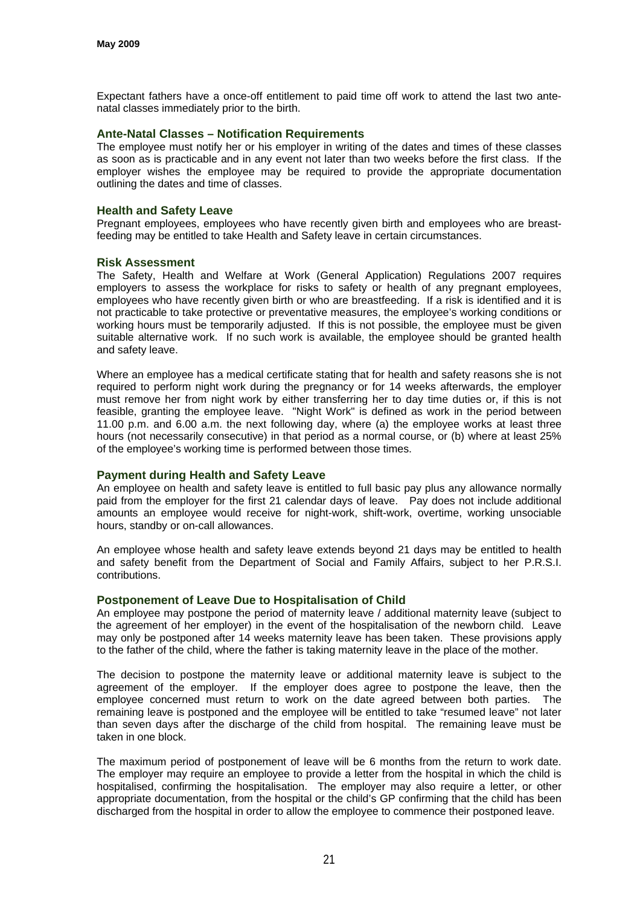Expectant fathers have a once-off entitlement to paid time off work to attend the last two antenatal classes immediately prior to the birth.

### **Ante-Natal Classes – Notification Requirements**

The employee must notify her or his employer in writing of the dates and times of these classes as soon as is practicable and in any event not later than two weeks before the first class. If the employer wishes the employee may be required to provide the appropriate documentation outlining the dates and time of classes.

### **Health and Safety Leave**

Pregnant employees, employees who have recently given birth and employees who are breastfeeding may be entitled to take Health and Safety leave in certain circumstances.

### **Risk Assessment**

The Safety, Health and Welfare at Work (General Application) Regulations 2007 requires employers to assess the workplace for risks to safety or health of any pregnant employees, employees who have recently given birth or who are breastfeeding. If a risk is identified and it is not practicable to take protective or preventative measures, the employee's working conditions or working hours must be temporarily adjusted. If this is not possible, the employee must be given suitable alternative work. If no such work is available, the employee should be granted health and safety leave.

Where an employee has a medical certificate stating that for health and safety reasons she is not required to perform night work during the pregnancy or for 14 weeks afterwards, the employer must remove her from night work by either transferring her to day time duties or, if this is not feasible, granting the employee leave. "Night Work" is defined as work in the period between 11.00 p.m. and 6.00 a.m. the next following day, where (a) the employee works at least three hours (not necessarily consecutive) in that period as a normal course, or (b) where at least 25% of the employee's working time is performed between those times.

### **Payment during Health and Safety Leave**

An employee on health and safety leave is entitled to full basic pay plus any allowance normally paid from the employer for the first 21 calendar days of leave. Pay does not include additional amounts an employee would receive for night-work, shift-work, overtime, working unsociable hours, standby or on-call allowances.

An employee whose health and safety leave extends beyond 21 days may be entitled to health and safety benefit from the Department of Social and Family Affairs, subject to her P.R.S.I. contributions.

### **Postponement of Leave Due to Hospitalisation of Child**

An employee may postpone the period of maternity leave / additional maternity leave (subject to the agreement of her employer) in the event of the hospitalisation of the newborn child. Leave may only be postponed after 14 weeks maternity leave has been taken. These provisions apply to the father of the child, where the father is taking maternity leave in the place of the mother.

The decision to postpone the maternity leave or additional maternity leave is subject to the agreement of the employer. If the employer does agree to postpone the leave, then the employee concerned must return to work on the date agreed between both parties. The remaining leave is postponed and the employee will be entitled to take "resumed leave" not later than seven days after the discharge of the child from hospital. The remaining leave must be taken in one block.

The maximum period of postponement of leave will be 6 months from the return to work date. The employer may require an employee to provide a letter from the hospital in which the child is hospitalised, confirming the hospitalisation. The employer may also require a letter, or other appropriate documentation, from the hospital or the child's GP confirming that the child has been discharged from the hospital in order to allow the employee to commence their postponed leave.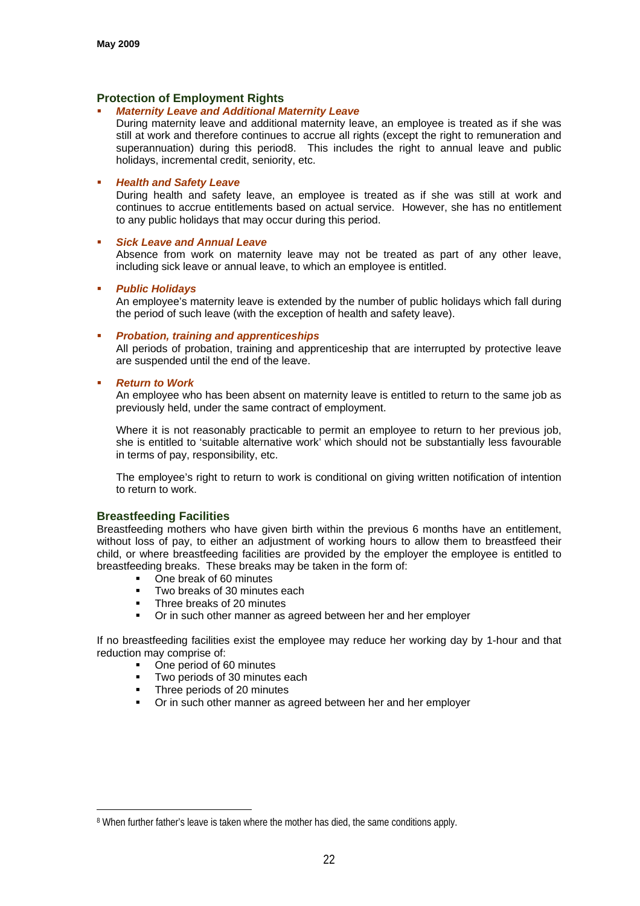### **Protection of Employment Rights**

### *Maternity Leave and Additional Maternity Leave*

During maternity leave and additional maternity leave, an employee is treated as if she was still at work and therefore continues to accrue all rights (except the right to remuneration and superannuation) during this perio[d8.](#page-21-0) This includes the right to annual leave and public holidays, incremental credit, seniority, etc.

### *Health and Safety Leave*

During health and safety leave, an employee is treated as if she was still at work and continues to accrue entitlements based on actual service. However, she has no entitlement to any public holidays that may occur during this period.

### *Sick Leave and Annual Leave*

Absence from work on maternity leave may not be treated as part of any other leave, including sick leave or annual leave, to which an employee is entitled.

### *Public Holidays*

An employee's maternity leave is extended by the number of public holidays which fall during the period of such leave (with the exception of health and safety leave).

### *Probation, training and apprenticeships*

All periods of probation, training and apprenticeship that are interrupted by protective leave are suspended until the end of the leave.

### *Return to Work*

An employee who has been absent on maternity leave is entitled to return to the same job as previously held, under the same contract of employment.

Where it is not reasonably practicable to permit an employee to return to her previous job, she is entitled to 'suitable alternative work' which should not be substantially less favourable in terms of pay, responsibility, etc.

The employee's right to return to work is conditional on giving written notification of intention to return to work.

### **Breastfeeding Facilities**

 $\overline{a}$ 

Breastfeeding mothers who have given birth within the previous 6 months have an entitlement, without loss of pay, to either an adjustment of working hours to allow them to breastfeed their child, or where breastfeeding facilities are provided by the employer the employee is entitled to breastfeeding breaks. These breaks may be taken in the form of:

- One break of 60 minutes
- Two breaks of 30 minutes each
- Three breaks of 20 minutes
- Or in such other manner as agreed between her and her employer

If no breastfeeding facilities exist the employee may reduce her working day by 1-hour and that reduction may comprise of:

- One period of 60 minutes
- Two periods of 30 minutes each
- Three periods of 20 minutes
- Or in such other manner as agreed between her and her employer

<span id="page-21-0"></span><sup>8</sup> When further father's leave is taken where the mother has died, the same conditions apply.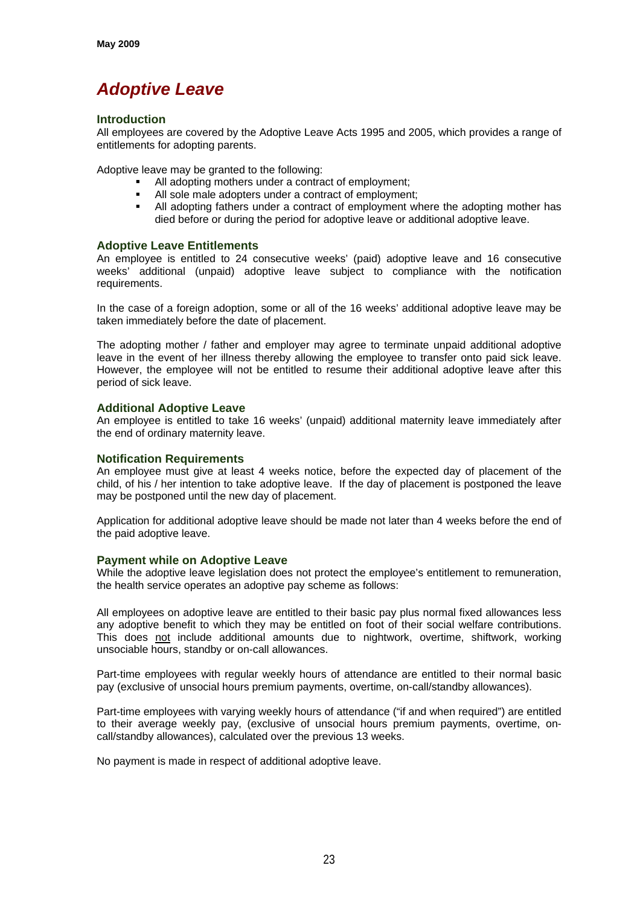### *Adoptive Leave*

### **Introduction**

All employees are covered by the Adoptive Leave Acts 1995 and 2005, which provides a range of entitlements for adopting parents.

Adoptive leave may be granted to the following:

- All adopting mothers under a contract of employment:
- All sole male adopters under a contract of employment;
- All adopting fathers under a contract of employment where the adopting mother has died before or during the period for adoptive leave or additional adoptive leave.

### **Adoptive Leave Entitlements**

An employee is entitled to 24 consecutive weeks' (paid) adoptive leave and 16 consecutive weeks' additional (unpaid) adoptive leave subject to compliance with the notification requirements.

In the case of a foreign adoption, some or all of the 16 weeks' additional adoptive leave may be taken immediately before the date of placement.

The adopting mother / father and employer may agree to terminate unpaid additional adoptive leave in the event of her illness thereby allowing the employee to transfer onto paid sick leave. However, the employee will not be entitled to resume their additional adoptive leave after this period of sick leave.

### **Additional Adoptive Leave**

An employee is entitled to take 16 weeks' (unpaid) additional maternity leave immediately after the end of ordinary maternity leave.

### **Notification Requirements**

An employee must give at least 4 weeks notice, before the expected day of placement of the child, of his / her intention to take adoptive leave. If the day of placement is postponed the leave may be postponed until the new day of placement.

Application for additional adoptive leave should be made not later than 4 weeks before the end of the paid adoptive leave.

### **Payment while on Adoptive Leave**

While the adoptive leave legislation does not protect the employee's entitlement to remuneration, the health service operates an adoptive pay scheme as follows:

All employees on adoptive leave are entitled to their basic pay plus normal fixed allowances less any adoptive benefit to which they may be entitled on foot of their social welfare contributions. This does not include additional amounts due to nightwork, overtime, shiftwork, working unsociable hours, standby or on-call allowances.

Part-time employees with regular weekly hours of attendance are entitled to their normal basic pay (exclusive of unsocial hours premium payments, overtime, on-call/standby allowances).

Part-time employees with varying weekly hours of attendance ("if and when required") are entitled to their average weekly pay, (exclusive of unsocial hours premium payments, overtime, oncall/standby allowances), calculated over the previous 13 weeks.

No payment is made in respect of additional adoptive leave.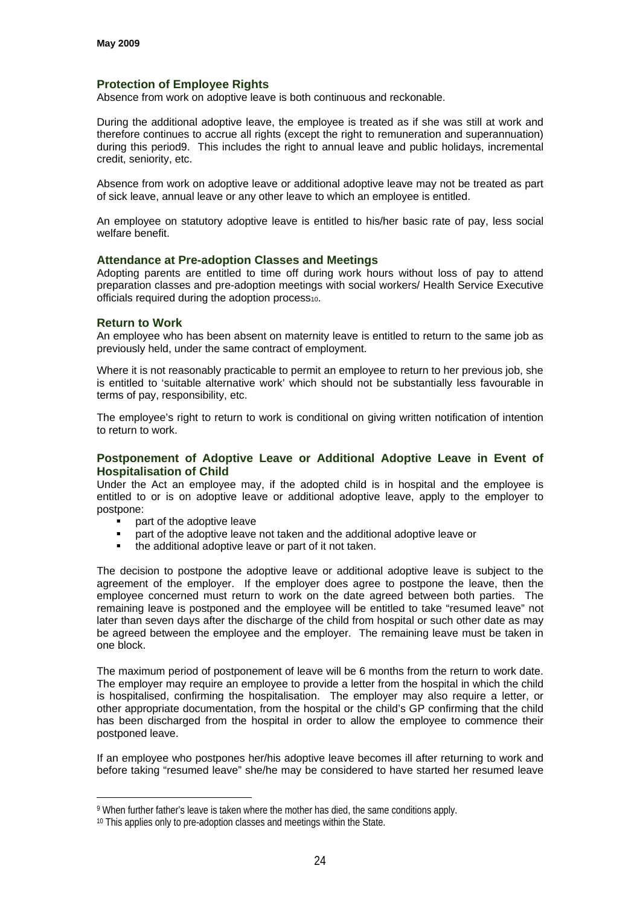### **Protection of Employee Rights**

Absence from work on adoptive leave is both continuous and reckonable.

During the additional adoptive leave, the employee is treated as if she was still at work and therefore continues to accrue all rights (except the right to remuneration and superannuation) during this perio[d9.](#page-23-0) This includes the right to annual leave and public holidays, incremental credit, seniority, etc.

Absence from work on adoptive leave or additional adoptive leave may not be treated as part of sick leave, annual leave or any other leave to which an employee is entitled.

An employee on statutory adoptive leave is entitled to his/her basic rate of pay, less social welfare benefit.

### **Attendance at Pre-adoption Classes and Meetings**

Adopting parents are entitled to time off during work hours without loss of pay to attend preparation classes and pre-adoption meetings with social workers/ Health Service Executive officials required during the adoption proces[s10.](#page-23-1)

### **Return to Work**

 $\overline{a}$ 

An employee who has been absent on maternity leave is entitled to return to the same job as previously held, under the same contract of employment.

Where it is not reasonably practicable to permit an employee to return to her previous job, she is entitled to 'suitable alternative work' which should not be substantially less favourable in terms of pay, responsibility, etc.

The employee's right to return to work is conditional on giving written notification of intention to return to work.

### **Postponement of Adoptive Leave or Additional Adoptive Leave in Event of Hospitalisation of Child**

Under the Act an employee may, if the adopted child is in hospital and the employee is entitled to or is on adoptive leave or additional adoptive leave, apply to the employer to postpone:

- **•** part of the adoptive leave
- part of the adoptive leave not taken and the additional adoptive leave or
- **the additional adoptive leave or part of it not taken.**

The decision to postpone the adoptive leave or additional adoptive leave is subject to the agreement of the employer. If the employer does agree to postpone the leave, then the employee concerned must return to work on the date agreed between both parties. The remaining leave is postponed and the employee will be entitled to take "resumed leave" not later than seven days after the discharge of the child from hospital or such other date as may be agreed between the employee and the employer. The remaining leave must be taken in one block.

The maximum period of postponement of leave will be 6 months from the return to work date. The employer may require an employee to provide a letter from the hospital in which the child is hospitalised, confirming the hospitalisation. The employer may also require a letter, or other appropriate documentation, from the hospital or the child's GP confirming that the child has been discharged from the hospital in order to allow the employee to commence their postponed leave.

If an employee who postpones her/his adoptive leave becomes ill after returning to work and before taking "resumed leave" she/he may be considered to have started her resumed leave

<span id="page-23-0"></span><sup>9</sup> When further father's leave is taken where the mother has died, the same conditions apply.

<span id="page-23-1"></span><sup>&</sup>lt;sup>10</sup> This applies only to pre-adoption classes and meetings within the State.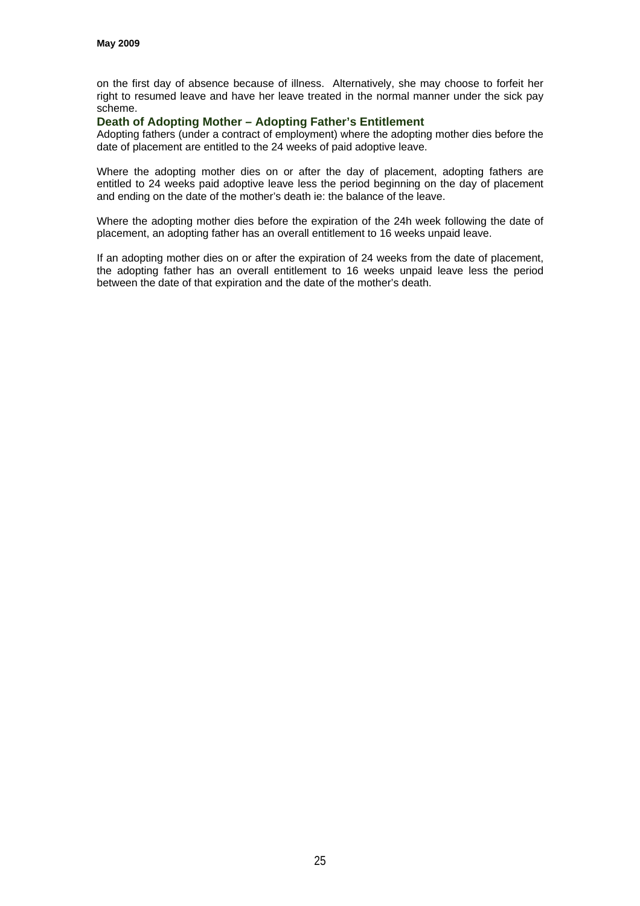on the first day of absence because of illness. Alternatively, she may choose to forfeit her right to resumed leave and have her leave treated in the normal manner under the sick pay scheme.

### **Death of Adopting Mother – Adopting Father's Entitlement**

Adopting fathers (under a contract of employment) where the adopting mother dies before the date of placement are entitled to the 24 weeks of paid adoptive leave.

Where the adopting mother dies on or after the day of placement, adopting fathers are entitled to 24 weeks paid adoptive leave less the period beginning on the day of placement and ending on the date of the mother's death ie: the balance of the leave.

Where the adopting mother dies before the expiration of the 24h week following the date of placement, an adopting father has an overall entitlement to 16 weeks unpaid leave.

If an adopting mother dies on or after the expiration of 24 weeks from the date of placement, the adopting father has an overall entitlement to 16 weeks unpaid leave less the period between the date of that expiration and the date of the mother's death.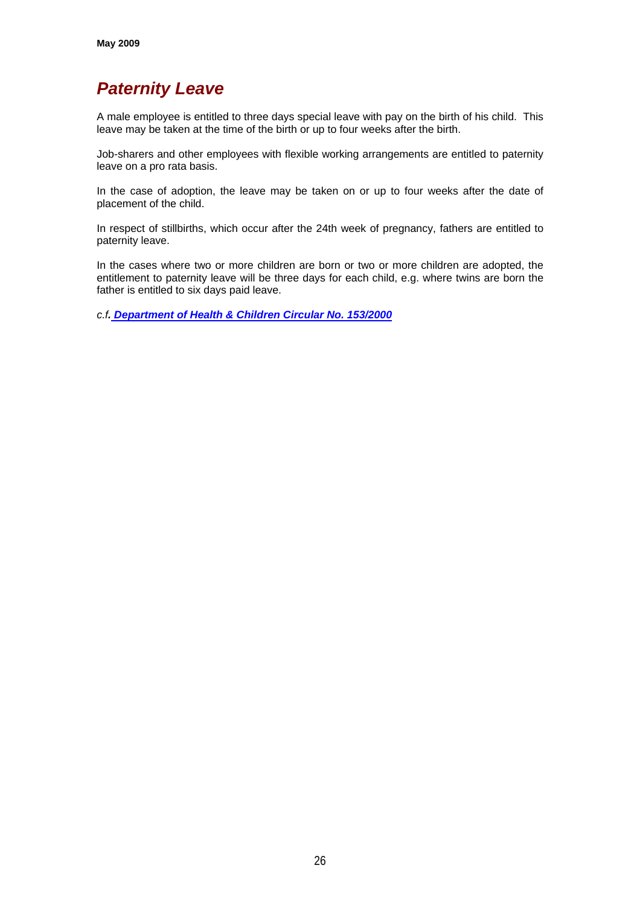### *Paternity Leave*

A male employee is entitled to three days special leave with pay on the birth of his child. This leave may be taken at the time of the birth or up to four weeks after the birth.

Job-sharers and other employees with flexible working arrangements are entitled to paternity leave on a pro rata basis.

In the case of adoption, the leave may be taken on or up to four weeks after the date of placement of the child.

In respect of stillbirths, which occur after the 24th week of pregnancy, fathers are entitled to paternity leave.

In the cases where two or more children are born or two or more children are adopted, the entitlement to paternity leave will be three days for each child, e.g. where twins are born the father is entitled to six days paid leave.

*c.f[. Department of Health & Children Circular No. 153/2000](http://www.hseea.ie//Circulars/00.12.12.DOHC.153.Paternity Leave.pdf)*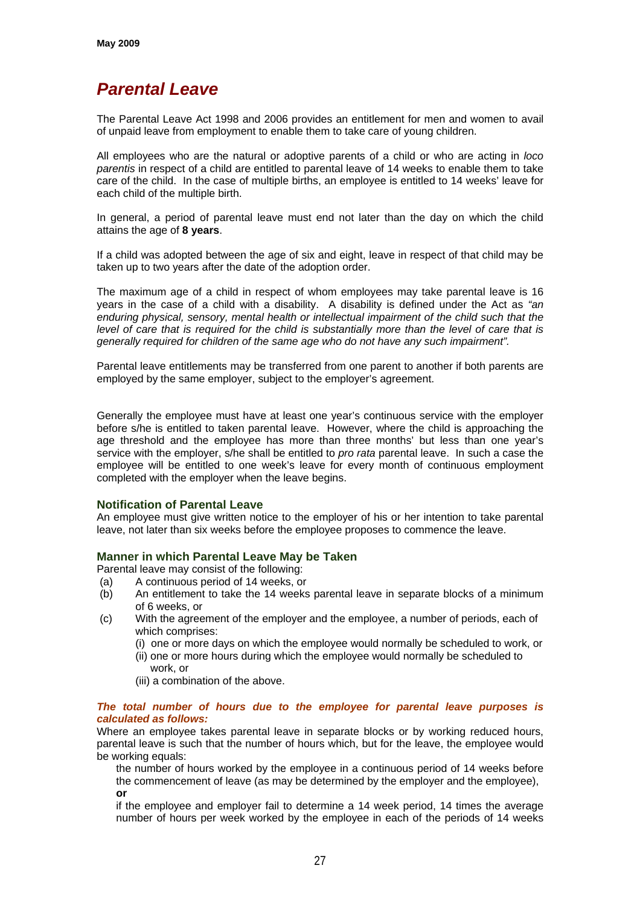### *Parental Leave*

The Parental Leave Act 1998 and 2006 provides an entitlement for men and women to avail of unpaid leave from employment to enable them to take care of young children.

All employees who are the natural or adoptive parents of a child or who are acting in *loco parentis* in respect of a child are entitled to parental leave of 14 weeks to enable them to take care of the child. In the case of multiple births, an employee is entitled to 14 weeks' leave for each child of the multiple birth.

In general, a period of parental leave must end not later than the day on which the child attains the age of **8 years**.

If a child was adopted between the age of six and eight, leave in respect of that child may be taken up to two years after the date of the adoption order.

The maximum age of a child in respect of whom employees may take parental leave is 16 years in the case of a child with a disability. A disability is defined under the Act as *"an enduring physical, sensory, mental health or intellectual impairment of the child such that the level of care that is required for the child is substantially more than the level of care that is generally required for children of the same age who do not have any such impairment".*

Parental leave entitlements may be transferred from one parent to another if both parents are employed by the same employer, subject to the employer's agreement.

Generally the employee must have at least one year's continuous service with the employer before s/he is entitled to taken parental leave. However, where the child is approaching the age threshold and the employee has more than three months' but less than one year's service with the employer, s/he shall be entitled to *pro rata* parental leave. In such a case the employee will be entitled to one week's leave for every month of continuous employment completed with the employer when the leave begins.

### **Notification of Parental Leave**

An employee must give written notice to the employer of his or her intention to take parental leave, not later than six weeks before the employee proposes to commence the leave.

### **Manner in which Parental Leave May be Taken**

Parental leave may consist of the following:

- (a) A continuous period of 14 weeks, or
- (b) An entitlement to take the 14 weeks parental leave in separate blocks of a minimum of 6 weeks, or
- (c) With the agreement of the employer and the employee, a number of periods, each of which comprises:
	- (i) one or more days on which the employee would normally be scheduled to work, or
	- (ii) one or more hours during which the employee would normally be scheduled to work, or
	- (iii) a combination of the above.

### *The total number of hours due to the employee for parental leave purposes is calculated as follows:*

Where an employee takes parental leave in separate blocks or by working reduced hours, parental leave is such that the number of hours which, but for the leave, the employee would be working equals:

the number of hours worked by the employee in a continuous period of 14 weeks before the commencement of leave (as may be determined by the employer and the employee), **or**

if the employee and employer fail to determine a 14 week period, 14 times the average number of hours per week worked by the employee in each of the periods of 14 weeks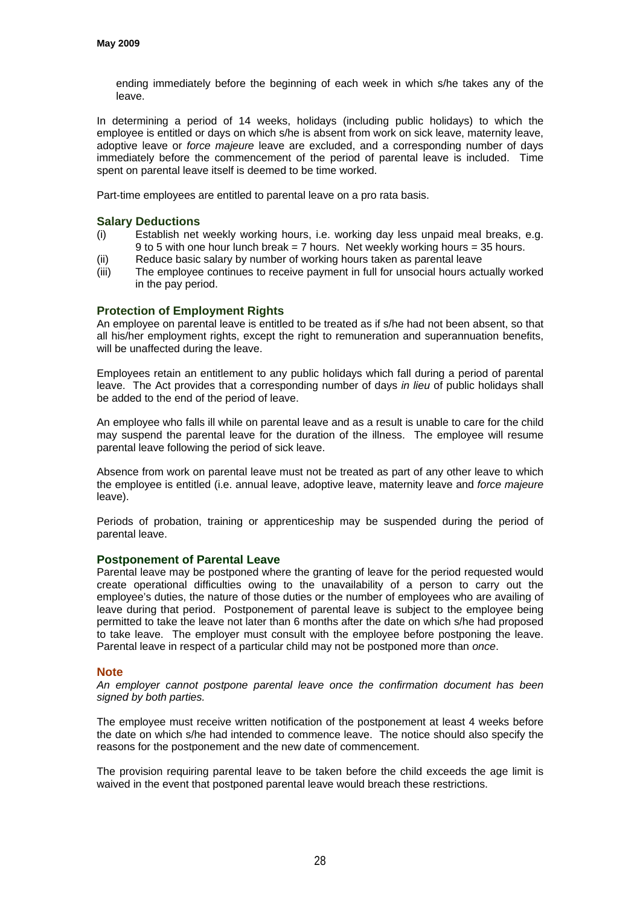ending immediately before the beginning of each week in which s/he takes any of the leave.

In determining a period of 14 weeks, holidays (including public holidays) to which the employee is entitled or days on which s/he is absent from work on sick leave, maternity leave, adoptive leave or *force majeure* leave are excluded, and a corresponding number of days immediately before the commencement of the period of parental leave is included. Time spent on parental leave itself is deemed to be time worked.

Part-time employees are entitled to parental leave on a pro rata basis.

### **Salary Deductions**

- (i) Establish net weekly working hours, i.e. working day less unpaid meal breaks, e.g. 9 to 5 with one hour lunch break = 7 hours. Net weekly working hours =  $35$  hours.
- (ii) Reduce basic salary by number of working hours taken as parental leave
- (iii) The employee continues to receive payment in full for unsocial hours actually worked in the pay period.

### **Protection of Employment Rights**

An employee on parental leave is entitled to be treated as if s/he had not been absent, so that all his/her employment rights, except the right to remuneration and superannuation benefits, will be unaffected during the leave.

Employees retain an entitlement to any public holidays which fall during a period of parental leave. The Act provides that a corresponding number of days *in lieu* of public holidays shall be added to the end of the period of leave.

An employee who falls ill while on parental leave and as a result is unable to care for the child may suspend the parental leave for the duration of the illness. The employee will resume parental leave following the period of sick leave.

Absence from work on parental leave must not be treated as part of any other leave to which the employee is entitled (i.e. annual leave, adoptive leave, maternity leave and *force majeure* leave).

Periods of probation, training or apprenticeship may be suspended during the period of parental leave.

### **Postponement of Parental Leave**

Parental leave may be postponed where the granting of leave for the period requested would create operational difficulties owing to the unavailability of a person to carry out the employee's duties, the nature of those duties or the number of employees who are availing of leave during that period. Postponement of parental leave is subject to the employee being permitted to take the leave not later than 6 months after the date on which s/he had proposed to take leave. The employer must consult with the employee before postponing the leave. Parental leave in respect of a particular child may not be postponed more than *once*.

### **Note**

*An employer cannot postpone parental leave once the confirmation document has been signed by both parties.* 

The employee must receive written notification of the postponement at least 4 weeks before the date on which s/he had intended to commence leave. The notice should also specify the reasons for the postponement and the new date of commencement.

The provision requiring parental leave to be taken before the child exceeds the age limit is waived in the event that postponed parental leave would breach these restrictions.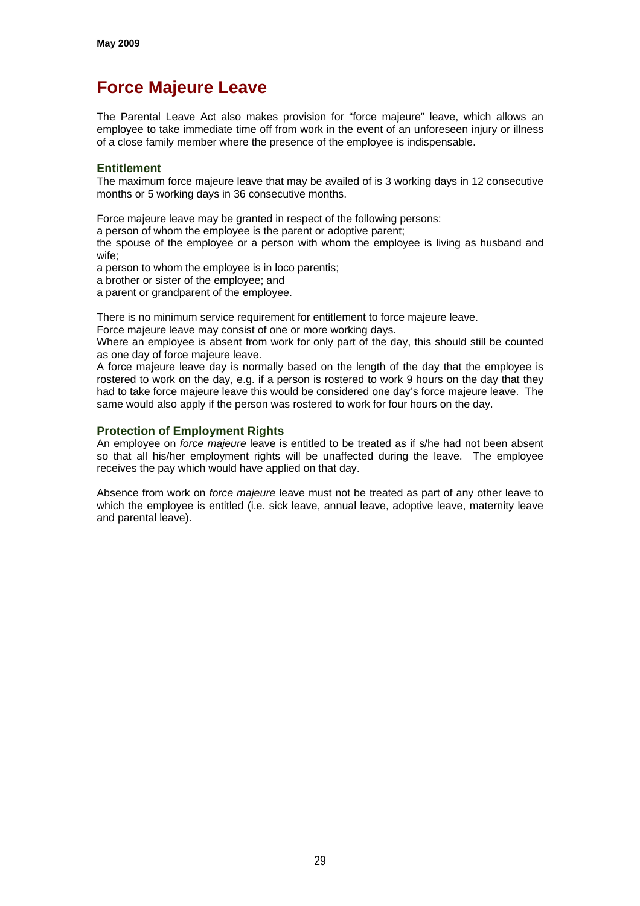### **Force Majeure Leave**

The Parental Leave Act also makes provision for "force majeure" leave, which allows an employee to take immediate time off from work in the event of an unforeseen injury or illness of a close family member where the presence of the employee is indispensable.

### **Entitlement**

The maximum force majeure leave that may be availed of is 3 working days in 12 consecutive months or 5 working days in 36 consecutive months.

Force majeure leave may be granted in respect of the following persons:

a person of whom the employee is the parent or adoptive parent;

the spouse of the employee or a person with whom the employee is living as husband and wife;

a person to whom the employee is in loco parentis;

a brother or sister of the employee; and

a parent or grandparent of the employee.

There is no minimum service requirement for entitlement to force majeure leave.

Force majeure leave may consist of one or more working days.

Where an employee is absent from work for only part of the day, this should still be counted as one day of force majeure leave.

A force majeure leave day is normally based on the length of the day that the employee is rostered to work on the day, e.g. if a person is rostered to work 9 hours on the day that they had to take force majeure leave this would be considered one day's force majeure leave. The same would also apply if the person was rostered to work for four hours on the day.

### **Protection of Employment Rights**

An employee on *force majeure* leave is entitled to be treated as if s/he had not been absent so that all his/her employment rights will be unaffected during the leave. The employee receives the pay which would have applied on that day.

Absence from work on *force majeure* leave must not be treated as part of any other leave to which the employee is entitled (i.e. sick leave, annual leave, adoptive leave, maternity leave and parental leave).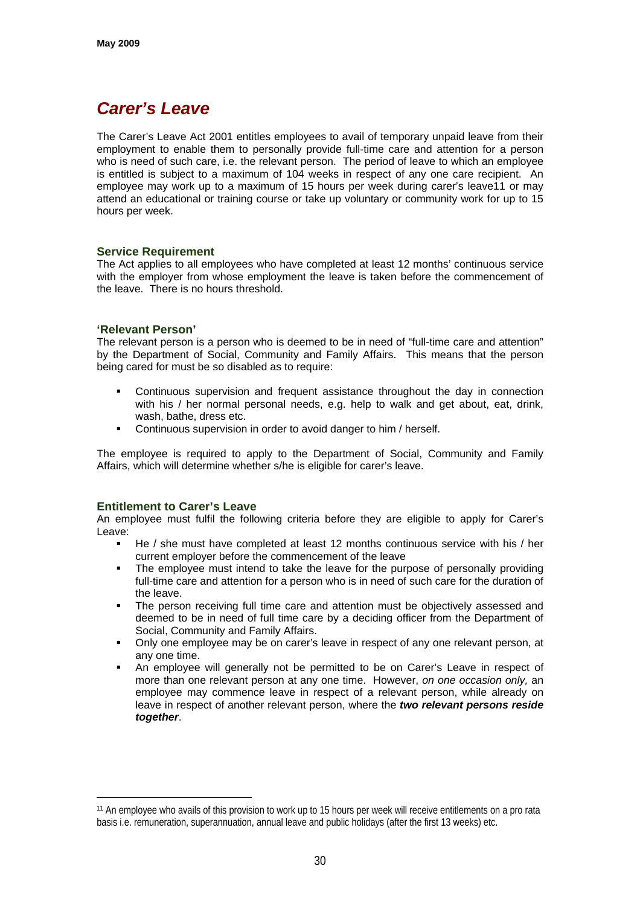### *Carer's Leave*

The Carer's Leave Act 2001 entitles employees to avail of temporary unpaid leave from their employment to enable them to personally provide full-time care and attention for a person who is need of such care, i.e. the relevant person. The period of leave to which an employee is entitled is subject to a maximum of 104 weeks in respect of any one care recipient. An employee may work up to a maximum of 15 hours per week during carer's leave[11](#page-29-0) or may attend an educational or training course or take up voluntary or community work for up to 15 hours per week.

### **Service Requirement**

The Act applies to all employees who have completed at least 12 months' continuous service with the employer from whose employment the leave is taken before the commencement of the leave. There is no hours threshold.

### **'Relevant Person'**

The relevant person is a person who is deemed to be in need of "full-time care and attention" by the Department of Social, Community and Family Affairs. This means that the person being cared for must be so disabled as to require:

- Continuous supervision and frequent assistance throughout the day in connection with his / her normal personal needs, e.g. help to walk and get about, eat, drink, wash, bathe, dress etc.
- Continuous supervision in order to avoid danger to him / herself.

The employee is required to apply to the Department of Social, Community and Family Affairs, which will determine whether s/he is eligible for carer's leave.

### **Entitlement to Carer's Leave**

 $\overline{a}$ 

An employee must fulfil the following criteria before they are eligible to apply for Carer's Leave:

- He / she must have completed at least 12 months continuous service with his / her current employer before the commencement of the leave
- The employee must intend to take the leave for the purpose of personally providing full-time care and attention for a person who is in need of such care for the duration of the leave.
- The person receiving full time care and attention must be objectively assessed and deemed to be in need of full time care by a deciding officer from the Department of Social, Community and Family Affairs.
- Only one employee may be on carer's leave in respect of any one relevant person, at any one time.
- An employee will generally not be permitted to be on Carer's Leave in respect of more than one relevant person at any one time. However, *on one occasion only,* an employee may commence leave in respect of a relevant person, while already on leave in respect of another relevant person, where the *two relevant persons reside together*.

<span id="page-29-0"></span><sup>11</sup> An employee who avails of this provision to work up to 15 hours per week will receive entitlements on a pro rata basis i.e. remuneration, superannuation, annual leave and public holidays (after the first 13 weeks) etc.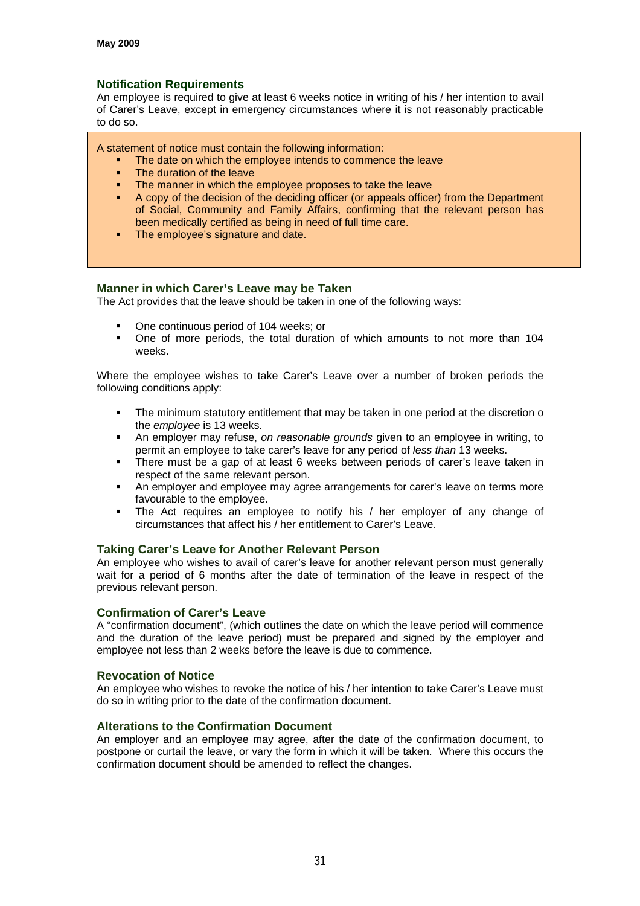### **Notification Requirements**

An employee is required to give at least 6 weeks notice in writing of his / her intention to avail of Carer's Leave, except in emergency circumstances where it is not reasonably practicable to do so.

A statement of notice must contain the following information:

- The date on which the employee intends to commence the leave
- The duration of the leave
- The manner in which the employee proposes to take the leave
- A copy of the decision of the deciding officer (or appeals officer) from the Department of Social, Community and Family Affairs, confirming that the relevant person has been medically certified as being in need of full time care.
- The employee's signature and date.

### **Manner in which Carer's Leave may be Taken**

The Act provides that the leave should be taken in one of the following ways:

- One continuous period of 104 weeks; or
- One of more periods, the total duration of which amounts to not more than 104 weeks.

Where the employee wishes to take Carer's Leave over a number of broken periods the following conditions apply:

- The minimum statutory entitlement that may be taken in one period at the discretion o the *employee* is 13 weeks.
- An employer may refuse, *on reasonable grounds* given to an employee in writing, to permit an employee to take carer's leave for any period of *less than* 13 weeks.
- There must be a gap of at least 6 weeks between periods of carer's leave taken in respect of the same relevant person.
- An employer and employee may agree arrangements for carer's leave on terms more favourable to the employee.
- The Act requires an employee to notify his / her employer of any change of circumstances that affect his / her entitlement to Carer's Leave.

### **Taking Carer's Leave for Another Relevant Person**

An employee who wishes to avail of carer's leave for another relevant person must generally wait for a period of 6 months after the date of termination of the leave in respect of the previous relevant person.

### **Confirmation of Carer's Leave**

A "confirmation document", (which outlines the date on which the leave period will commence and the duration of the leave period) must be prepared and signed by the employer and employee not less than 2 weeks before the leave is due to commence.

### **Revocation of Notice**

An employee who wishes to revoke the notice of his / her intention to take Carer's Leave must do so in writing prior to the date of the confirmation document.

### **Alterations to the Confirmation Document**

An employer and an employee may agree, after the date of the confirmation document, to postpone or curtail the leave, or vary the form in which it will be taken. Where this occurs the confirmation document should be amended to reflect the changes.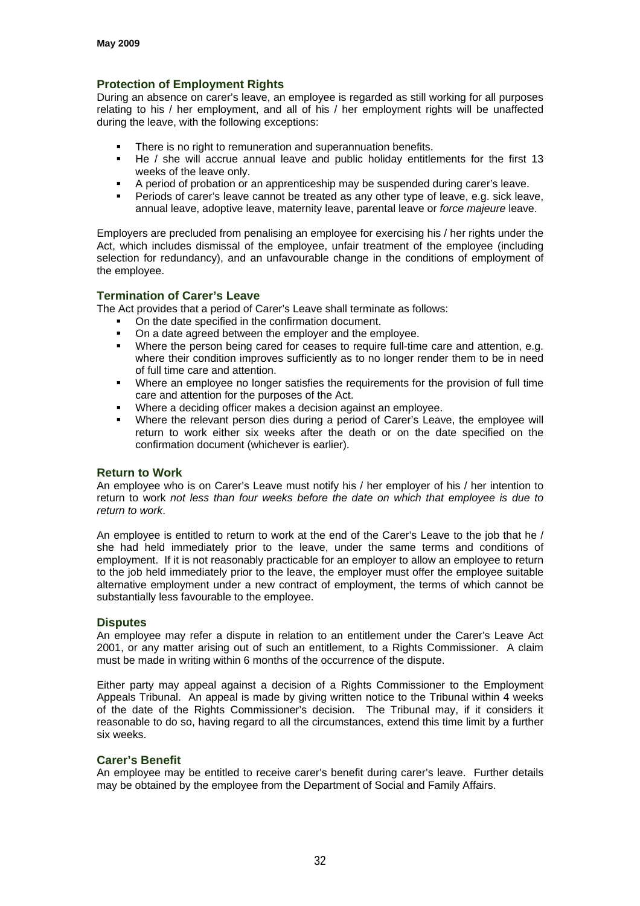### **Protection of Employment Rights**

During an absence on carer's leave, an employee is regarded as still working for all purposes relating to his / her employment, and all of his / her employment rights will be unaffected during the leave, with the following exceptions:

- There is no right to remuneration and superannuation benefits.
- He / she will accrue annual leave and public holiday entitlements for the first 13 weeks of the leave only.
- A period of probation or an apprenticeship may be suspended during carer's leave.
- Periods of carer's leave cannot be treated as any other type of leave, e.g. sick leave, annual leave, adoptive leave, maternity leave, parental leave or *force majeure* leave.

Employers are precluded from penalising an employee for exercising his / her rights under the Act, which includes dismissal of the employee, unfair treatment of the employee (including selection for redundancy), and an unfavourable change in the conditions of employment of the employee.

### **Termination of Carer's Leave**

The Act provides that a period of Carer's Leave shall terminate as follows:

- On the date specified in the confirmation document.
- On a date agreed between the employer and the employee.
- Where the person being cared for ceases to require full-time care and attention, e.g. where their condition improves sufficiently as to no longer render them to be in need of full time care and attention.
- Where an employee no longer satisfies the requirements for the provision of full time care and attention for the purposes of the Act.
- Where a deciding officer makes a decision against an employee.
- Where the relevant person dies during a period of Carer's Leave, the employee will return to work either six weeks after the death or on the date specified on the confirmation document (whichever is earlier).

### **Return to Work**

An employee who is on Carer's Leave must notify his / her employer of his / her intention to return to work *not less than four weeks before the date on which that employee is due to return to work*.

An employee is entitled to return to work at the end of the Carer's Leave to the job that he / she had held immediately prior to the leave, under the same terms and conditions of employment. If it is not reasonably practicable for an employer to allow an employee to return to the job held immediately prior to the leave, the employer must offer the employee suitable alternative employment under a new contract of employment, the terms of which cannot be substantially less favourable to the employee.

### **Disputes**

An employee may refer a dispute in relation to an entitlement under the Carer's Leave Act 2001, or any matter arising out of such an entitlement, to a Rights Commissioner. A claim must be made in writing within 6 months of the occurrence of the dispute.

Either party may appeal against a decision of a Rights Commissioner to the Employment Appeals Tribunal. An appeal is made by giving written notice to the Tribunal within 4 weeks of the date of the Rights Commissioner's decision. The Tribunal may, if it considers it reasonable to do so, having regard to all the circumstances, extend this time limit by a further six weeks.

### **Carer's Benefit**

An employee may be entitled to receive carer's benefit during carer's leave. Further details may be obtained by the employee from the Department of Social and Family Affairs.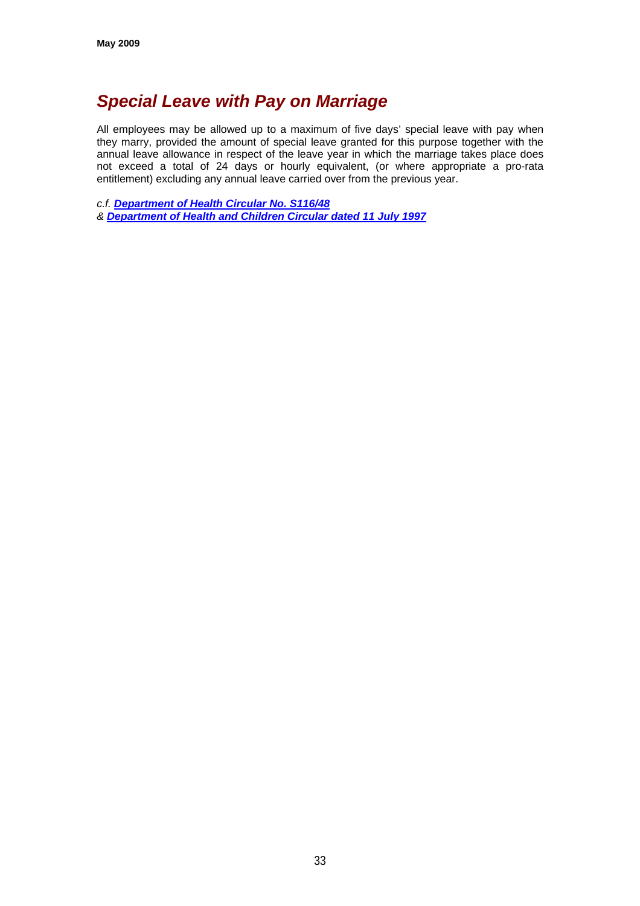### *Special Leave with Pay on Marriage*

All employees may be allowed up to a maximum of five days' special leave with pay when they marry, provided the amount of special leave granted for this purpose together with the annual leave allowance in respect of the leave year in which the marriage takes place does not exceed a total of 24 days or hourly equivalent, (or where appropriate a pro-rata entitlement) excluding any annual leave carried over from the previous year.

*c.f. [Department of Health Circular No. S116/48](http://www.hseea.ie//Circulars/83.08.26.DOH.August.Special Leave on the occasion of Marriage.pdf) & [Department of Health and Children Circular dated 11 July 1997](http://www.hseea.ie//Circulars/97.07.11.Application of Special Leave with Pay on Marriage to Non-Officer Grades.pdf)*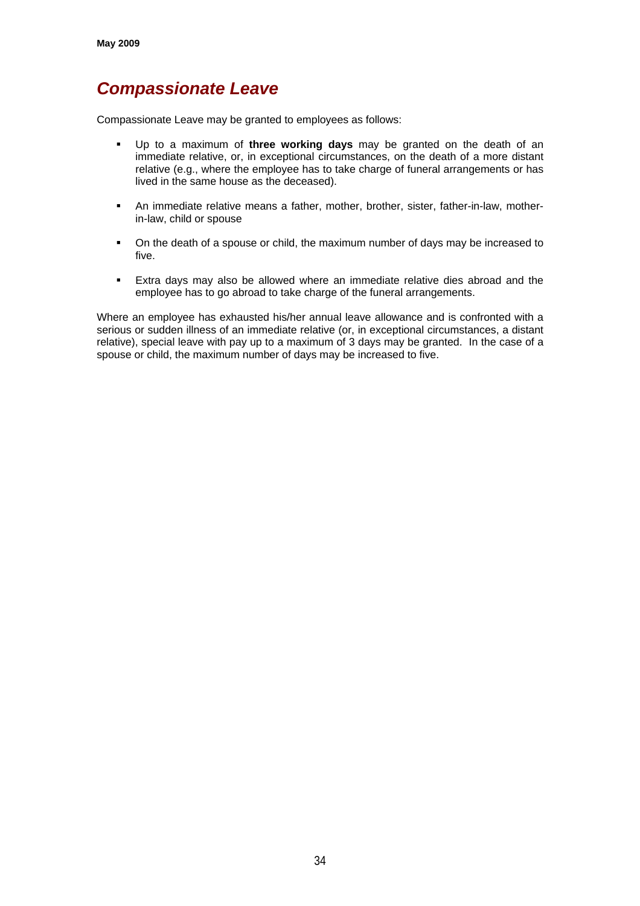### *Compassionate Leave*

Compassionate Leave may be granted to employees as follows:

- Up to a maximum of **three working days** may be granted on the death of an immediate relative, or, in exceptional circumstances, on the death of a more distant relative (e.g., where the employee has to take charge of funeral arrangements or has lived in the same house as the deceased).
- An immediate relative means a father, mother, brother, sister, father-in-law, motherin-law, child or spouse
- On the death of a spouse or child, the maximum number of days may be increased to five.
- Extra days may also be allowed where an immediate relative dies abroad and the employee has to go abroad to take charge of the funeral arrangements.

Where an employee has exhausted his/her annual leave allowance and is confronted with a serious or sudden illness of an immediate relative (or, in exceptional circumstances, a distant relative), special leave with pay up to a maximum of 3 days may be granted. In the case of a spouse or child, the maximum number of days may be increased to five.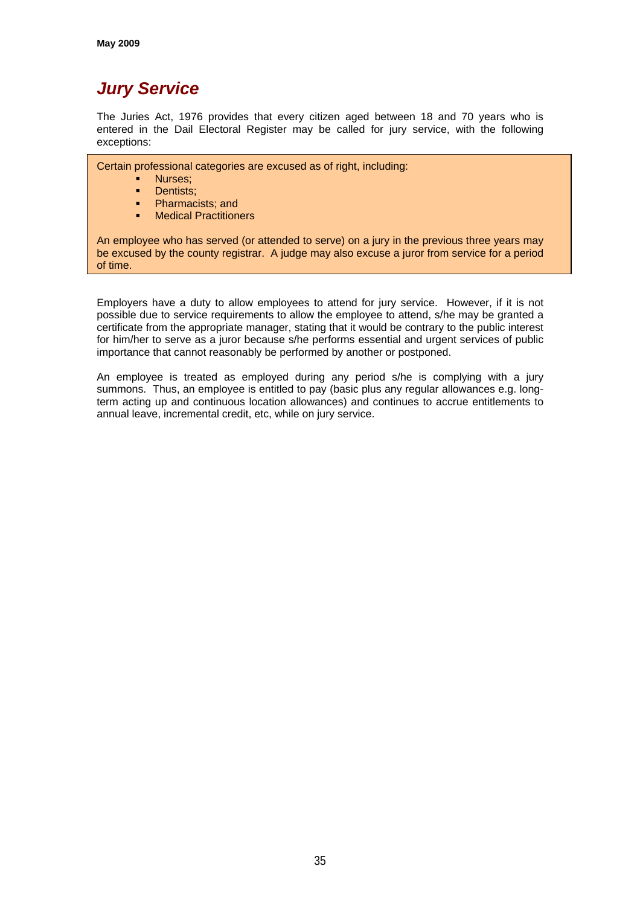### *Jury Service*

The Juries Act, 1976 provides that every citizen aged between 18 and 70 years who is entered in the Dail Electoral Register may be called for jury service, with the following exceptions:

Certain professional categories are excused as of right, including:

- Nurses;
- **-** Dentists;
- Pharmacists; and
- Medical Practitioners

An employee who has served (or attended to serve) on a jury in the previous three years may be excused by the county registrar. A judge may also excuse a juror from service for a period of time.

Employers have a duty to allow employees to attend for jury service. However, if it is not possible due to service requirements to allow the employee to attend, s/he may be granted a certificate from the appropriate manager, stating that it would be contrary to the public interest for him/her to serve as a juror because s/he performs essential and urgent services of public importance that cannot reasonably be performed by another or postponed.

An employee is treated as employed during any period s/he is complying with a jury summons. Thus, an employee is entitled to pay (basic plus any regular allowances e.g. longterm acting up and continuous location allowances) and continues to accrue entitlements to annual leave, incremental credit, etc, while on jury service.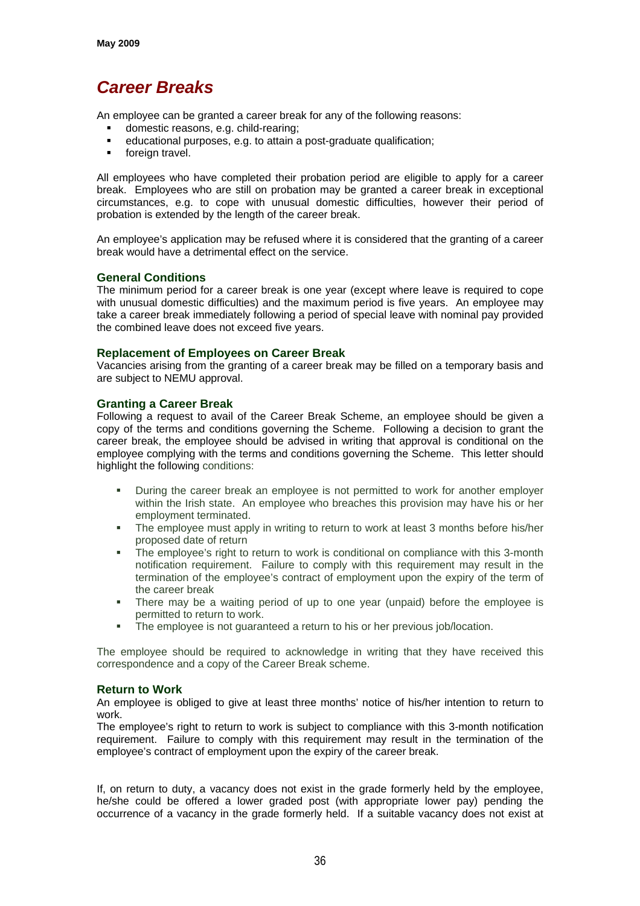### *Career Breaks*

An employee can be granted a career break for any of the following reasons:

- domestic reasons, e.g. child-rearing;
- educational purposes, e.g. to attain a post-graduate qualification;<br>
strian travel
- foreign travel.

All employees who have completed their probation period are eligible to apply for a career break. Employees who are still on probation may be granted a career break in exceptional circumstances, e.g. to cope with unusual domestic difficulties, however their period of probation is extended by the length of the career break.

An employee's application may be refused where it is considered that the granting of a career break would have a detrimental effect on the service.

### **General Conditions**

The minimum period for a career break is one year (except where leave is required to cope with unusual domestic difficulties) and the maximum period is five years. An employee may take a career break immediately following a period of special leave with nominal pay provided the combined leave does not exceed five years.

### **Replacement of Employees on Career Break**

Vacancies arising from the granting of a career break may be filled on a temporary basis and are subject to NEMU approval.

### **Granting a Career Break**

Following a request to avail of the Career Break Scheme, an employee should be given a copy of the terms and conditions governing the Scheme. Following a decision to grant the career break, the employee should be advised in writing that approval is conditional on the employee complying with the terms and conditions governing the Scheme. This letter should highlight the following conditions:

- **During the career break an employee is not permitted to work for another employer** within the Irish state. An employee who breaches this provision may have his or her employment terminated.
- The employee must apply in writing to return to work at least 3 months before his/her proposed date of return
- The employee's right to return to work is conditional on compliance with this 3-month notification requirement. Failure to comply with this requirement may result in the termination of the employee's contract of employment upon the expiry of the term of the career break
- There may be a waiting period of up to one year (unpaid) before the employee is permitted to return to work.
- **The employee is not guaranteed a return to his or her previous job/location.**

The employee should be required to acknowledge in writing that they have received this correspondence and a copy of the Career Break scheme.

### **Return to Work**

An employee is obliged to give at least three months' notice of his/her intention to return to work.

The employee's right to return to work is subject to compliance with this 3-month notification requirement. Failure to comply with this requirement may result in the termination of the employee's contract of employment upon the expiry of the career break.

If, on return to duty, a vacancy does not exist in the grade formerly held by the employee, he/she could be offered a lower graded post (with appropriate lower pay) pending the occurrence of a vacancy in the grade formerly held. If a suitable vacancy does not exist at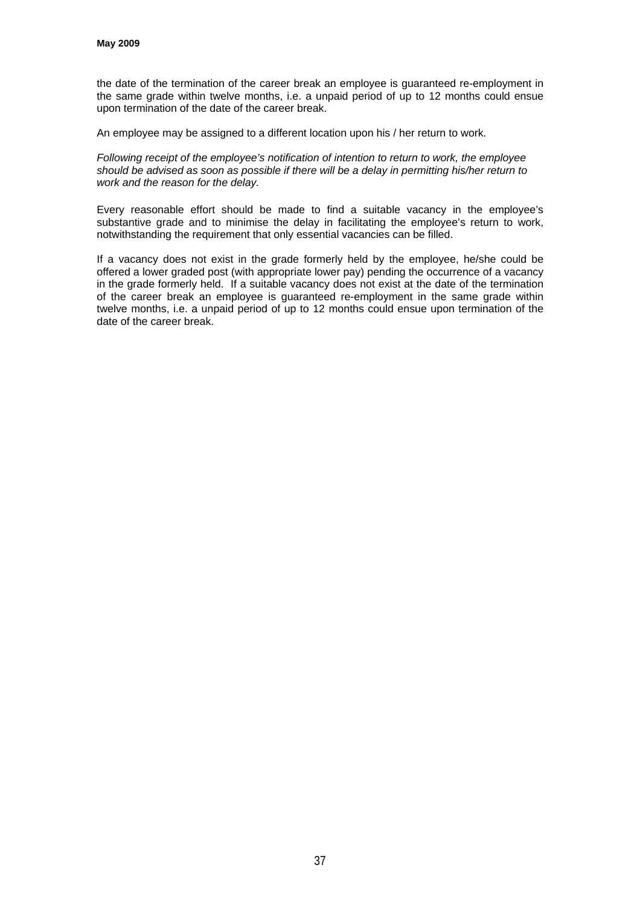the date of the termination of the career break an employee is guaranteed re-employment in the same grade within twelve months, i.e. a unpaid period of up to 12 months could ensue upon termination of the date of the career break.

An employee may be assigned to a different location upon his / her return to work.

*Following receipt of the employee's notification of intention to return to work, the employee should be advised as soon as possible if there will be a delay in permitting his/her return to work and the reason for the delay.* 

Every reasonable effort should be made to find a suitable vacancy in the employee's substantive grade and to minimise the delay in facilitating the employee's return to work, notwithstanding the requirement that only essential vacancies can be filled.

If a vacancy does not exist in the grade formerly held by the employee, he/she could be offered a lower graded post (with appropriate lower pay) pending the occurrence of a vacancy in the grade formerly held. If a suitable vacancy does not exist at the date of the termination of the career break an employee is guaranteed re-employment in the same grade within twelve months, i.e. a unpaid period of up to 12 months could ensue upon termination of the date of the career break.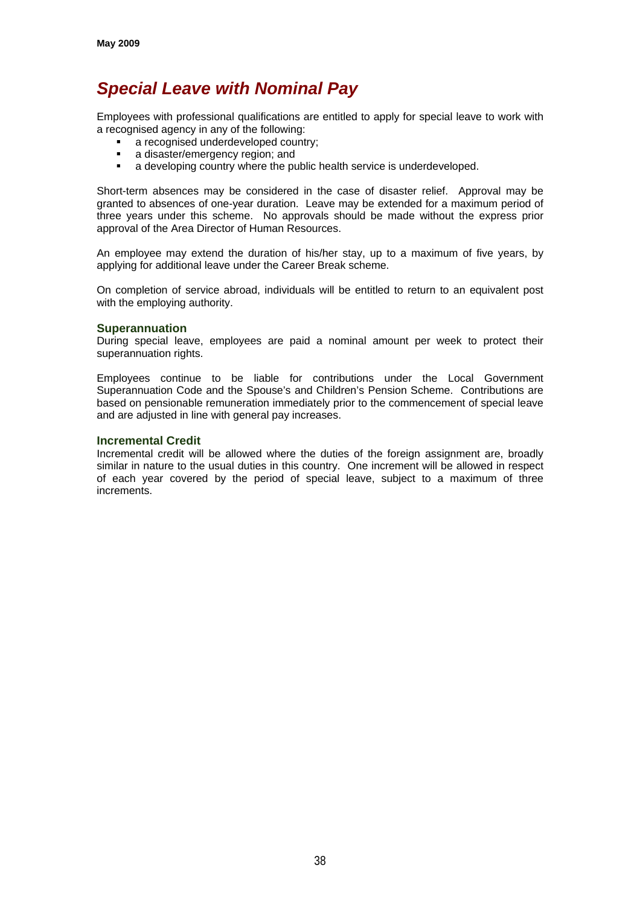### *Special Leave with Nominal Pay*

Employees with professional qualifications are entitled to apply for special leave to work with a recognised agency in any of the following:

- a recognised underdeveloped country:
- a disaster/emergency region; and
- a developing country where the public health service is underdeveloped.

Short-term absences may be considered in the case of disaster relief. Approval may be granted to absences of one-year duration. Leave may be extended for a maximum period of three years under this scheme. No approvals should be made without the express prior approval of the Area Director of Human Resources.

An employee may extend the duration of his/her stay, up to a maximum of five years, by applying for additional leave under the Career Break scheme.

On completion of service abroad, individuals will be entitled to return to an equivalent post with the employing authority.

### **Superannuation**

During special leave, employees are paid a nominal amount per week to protect their superannuation rights.

Employees continue to be liable for contributions under the Local Government Superannuation Code and the Spouse's and Children's Pension Scheme. Contributions are based on pensionable remuneration immediately prior to the commencement of special leave and are adjusted in line with general pay increases.

### **Incremental Credit**

Incremental credit will be allowed where the duties of the foreign assignment are, broadly similar in nature to the usual duties in this country. One increment will be allowed in respect of each year covered by the period of special leave, subject to a maximum of three increments.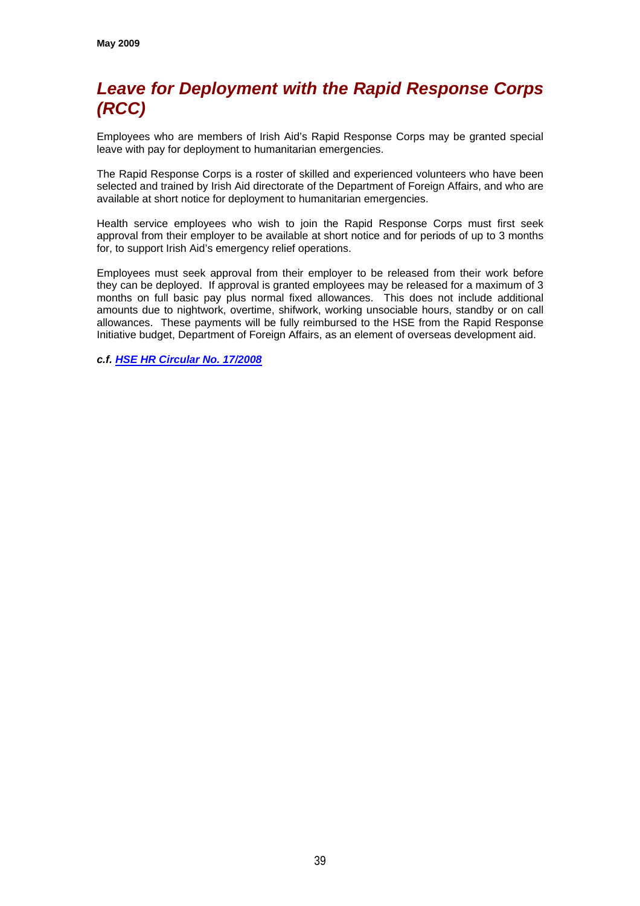### *Leave for Deployment with the Rapid Response Corps (RCC)*

Employees who are members of Irish Aid's Rapid Response Corps may be granted special leave with pay for deployment to humanitarian emergencies.

The Rapid Response Corps is a roster of skilled and experienced volunteers who have been selected and trained by Irish Aid directorate of the Department of Foreign Affairs, and who are available at short notice for deployment to humanitarian emergencies.

Health service employees who wish to join the Rapid Response Corps must first seek approval from their employer to be available at short notice and for periods of up to 3 months for, to support Irish Aid's emergency relief operations.

Employees must seek approval from their employer to be released from their work before they can be deployed. If approval is granted employees may be released for a maximum of 3 months on full basic pay plus normal fixed allowances. This does not include additional amounts due to nightwork, overtime, shifwork, working unsociable hours, standby or on call allowances. These payments will be fully reimbursed to the HSE from the Rapid Response Initiative budget, Department of Foreign Affairs, as an element of overseas development aid.

*c.f. [HSE HR Circular No. 17/2008](http://www.hseea.ie//Circulars/HSE HR Circular 17-2008 re Deployment with the RRC.pdf)*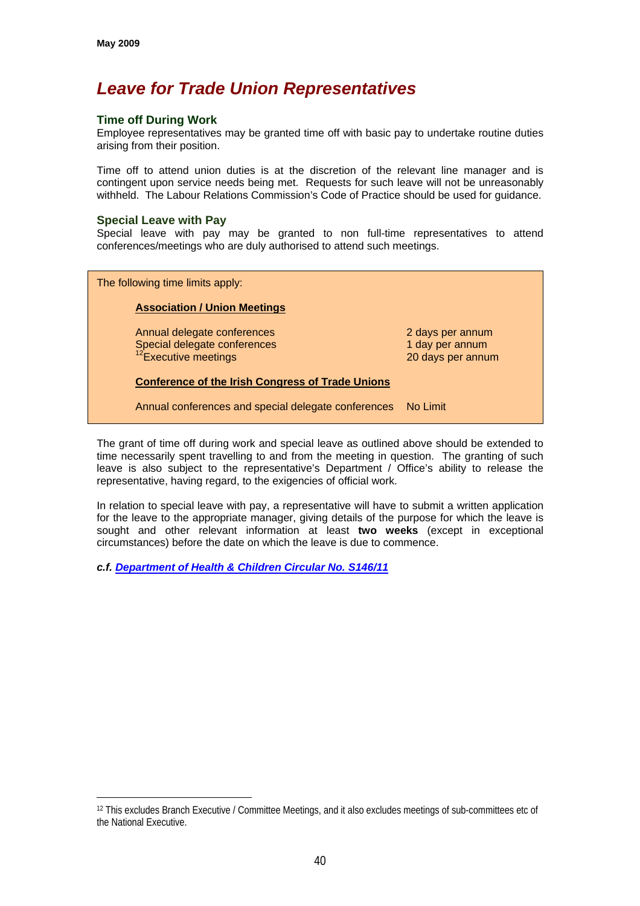$\overline{a}$ 

### *Leave for Trade Union Representatives*

### **Time off During Work**

Employee representatives may be granted time off with basic pay to undertake routine duties arising from their position.

Time off to attend union duties is at the discretion of the relevant line manager and is contingent upon service needs being met. Requests for such leave will not be unreasonably withheld. The Labour Relations Commission's Code of Practice should be used for guidance.

### **Special Leave with Pay**

Special leave with pay may be granted to non full-time representatives to attend conferences/meetings who are duly authorised to attend such meetings.

The following time limits apply:

### **Association / Union Meetings**

Annual delegate conferences 2 days per annum Special delegate conferences 1 day per annum <sup>12</sup>Executive meetings 20 days per annum

### **Conference of the Irish Congress of Trade Unions**

Annual conferences and special delegate conferences No Limit

The grant of time off during work and special leave as outlined above should be extended to time necessarily spent travelling to and from the meeting in question. The granting of such leave is also subject to the representative's Department / Office's ability to release the representative, having regard, to the exigencies of official work.

In relation to special leave with pay, a representative will have to submit a written application for the leave to the appropriate manager, giving details of the purpose for which the leave is sought and other relevant information at least **two weeks** (except in exceptional circumstances) before the date on which the leave is due to commence.

*c.f. [Department of Health & Children Circular No. S146/11](http://www.hseea.ie//Circulars/84.02.14.DOH.Facilities available to Mon Full Time Representatives of Unions.pdf)*

<span id="page-39-0"></span><sup>12</sup> This excludes Branch Executive / Committee Meetings, and it also excludes meetings of sub-committees etc of the National Executive.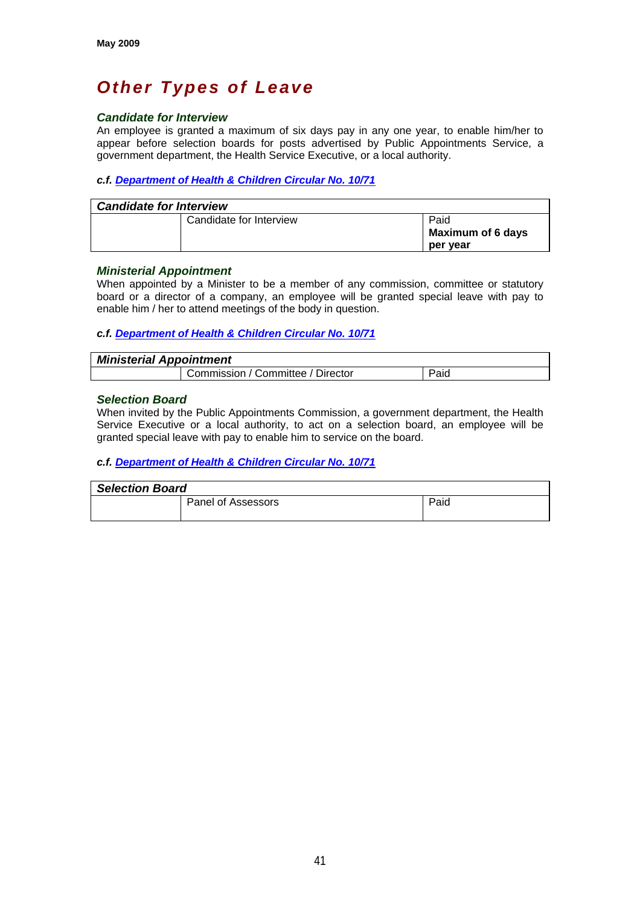### *Other Types of Leave*

### *Candidate for Interview*

An employee is granted a maximum of six days pay in any one year, to enable him/her to appear before selection boards for posts advertised by Public Appointments Service, a government department, the Health Service Executive, or a local authority.

### *c.f. [Department of Health & Children Circular No. 10/71](http://www.hseea.ie//Circulars/71_03_29_DOH_10_Appointment and Conditions of Service of Officers and Servants under HBs1.pdf)*

| <b>Candidate for Interview</b> |                         |                          |
|--------------------------------|-------------------------|--------------------------|
|                                | Candidate for Interview | Paid                     |
|                                |                         | <b>Maximum of 6 days</b> |
|                                |                         | per vear                 |

### *Ministerial Appointment*

When appointed by a Minister to be a member of any commission, committee or statutory board or a director of a company, an employee will be granted special leave with pay to enable him / her to attend meetings of the body in question.

### *c.f. [Department of Health & Children Circular No. 10/71](http://www.hseea.ie//Circulars/71_03_29_DOH_10_Appointment and Conditions of Service of Officers and Servants under HBs1.pdf)*

| <b>Ministerial Appointment</b> |                                   |      |  |
|--------------------------------|-----------------------------------|------|--|
|                                | Commission / Committee / Director | Paid |  |

### *Selection Board*

When invited by the Public Appointments Commission, a government department, the Health Service Executive or a local authority, to act on a selection board, an employee will be granted special leave with pay to enable him to service on the board.

### *c.f. [Department of Health & Children Circular No. 10/71](http://www.hseea.ie//Circulars/71_03_29_DOH_10_Appointment and Conditions of Service of Officers and Servants under HBs1.pdf)*

### *Selection Board*

|  | Panel of Assessors | Paid |  |
|--|--------------------|------|--|
|  |                    |      |  |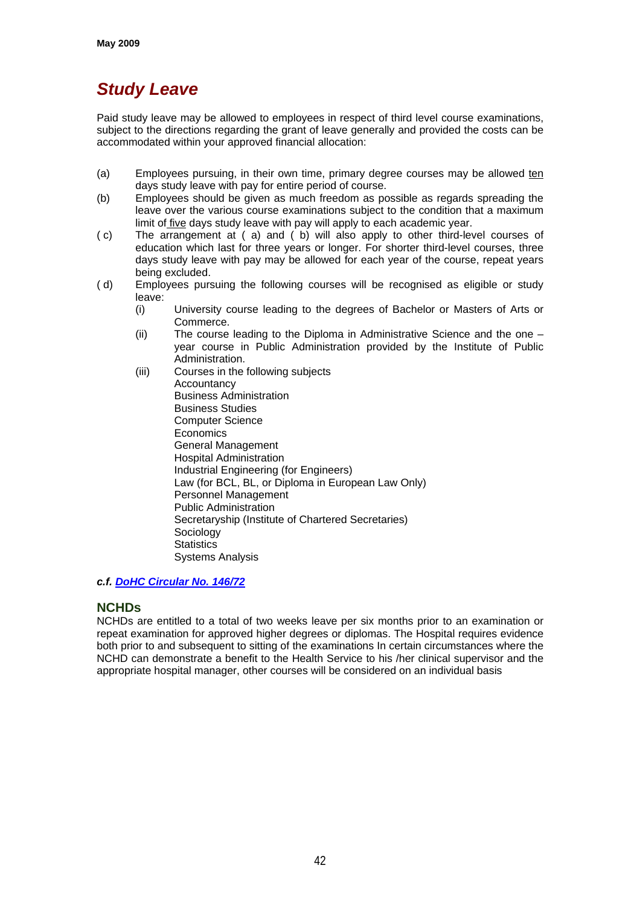### *Study Leave*

Paid study leave may be allowed to employees in respect of third level course examinations, subject to the directions regarding the grant of leave generally and provided the costs can be accommodated within your approved financial allocation:

- (a) Employees pursuing, in their own time, primary degree courses may be allowed ten days study leave with pay for entire period of course.
- (b) Employees should be given as much freedom as possible as regards spreading the leave over the various course examinations subject to the condition that a maximum limit of five days study leave with pay will apply to each academic year.
- ( c) The arrangement at ( a) and ( b) will also apply to other third-level courses of education which last for three years or longer. For shorter third-level courses, three days study leave with pay may be allowed for each year of the course, repeat years being excluded.
- ( d) Employees pursuing the following courses will be recognised as eligible or study leave:
	- (i) University course leading to the degrees of Bachelor or Masters of Arts or Commerce.
	- (ii) The course leading to the Diploma in Administrative Science and the one year course in Public Administration provided by the Institute of Public Administration.
	- (iii) Courses in the following subjects **Accountancy**  Business Administration Business Studies Computer Science **Economics**  General Management Hospital Administration Industrial Engineering (for Engineers) Law (for BCL, BL, or Diploma in European Law Only) Personnel Management Public Administration Secretaryship (Institute of Chartered Secretaries) **Sociology Statistics** Systems Analysis

### *c.f. [DoHC Circular No. 146/72](http://www.hseea.ie//Circulars/80.10.10.DOH.Paid Study Leave for Third Level Examinations.pdf)*

### **NCHDs**

NCHDs are entitled to a total of two weeks leave per six months prior to an examination or repeat examination for approved higher degrees or diplomas. The Hospital requires evidence both prior to and subsequent to sitting of the examinations In certain circumstances where the NCHD can demonstrate a benefit to the Health Service to his /her clinical supervisor and the appropriate hospital manager, other courses will be considered on an individual basis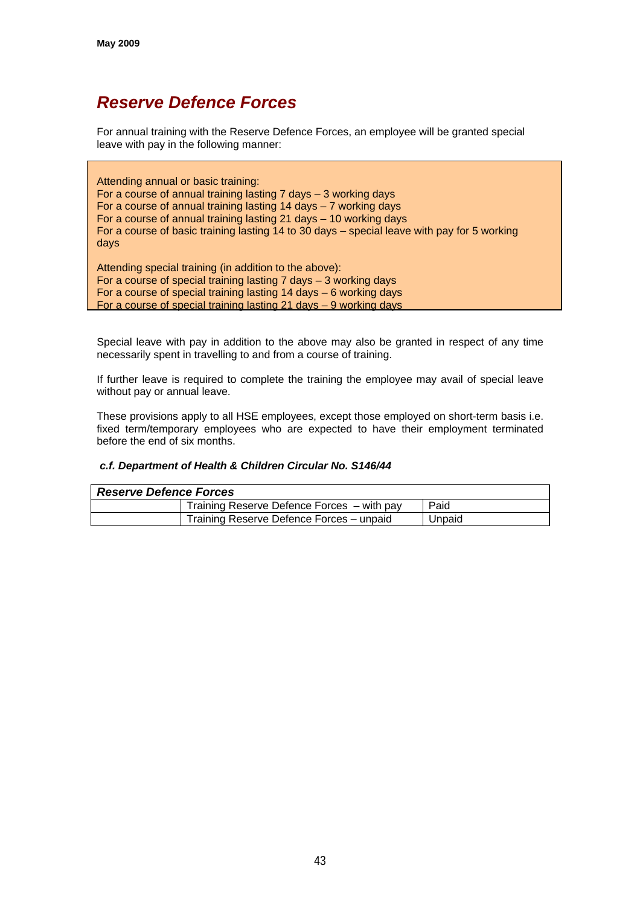### *Reserve Defence Forces*

For annual training with the Reserve Defence Forces, an employee will be granted special leave with pay in the following manner:

Attending annual or basic training: For a course of annual training lasting 7 days – 3 working days For a course of annual training lasting 14 days – 7 working days For a course of annual training lasting 21 days – 10 working days For a course of basic training lasting 14 to 30 days – special leave with pay for 5 working days

Attending special training (in addition to the above): For a course of special training lasting 7 days – 3 working days For a course of special training lasting 14 days – 6 working days For a course of special training lasting 21 days – 9 working days

Special leave with pay in addition to the above may also be granted in respect of any time necessarily spent in travelling to and from a course of training.

If further leave is required to complete the training the employee may avail of special leave without pay or annual leave.

These provisions apply to all HSE employees, except those employed on short-term basis i.e. fixed term/temporary employees who are expected to have their employment terminated before the end of six months.

### *c.f. Department of Health & Children Circular No. S146/44*

### *Reserve Defence Forces*

|  | Training Reserve Defence Forces - with pay | Paid   |  |
|--|--------------------------------------------|--------|--|
|  | Training Reserve Defence Forces - unpaid   | Unpaid |  |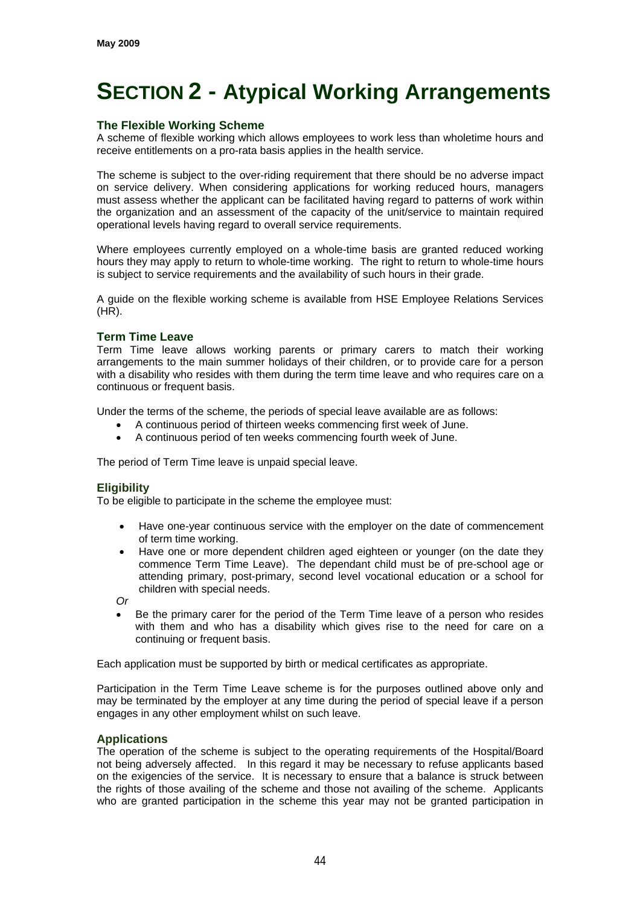# **SECTION 2 - Atypical Working Arrangements**

### **The Flexible Working Scheme**

A scheme of flexible working which allows employees to work less than wholetime hours and receive entitlements on a pro-rata basis applies in the health service.

The scheme is subject to the over-riding requirement that there should be no adverse impact on service delivery. When considering applications for working reduced hours, managers must assess whether the applicant can be facilitated having regard to patterns of work within the organization and an assessment of the capacity of the unit/service to maintain required operational levels having regard to overall service requirements.

Where employees currently employed on a whole-time basis are granted reduced working hours they may apply to return to whole-time working. The right to return to whole-time hours is subject to service requirements and the availability of such hours in their grade.

A guide on the flexible working scheme is available from HSE Employee Relations Services (HR).

### **Term Time Leave**

Term Time leave allows working parents or primary carers to match their working arrangements to the main summer holidays of their children, or to provide care for a person with a disability who resides with them during the term time leave and who requires care on a continuous or frequent basis.

Under the terms of the scheme, the periods of special leave available are as follows:

- A continuous period of thirteen weeks commencing first week of June.
- A continuous period of ten weeks commencing fourth week of June.

The period of Term Time leave is unpaid special leave.

### **Eligibility**

To be eligible to participate in the scheme the employee must:

- Have one-year continuous service with the employer on the date of commencement of term time working.
- Have one or more dependent children aged eighteen or younger (on the date they commence Term Time Leave). The dependant child must be of pre-school age or attending primary, post-primary, second level vocational education or a school for children with special needs.

*Or* 

• Be the primary carer for the period of the Term Time leave of a person who resides with them and who has a disability which gives rise to the need for care on a continuing or frequent basis.

Each application must be supported by birth or medical certificates as appropriate.

Participation in the Term Time Leave scheme is for the purposes outlined above only and may be terminated by the employer at any time during the period of special leave if a person engages in any other employment whilst on such leave.

### **Applications**

The operation of the scheme is subject to the operating requirements of the Hospital/Board not being adversely affected. In this regard it may be necessary to refuse applicants based on the exigencies of the service. It is necessary to ensure that a balance is struck between the rights of those availing of the scheme and those not availing of the scheme. Applicants who are granted participation in the scheme this year may not be granted participation in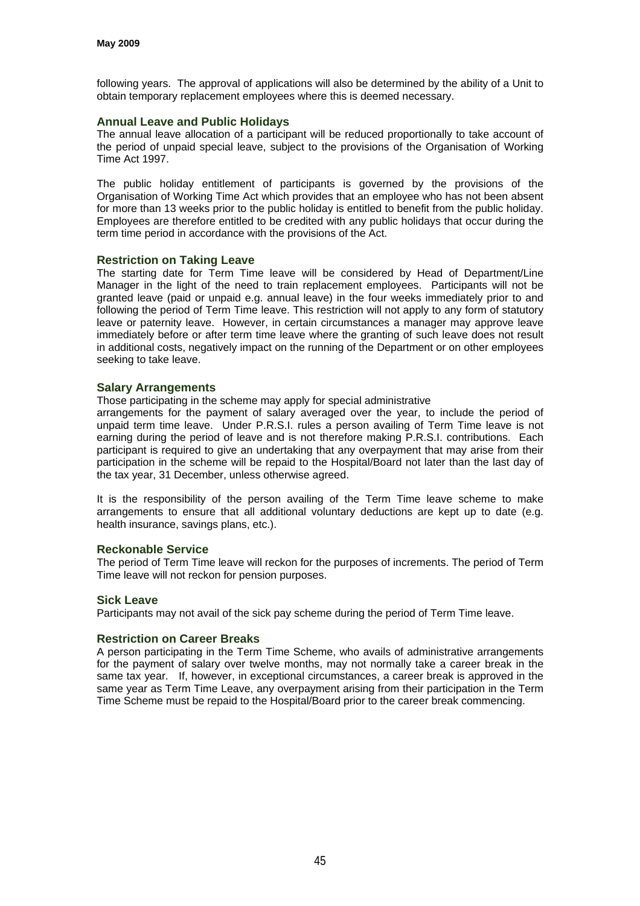following years. The approval of applications will also be determined by the ability of a Unit to obtain temporary replacement employees where this is deemed necessary.

### **Annual Leave and Public Holidays**

The annual leave allocation of a participant will be reduced proportionally to take account of the period of unpaid special leave, subject to the provisions of the Organisation of Working Time Act 1997.

The public holiday entitlement of participants is governed by the provisions of the Organisation of Working Time Act which provides that an employee who has not been absent for more than 13 weeks prior to the public holiday is entitled to benefit from the public holiday. Employees are therefore entitled to be credited with any public holidays that occur during the term time period in accordance with the provisions of the Act.

### **Restriction on Taking Leave**

The starting date for Term Time leave will be considered by Head of Department/Line Manager in the light of the need to train replacement employees. Participants will not be granted leave (paid or unpaid e.g. annual leave) in the four weeks immediately prior to and following the period of Term Time leave. This restriction will not apply to any form of statutory leave or paternity leave. However, in certain circumstances a manager may approve leave immediately before or after term time leave where the granting of such leave does not result in additional costs, negatively impact on the running of the Department or on other employees seeking to take leave.

### **Salary Arrangements**

Those participating in the scheme may apply for special administrative

arrangements for the payment of salary averaged over the year, to include the period of unpaid term time leave. Under P.R.S.I. rules a person availing of Term Time leave is not earning during the period of leave and is not therefore making P.R.S.I. contributions. Each participant is required to give an undertaking that any overpayment that may arise from their participation in the scheme will be repaid to the Hospital/Board not later than the last day of the tax year, 31 December, unless otherwise agreed.

It is the responsibility of the person availing of the Term Time leave scheme to make arrangements to ensure that all additional voluntary deductions are kept up to date (e.g. health insurance, savings plans, etc.).

### **Reckonable Service**

The period of Term Time leave will reckon for the purposes of increments. The period of Term Time leave will not reckon for pension purposes.

### **Sick Leave**

Participants may not avail of the sick pay scheme during the period of Term Time leave.

### **Restriction on Career Breaks**

A person participating in the Term Time Scheme, who avails of administrative arrangements for the payment of salary over twelve months, may not normally take a career break in the same tax year. If, however, in exceptional circumstances, a career break is approved in the same year as Term Time Leave, any overpayment arising from their participation in the Term Time Scheme must be repaid to the Hospital/Board prior to the career break commencing.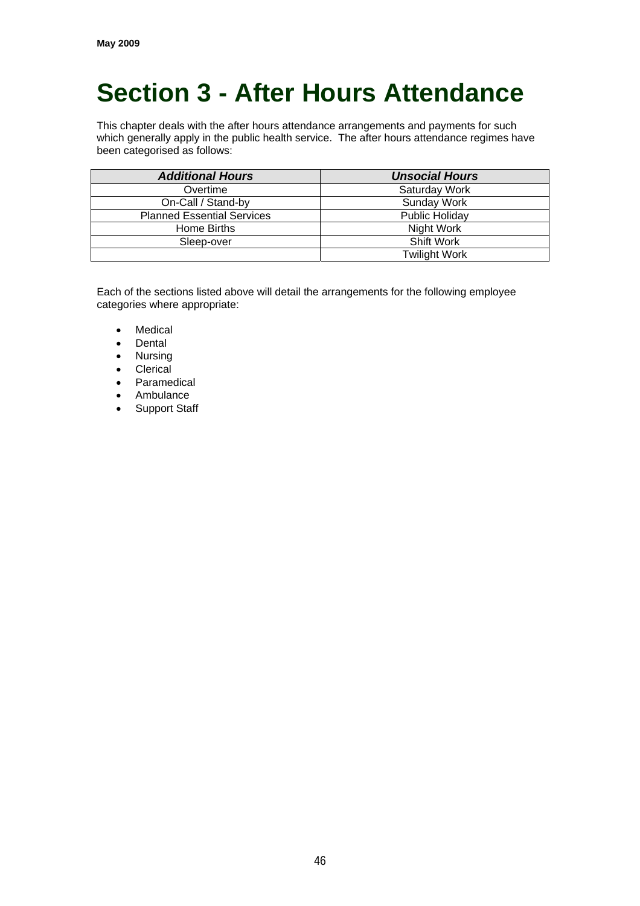# **Section 3 - After Hours Attendance**

This chapter deals with the after hours attendance arrangements and payments for such which generally apply in the public health service. The after hours attendance regimes have been categorised as follows:

| <b>Additional Hours</b>           | <b>Unsocial Hours</b> |
|-----------------------------------|-----------------------|
| Overtime                          | Saturday Work         |
| On-Call / Stand-by                | Sunday Work           |
| <b>Planned Essential Services</b> | Public Holiday        |
| Home Births                       | Night Work            |
| Sleep-over                        | <b>Shift Work</b>     |
|                                   | <b>Twilight Work</b>  |

Each of the sections listed above will detail the arrangements for the following employee categories where appropriate:

- Medical
- Dental
- Nursing
- Clerical
- Paramedical
- Ambulance
- Support Staff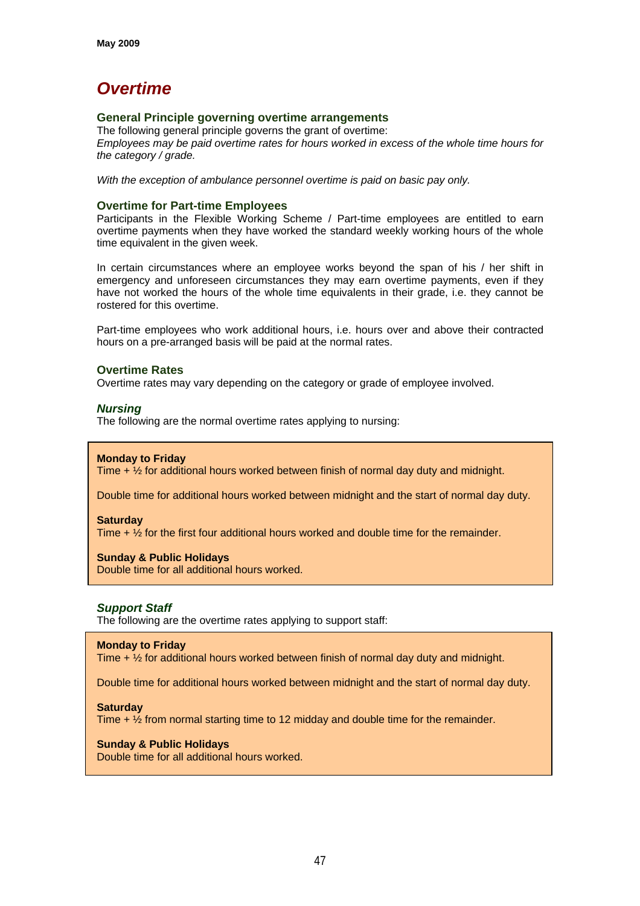### *Overtime*

### **General Principle governing overtime arrangements**

The following general principle governs the grant of overtime: *Employees may be paid overtime rates for hours worked in excess of the whole time hours for the category / grade.* 

*With the exception of ambulance personnel overtime is paid on basic pay only.*

### **Overtime for Part-time Employees**

Participants in the Flexible Working Scheme / Part-time employees are entitled to earn overtime payments when they have worked the standard weekly working hours of the whole time equivalent in the given week.

In certain circumstances where an employee works beyond the span of his / her shift in emergency and unforeseen circumstances they may earn overtime payments, even if they have not worked the hours of the whole time equivalents in their grade, i.e. they cannot be rostered for this overtime.

Part-time employees who work additional hours, i.e. hours over and above their contracted hours on a pre-arranged basis will be paid at the normal rates.

### **Overtime Rates**

Overtime rates may vary depending on the category or grade of employee involved.

### *Nursing*

The following are the normal overtime rates applying to nursing:

### **Monday to Friday**

Time  $+$   $\frac{1}{2}$  for additional hours worked between finish of normal day duty and midnight.

Double time for additional hours worked between midnight and the start of normal day duty.

### **Saturday**

Time + ½ for the first four additional hours worked and double time for the remainder.

### **Sunday & Public Holidays**

Double time for all additional hours worked.

### *Support Staff*

The following are the overtime rates applying to support staff:

### **Monday to Friday**

Time  $+$   $\frac{1}{2}$  for additional hours worked between finish of normal day duty and midnight.

Double time for additional hours worked between midnight and the start of normal day duty.

### **Saturday**

Time  $+$   $\frac{1}{2}$  from normal starting time to 12 midday and double time for the remainder.

### **Sunday & Public Holidays**

Double time for all additional hours worked.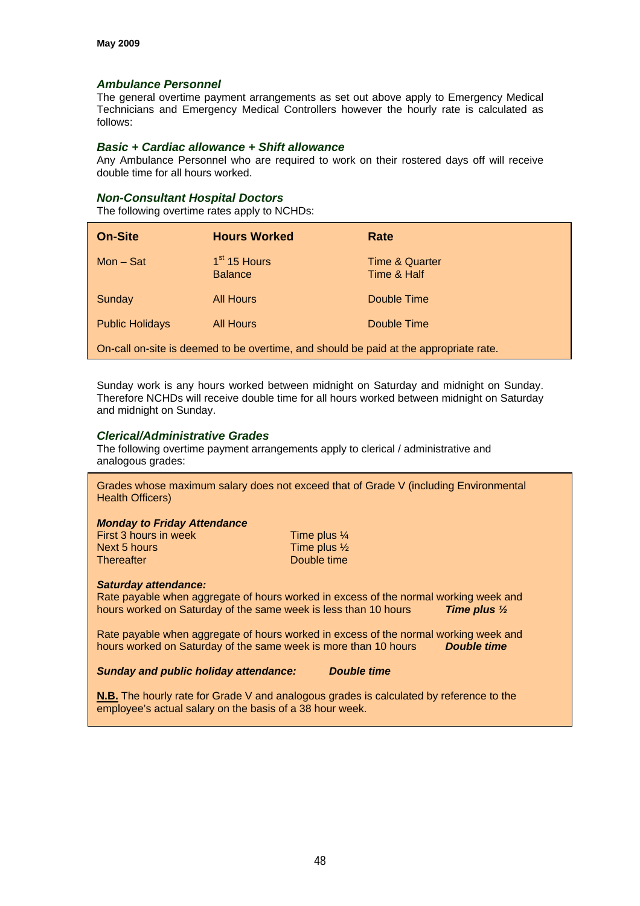### *Ambulance Personnel*

The general overtime payment arrangements as set out above apply to Emergency Medical Technicians and Emergency Medical Controllers however the hourly rate is calculated as follows:

### *Basic + Cardiac allowance + Shift allowance*

Any Ambulance Personnel who are required to work on their rostered days off will receive double time for all hours worked.

### *Non-Consultant Hospital Doctors*

The following overtime rates apply to NCHDs:

| <b>On-Site</b>                                                                        | <b>Hours Worked</b>              | Rate                                     |
|---------------------------------------------------------------------------------------|----------------------------------|------------------------------------------|
| $Mon - Sat$                                                                           | $1st$ 15 Hours<br><b>Balance</b> | <b>Time &amp; Quarter</b><br>Time & Half |
| Sunday                                                                                | <b>All Hours</b>                 | Double Time                              |
| <b>Public Holidays</b>                                                                | <b>All Hours</b>                 | Double Time                              |
| On-call on-site is deemed to be overtime, and should be paid at the appropriate rate. |                                  |                                          |

Sunday work is any hours worked between midnight on Saturday and midnight on Sunday. Therefore NCHDs will receive double time for all hours worked between midnight on Saturday and midnight on Sunday.

### *Clerical/Administrative Grades*

The following overtime payment arrangements apply to clerical / administrative and analogous grades:

Grades whose maximum salary does not exceed that of Grade V (including Environmental Health Officers)

### *Monday to Friday Attendance*

First 3 hours in week Time plus ¼<br>Next 5 hours Time plus ½ Next 5 hours Time plus ½<br>Thereafter Thereafter Thereafter

Double time

### *Saturday attendance:*

Rate payable when aggregate of hours worked in excess of the normal working week and hours worked on Saturday of the same week is less than 10 hours *Time plus 1/<sub>2</sub>* 

Rate payable when aggregate of hours worked in excess of the normal working week and hours worked on Saturday of the same week is more than 10 hours *Double time*

*Sunday and public holiday attendance: Double time*

**N.B.** The hourly rate for Grade V and analogous grades is calculated by reference to the employee's actual salary on the basis of a 38 hour week.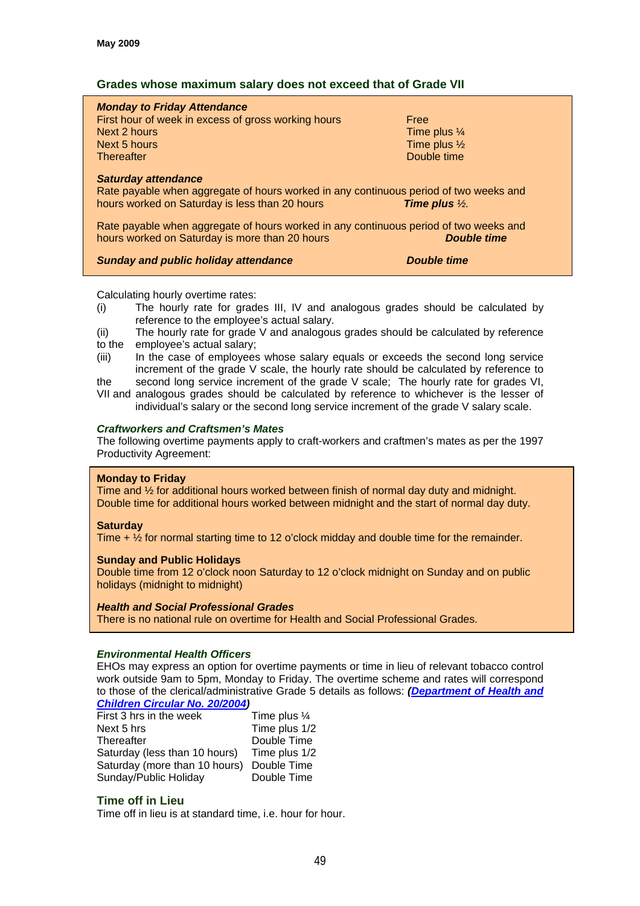### **Grades whose maximum salary does not exceed that of Grade VII**

| <b>Monday to Friday Attendance</b>                  |                         |
|-----------------------------------------------------|-------------------------|
| First hour of week in excess of gross working hours | <b>Free</b>             |
| Next 2 hours                                        | Time plus $\frac{1}{4}$ |
| Next 5 hours                                        | Time plus $\frac{1}{2}$ |
| <b>Thereafter</b>                                   | Double time             |
|                                                     |                         |

### *Saturday attendance*

Rate payable when aggregate of hours worked in any continuous period of two weeks and hours worked on Saturday is less than 20 hours **Time plus**  $\frac{1}{2}$ .

Rate payable when aggregate of hours worked in any continuous period of two weeks and hours worked on Saturday is more than 20 hours *Double time*

*Sunday and public holiday attendance Double time*

Calculating hourly overtime rates:

- (i) The hourly rate for grades III, IV and analogous grades should be calculated by reference to the employee's actual salary.
- (ii) The hourly rate for grade V and analogous grades should be calculated by reference to the employee's actual salary;
- (iii) In the case of employees whose salary equals or exceeds the second long service increment of the grade V scale, the hourly rate should be calculated by reference to
- the second long service increment of the grade V scale; The hourly rate for grades VI, VII and analogous grades should be calculated by reference to whichever is the lesser of individual's salary or the second long service increment of the grade V salary scale.

### *Craftworkers and Craftsmen's Mates*

The following overtime payments apply to craft-workers and craftmen's mates as per the 1997 Productivity Agreement:

### **Monday to Friday**

Time and ½ for additional hours worked between finish of normal day duty and midnight. Double time for additional hours worked between midnight and the start of normal day duty.

### **Saturday**

Time  $+ \frac{1}{2}$  for normal starting time to 12 o'clock midday and double time for the remainder.

### **Sunday and Public Holidays**

Double time from 12 o'clock noon Saturday to 12 o'clock midnight on Sunday and on public holidays (midnight to midnight)

### *Health and Social Professional Grades*

There is no national rule on overtime for Health and Social Professional Grades.

### *Environmental Health Officers*

EHOs may express an option for overtime payments or time in lieu of relevant tobacco control work outside 9am to 5pm, Monday to Friday. The overtime scheme and rates will correspond to those of the clerical/administrative Grade 5 details as follows: *[\(Department of](http://www.hseea.ie//Circulars/04.04.22.DOHC.Tobacco Control Smoke Free Workplace Inititative.pdf) Health and [Children Circular No. 20/2004\)](http://www.hseea.ie//Circulars/04.04.22.DOHC.Tobacco Control Smoke Free Workplace Inititative.pdf)* 

| First 3 hrs in the week                   | Time plus $\frac{1}{4}$ |
|-------------------------------------------|-------------------------|
| Next 5 hrs                                | Time plus 1/2           |
| Thereafter                                | Double Time             |
| Saturday (less than 10 hours)             | Time plus 1/2           |
| Saturday (more than 10 hours) Double Time |                         |
| Sunday/Public Holiday                     | Double Time             |

### **Time off in Lieu**

Time off in lieu is at standard time, i.e. hour for hour.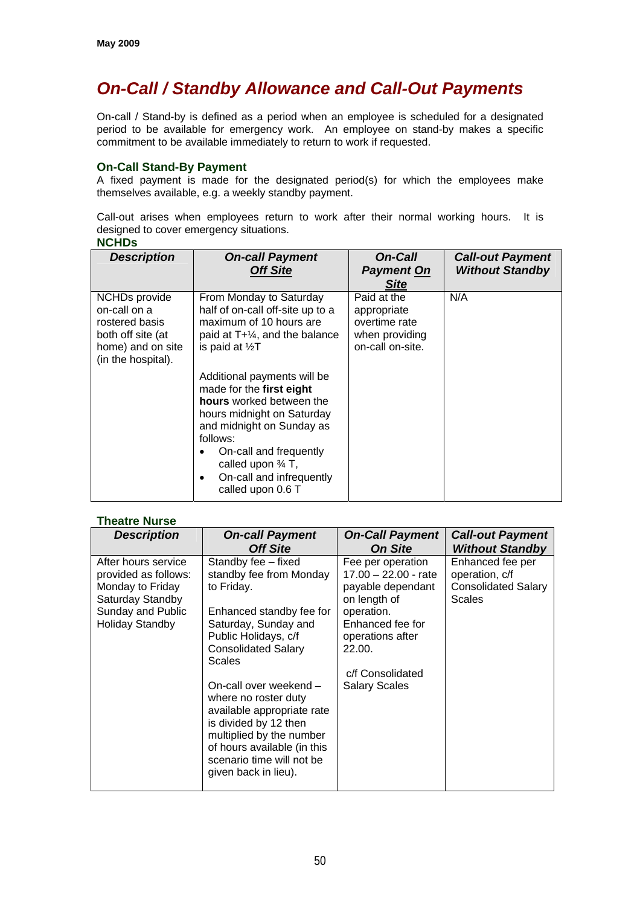### *On-Call / Standby Allowance and Call-Out Payments*

On-call / Stand-by is defined as a period when an employee is scheduled for a designated period to be available for emergency work. An employee on stand-by makes a specific commitment to be available immediately to return to work if requested.

### **On-Call Stand-By Payment**

A fixed payment is made for the designated period(s) for which the employees make themselves available, e.g. a weekly standby payment.

Call-out arises when employees return to work after their normal working hours. It is designed to cover emergency situations.

### **NCHDs**

| <b>Description</b>                                                                                              | <b>On-call Payment</b><br><b>Off Site</b>                                                                                                                                                                                                                                                                                                                                                                                                    | <b>On-Call</b><br><b>Payment On</b><br><b>Site</b>                                | <b>Call-out Payment</b><br><b>Without Standby</b> |
|-----------------------------------------------------------------------------------------------------------------|----------------------------------------------------------------------------------------------------------------------------------------------------------------------------------------------------------------------------------------------------------------------------------------------------------------------------------------------------------------------------------------------------------------------------------------------|-----------------------------------------------------------------------------------|---------------------------------------------------|
| NCHDs provide<br>on-call on a<br>rostered basis<br>both off site (at<br>home) and on site<br>(in the hospital). | From Monday to Saturday<br>half of on-call off-site up to a<br>maximum of 10 hours are<br>paid at $T+1/4$ , and the balance<br>is paid at $\frac{1}{2}$ T<br>Additional payments will be<br>made for the first eight<br>hours worked between the<br>hours midnight on Saturday<br>and midnight on Sunday as<br>follows:<br>On-call and frequently<br>٠<br>called upon $\frac{3}{4}$ T,<br>On-call and infrequently<br>٠<br>called upon 0.6 T | Paid at the<br>appropriate<br>overtime rate<br>when providing<br>on-call on-site. | N/A                                               |

### **Theatre Nurse**

| <b>Description</b>                                                                                                                 | <b>On-call Payment</b>                                                                                                                                                                                                                                                                                                                                                                                           | <b>On-Call Payment</b>                                                                                                                                                                       | <b>Call-out Payment</b>                                                           |
|------------------------------------------------------------------------------------------------------------------------------------|------------------------------------------------------------------------------------------------------------------------------------------------------------------------------------------------------------------------------------------------------------------------------------------------------------------------------------------------------------------------------------------------------------------|----------------------------------------------------------------------------------------------------------------------------------------------------------------------------------------------|-----------------------------------------------------------------------------------|
|                                                                                                                                    | <b>Off Site</b>                                                                                                                                                                                                                                                                                                                                                                                                  | <b>On Site</b>                                                                                                                                                                               | <b>Without Standby</b>                                                            |
| After hours service<br>provided as follows:<br>Monday to Friday<br>Saturday Standby<br>Sunday and Public<br><b>Holiday Standby</b> | Standby fee - fixed<br>standby fee from Monday<br>to Friday.<br>Enhanced standby fee for<br>Saturday, Sunday and<br>Public Holidays, c/f<br><b>Consolidated Salary</b><br><b>Scales</b><br>On-call over weekend -<br>where no roster duty<br>available appropriate rate<br>is divided by 12 then<br>multiplied by the number<br>of hours available (in this<br>scenario time will not be<br>given back in lieu). | Fee per operation<br>$17.00 - 22.00 - rate$<br>payable dependant<br>on length of<br>operation.<br>Enhanced fee for<br>operations after<br>22.00.<br>c/f Consolidated<br><b>Salary Scales</b> | Enhanced fee per<br>operation, c/f<br><b>Consolidated Salary</b><br><b>Scales</b> |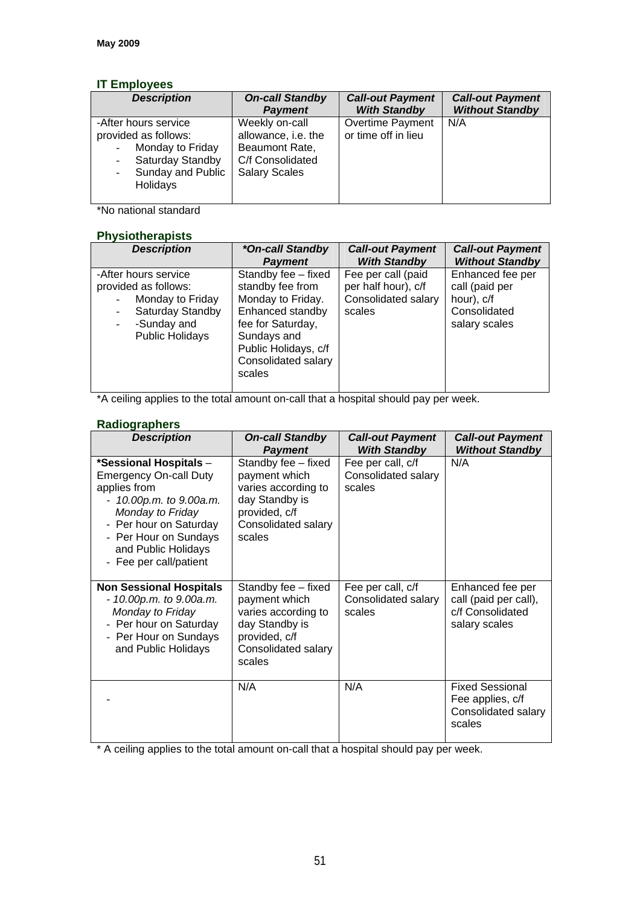### **IT Employees**

| <b>Description</b>                            | <b>On-call Standby</b><br><b>Payment</b> | <b>Call-out Payment</b><br><b>With Standby</b> | <b>Call-out Payment</b><br><b>Without Standby</b> |
|-----------------------------------------------|------------------------------------------|------------------------------------------------|---------------------------------------------------|
|                                               |                                          |                                                |                                                   |
| -After hours service                          | Weekly on-call                           | <b>Overtime Payment</b>                        | N/A                                               |
| provided as follows:                          | allowance, i.e. the                      | or time off in lieu                            |                                                   |
| Monday to Friday                              | Beaumont Rate,                           |                                                |                                                   |
| Saturday Standby                              | C/f Consolidated                         |                                                |                                                   |
| Sunday and Public<br>$\overline{\phantom{a}}$ | <b>Salary Scales</b>                     |                                                |                                                   |
| Holidays                                      |                                          |                                                |                                                   |
|                                               |                                          |                                                |                                                   |

\*No national standard

### **Physiotherapists**

| <b>Description</b>                                                                                                            | *On-call Standby                                                                                                                                                              | <b>Call-out Payment</b>                                                    | <b>Call-out Payment</b>                                                           |
|-------------------------------------------------------------------------------------------------------------------------------|-------------------------------------------------------------------------------------------------------------------------------------------------------------------------------|----------------------------------------------------------------------------|-----------------------------------------------------------------------------------|
|                                                                                                                               | <b>Payment</b>                                                                                                                                                                | <b>With Standby</b>                                                        | <b>Without Standby</b>                                                            |
| -After hours service<br>provided as follows:<br>Monday to Friday<br>Saturday Standby<br>-Sunday and<br><b>Public Holidays</b> | Standby fee - fixed<br>standby fee from<br>Monday to Friday.<br>Enhanced standby<br>fee for Saturday,<br>Sundays and<br>Public Holidays, c/f<br>Consolidated salary<br>scales | Fee per call (paid<br>per half hour), c/f<br>Consolidated salary<br>scales | Enhanced fee per<br>call (paid per<br>hour), c/f<br>Consolidated<br>salary scales |

\*A ceiling applies to the total amount on-call that a hospital should pay per week.

### **Radiographers**

| <b>Description</b>                                                                                                                                                                                                         | <b>On-call Standby</b><br><b>Payment</b>                                                                                        | <b>Call-out Payment</b><br><b>With Standby</b>     | <b>Call-out Payment</b><br><b>Without Standby</b>                              |
|----------------------------------------------------------------------------------------------------------------------------------------------------------------------------------------------------------------------------|---------------------------------------------------------------------------------------------------------------------------------|----------------------------------------------------|--------------------------------------------------------------------------------|
| *Sessional Hospitals -<br><b>Emergency On-call Duty</b><br>applies from<br>- 10.00p.m. to 9.00a.m.<br>Monday to Friday<br>- Per hour on Saturday<br>- Per Hour on Sundays<br>and Public Holidays<br>- Fee per call/patient | Standby fee - fixed<br>payment which<br>varies according to<br>day Standby is<br>provided, c/f<br>Consolidated salary<br>scales | Fee per call, c/f<br>Consolidated salary<br>scales | N/A                                                                            |
| <b>Non Sessional Hospitals</b><br>- 10.00p.m. to 9.00a.m.<br>Monday to Friday<br>- Per hour on Saturday<br>- Per Hour on Sundays<br>and Public Holidays                                                                    | Standby fee - fixed<br>payment which<br>varies according to<br>day Standby is<br>provided, c/f<br>Consolidated salary<br>scales | Fee per call, c/f<br>Consolidated salary<br>scales | Enhanced fee per<br>call (paid per call),<br>c/f Consolidated<br>salary scales |
|                                                                                                                                                                                                                            | N/A                                                                                                                             | N/A                                                | <b>Fixed Sessional</b><br>Fee applies, c/f<br>Consolidated salary<br>scales    |

\* A ceiling applies to the total amount on-call that a hospital should pay per week.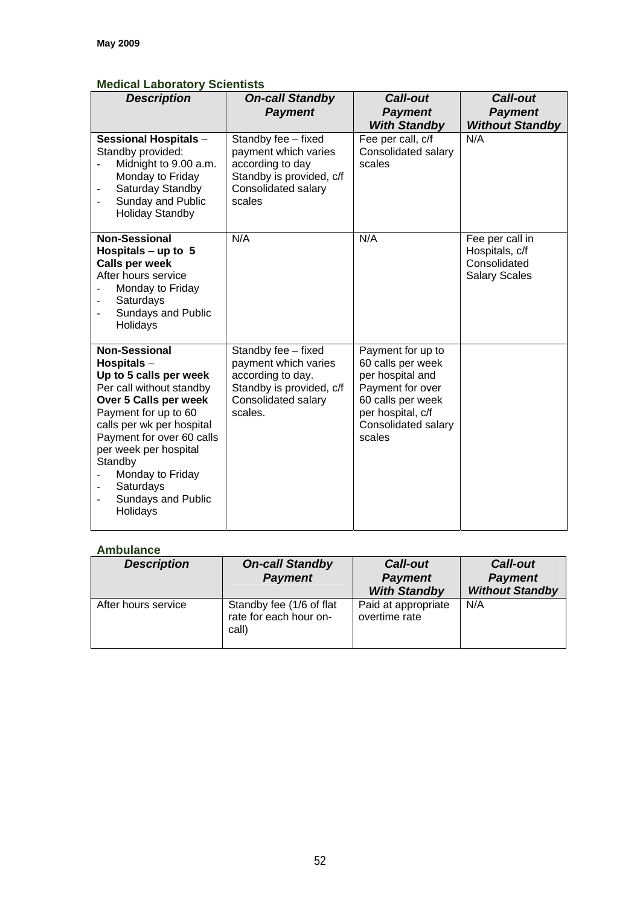### **Medical Laboratory Scientists**

| <b>Description</b>                                                                                                                                                                                                                                                                                                | <b>On-call Standby</b><br><b>Payment</b>                                                                                       | <b>Call-out</b><br><b>Payment</b><br><b>With Standby</b>                                                                                                  | <b>Call-out</b><br><b>Payment</b><br><b>Without Standby</b>               |
|-------------------------------------------------------------------------------------------------------------------------------------------------------------------------------------------------------------------------------------------------------------------------------------------------------------------|--------------------------------------------------------------------------------------------------------------------------------|-----------------------------------------------------------------------------------------------------------------------------------------------------------|---------------------------------------------------------------------------|
| Sessional Hospitals -<br>Standby provided:<br>Midnight to 9.00 a.m.<br>Monday to Friday<br>Saturday Standby<br>Sunday and Public<br><b>Holiday Standby</b>                                                                                                                                                        | Standby fee - fixed<br>payment which varies<br>according to day<br>Standby is provided, c/f<br>Consolidated salary<br>scales   | Fee per call, c/f<br>Consolidated salary<br>scales                                                                                                        | N/A                                                                       |
| <b>Non-Sessional</b><br>Hospitals – up to $5$<br><b>Calls per week</b><br>After hours service<br>Monday to Friday<br>Saturdays<br><b>Sundays and Public</b><br>Holidays                                                                                                                                           | N/A                                                                                                                            | N/A                                                                                                                                                       | Fee per call in<br>Hospitals, c/f<br>Consolidated<br><b>Salary Scales</b> |
| <b>Non-Sessional</b><br>Hospitals-<br>Up to 5 calls per week<br>Per call without standby<br>Over 5 Calls per week<br>Payment for up to 60<br>calls per wk per hospital<br>Payment for over 60 calls<br>per week per hospital<br>Standby<br>Monday to Friday<br>Saturdays<br><b>Sundays and Public</b><br>Holidays | Standby fee - fixed<br>payment which varies<br>according to day.<br>Standby is provided, c/f<br>Consolidated salary<br>scales. | Payment for up to<br>60 calls per week<br>per hospital and<br>Payment for over<br>60 calls per week<br>per hospital, c/f<br>Consolidated salary<br>scales |                                                                           |

### **Ambulance**

| <b>Description</b>  | <b>On-call Standby</b><br><b>Payment</b>                    | <b>Call-out</b><br><b>Payment</b><br><b>With Standby</b> | <b>Call-out</b><br><b>Payment</b><br><b>Without Standby</b> |
|---------------------|-------------------------------------------------------------|----------------------------------------------------------|-------------------------------------------------------------|
| After hours service | Standby fee (1/6 of flat<br>rate for each hour on-<br>call) | Paid at appropriate<br>overtime rate                     | N/A                                                         |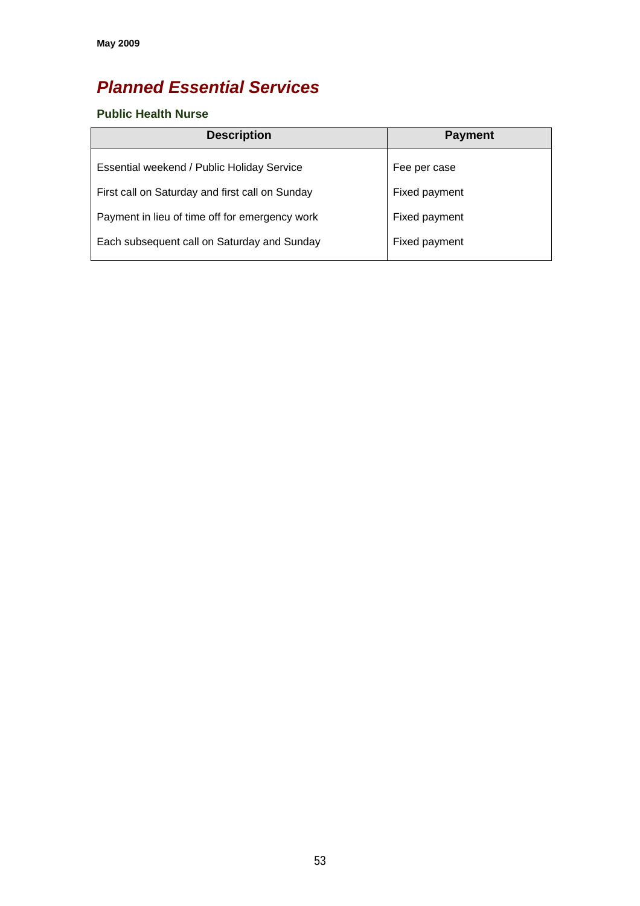### *Planned Essential Services*

### **Public Health Nurse**

| <b>Description</b>                              | <b>Payment</b> |
|-------------------------------------------------|----------------|
| Essential weekend / Public Holiday Service      | Fee per case   |
| First call on Saturday and first call on Sunday | Fixed payment  |
| Payment in lieu of time off for emergency work  | Fixed payment  |
| Each subsequent call on Saturday and Sunday     | Fixed payment  |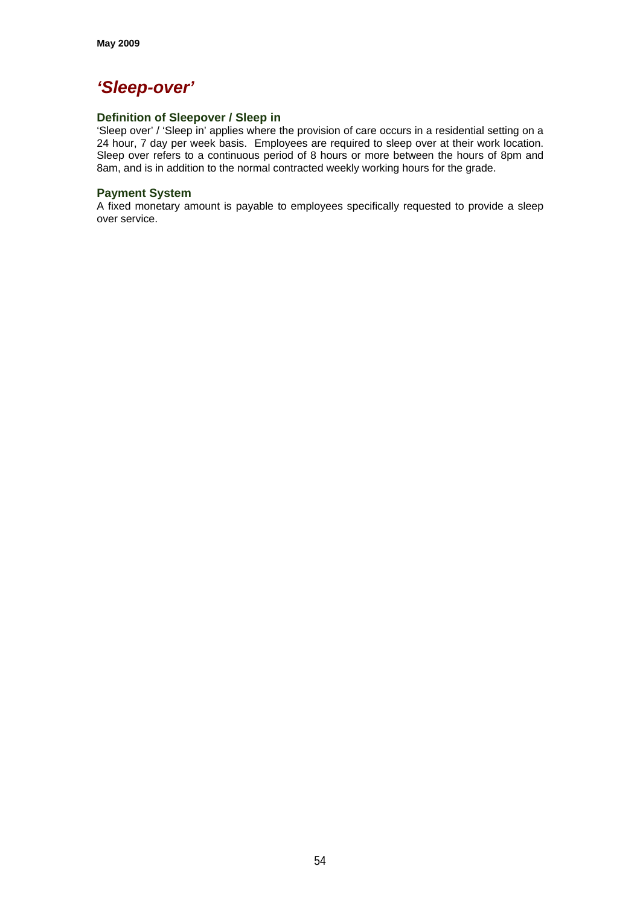### *'Sleep-over'*

### **Definition of Sleepover / Sleep in**

'Sleep over' / 'Sleep in' applies where the provision of care occurs in a residential setting on a 24 hour, 7 day per week basis. Employees are required to sleep over at their work location. Sleep over refers to a continuous period of 8 hours or more between the hours of 8pm and 8am, and is in addition to the normal contracted weekly working hours for the grade.

### **Payment System**

A fixed monetary amount is payable to employees specifically requested to provide a sleep over service.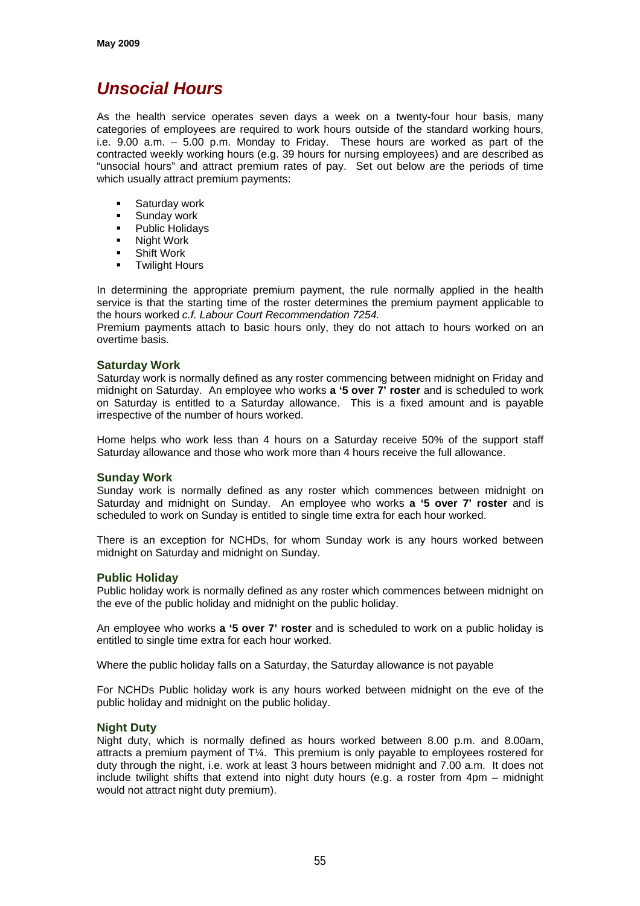### *Unsocial Hours*

As the health service operates seven days a week on a twenty-four hour basis, many categories of employees are required to work hours outside of the standard working hours, i.e. 9.00 a.m. – 5.00 p.m. Monday to Friday. These hours are worked as part of the contracted weekly working hours (e.g. 39 hours for nursing employees) and are described as "unsocial hours" and attract premium rates of pay. Set out below are the periods of time which usually attract premium payments:

- **Saturday work**
- Sunday work
- **•** Public Holidays
- **Night Work**
- Shift Work
- Twilight Hours

In determining the appropriate premium payment, the rule normally applied in the health service is that the starting time of the roster determines the premium payment applicable to the hours worked *c.f. Labour Court Recommendation 7254.* 

Premium payments attach to basic hours only, they do not attach to hours worked on an overtime basis.

### **Saturday Work**

Saturday work is normally defined as any roster commencing between midnight on Friday and midnight on Saturday. An employee who works **a '5 over 7' roster** and is scheduled to work on Saturday is entitled to a Saturday allowance. This is a fixed amount and is payable irrespective of the number of hours worked.

Home helps who work less than 4 hours on a Saturday receive 50% of the support staff Saturday allowance and those who work more than 4 hours receive the full allowance.

### **Sunday Work**

Sunday work is normally defined as any roster which commences between midnight on Saturday and midnight on Sunday. An employee who works **a '5 over 7' roster** and is scheduled to work on Sunday is entitled to single time extra for each hour worked.

There is an exception for NCHDs, for whom Sunday work is any hours worked between midnight on Saturday and midnight on Sunday.

### **Public Holiday**

Public holiday work is normally defined as any roster which commences between midnight on the eve of the public holiday and midnight on the public holiday.

An employee who works **a '5 over 7' roster** and is scheduled to work on a public holiday is entitled to single time extra for each hour worked.

Where the public holiday falls on a Saturday, the Saturday allowance is not payable

For NCHDs Public holiday work is any hours worked between midnight on the eve of the public holiday and midnight on the public holiday.

### **Night Duty**

Night duty, which is normally defined as hours worked between 8.00 p.m. and 8.00am, attracts a premium payment of T¼. This premium is only payable to employees rostered for duty through the night, i.e. work at least 3 hours between midnight and 7.00 a.m. It does not include twilight shifts that extend into night duty hours (e.g. a roster from 4pm – midnight would not attract night duty premium).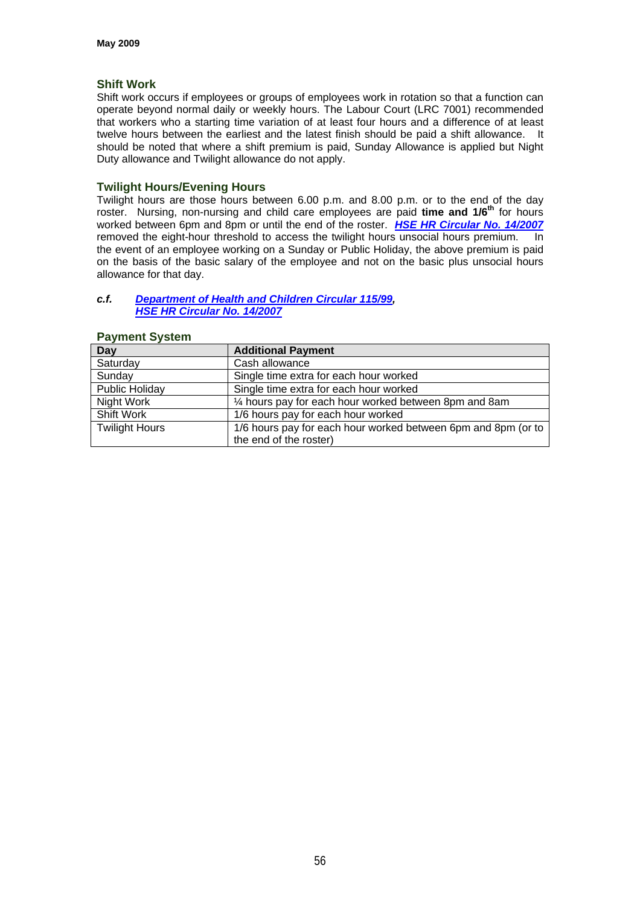### **Shift Work**

Shift work occurs if employees or groups of employees work in rotation so that a function can operate beyond normal daily or weekly hours. The Labour Court (LRC 7001) recommended that workers who a starting time variation of at least four hours and a difference of at least twelve hours between the earliest and the latest finish should be paid a shift allowance. It should be noted that where a shift premium is paid, Sunday Allowance is applied but Night Duty allowance and Twilight allowance do not apply.

### **Twilight Hours/Evening Hours**

Twilight hours are those hours between 6.00 p.m. and 8.00 p.m. or to the end of the day roster. Nursing, non-nursing and child care employees are paid time and 1/6<sup>th</sup> for hours worked between 6pm and 8pm or until the end of the roster. **[HSE HR Circular No. 14/2007](http://www.hseea.ie//Circulars/07.07.16.HSE HR Circular 014-2007 Removal of 8 hr threshold to acces the twilight hours unsocial hrs premium.pdf)**<br>removed the eight-hour threshold to access the twilight hours unsocial hours premium. In removed the eight-hour threshold to access the twilight hours unsocial hours premium. the event of an employee working on a Sunday or Public Holiday, the above premium is paid on the basis of the basic salary of the employee and not on the basic plus unsocial hours allowance for that day.

### *c.f. Department [of Health and Children Circular 115/99,](http://www.hseea.ie//Circulars/99.11.30.DoHC Circular No. 115-99 - Unsocial Hours Premium for Nursing Grades.pdf) [HSE HR Circular No. 14/2007](http://www.hseea.ie//Circulars/07.07.16.HSE HR Circular 014-2007 Removal of 8 hr threshold to acces the twilight hours unsocial hrs premium.pdf)*

### **Payment System**

| Day                   | <b>Additional Payment</b>                                     |
|-----------------------|---------------------------------------------------------------|
| Saturday              | Cash allowance                                                |
| Sunday                | Single time extra for each hour worked                        |
| Public Holiday        | Single time extra for each hour worked                        |
| Night Work            | 1/4 hours pay for each hour worked between 8pm and 8am        |
| Shift Work            | 1/6 hours pay for each hour worked                            |
| <b>Twilight Hours</b> | 1/6 hours pay for each hour worked between 6pm and 8pm (or to |
|                       | the end of the roster)                                        |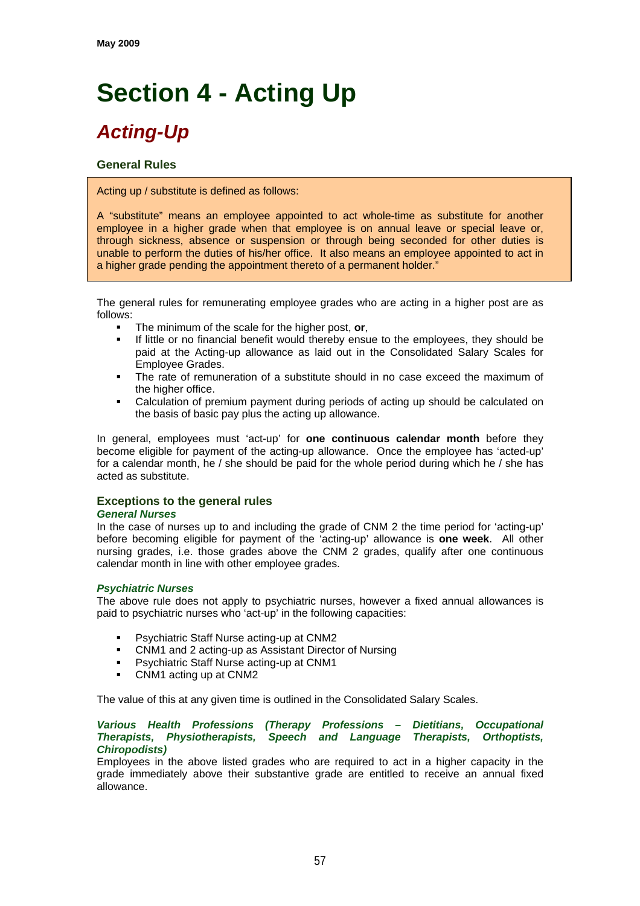# **Section 4 - Acting Up**

# *Acting-Up*

### **General Rules**

Acting up / substitute is defined as follows:

A "substitute" means an employee appointed to act whole-time as substitute for another employee in a higher grade when that employee is on annual leave or special leave or, through sickness, absence or suspension or through being seconded for other duties is unable to perform the duties of his/her office. It also means an employee appointed to act in a higher grade pending the appointment thereto of a permanent holder."

The general rules for remunerating employee grades who are acting in a higher post are as follows:

- The minimum of the scale for the higher post, **or**,
- If little or no financial benefit would thereby ensue to the employees, they should be paid at the Acting-up allowance as laid out in the Consolidated Salary Scales for Employee Grades.
- The rate of remuneration of a substitute should in no case exceed the maximum of the higher office.
- Calculation of premium payment during periods of acting up should be calculated on the basis of basic pay plus the acting up allowance.

In general, employees must 'act-up' for **one continuous calendar month** before they become eligible for payment of the acting-up allowance. Once the employee has 'acted-up' for a calendar month, he / she should be paid for the whole period during which he / she has acted as substitute.

### **Exceptions to the general rules**

### *General Nurses*

In the case of nurses up to and including the grade of CNM 2 the time period for 'acting-up' before becoming eligible for payment of the 'acting-up' allowance is **one week**. All other nursing grades, i.e. those grades above the CNM 2 grades, qualify after one continuous calendar month in line with other employee grades.

### *Psychiatric Nurses*

The above rule does not apply to psychiatric nurses, however a fixed annual allowances is paid to psychiatric nurses who 'act-up' in the following capacities:

- Psychiatric Staff Nurse acting-up at CNM2
- CNM1 and 2 acting-up as Assistant Director of Nursing
- Psychiatric Staff Nurse acting-up at CNM1
- CNM1 acting up at CNM2

The value of this at any given time is outlined in the Consolidated Salary Scales.

### *Various Health Professions (Therapy Professions – Dietitians, Occupational Therapists, Physiotherapists, Speech and Language Therapists, Orthoptists, Chiropodists)*

Employees in the above listed grades who are required to act in a higher capacity in the grade immediately above their substantive grade are entitled to receive an annual fixed allowance.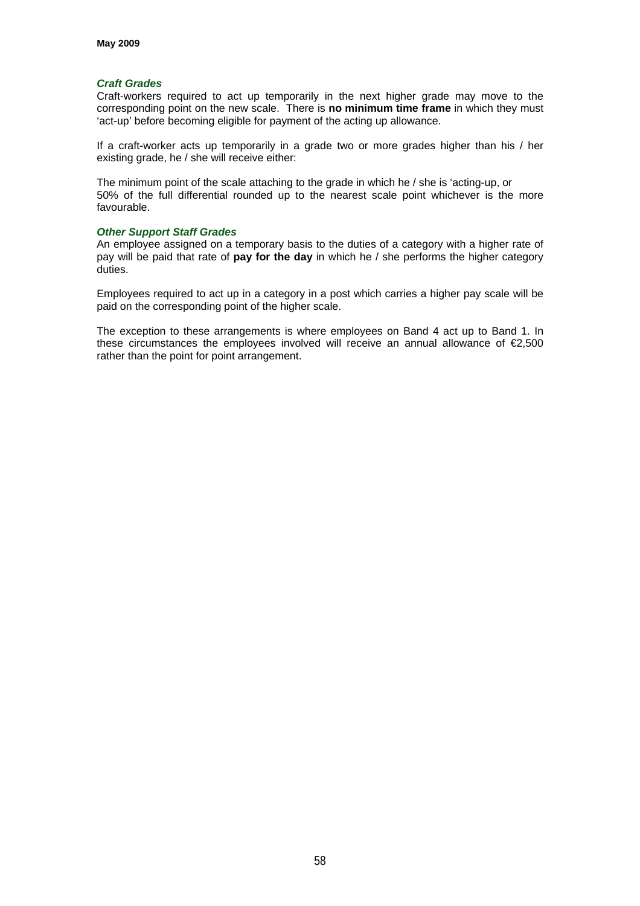#### *Craft Grades*

Craft-workers required to act up temporarily in the next higher grade may move to the corresponding point on the new scale. There is **no minimum time frame** in which they must 'act-up' before becoming eligible for payment of the acting up allowance.

If a craft-worker acts up temporarily in a grade two or more grades higher than his / her existing grade, he / she will receive either:

The minimum point of the scale attaching to the grade in which he / she is 'acting-up, or 50% of the full differential rounded up to the nearest scale point whichever is the more favourable.

#### *Other Support Staff Grades*

An employee assigned on a temporary basis to the duties of a category with a higher rate of pay will be paid that rate of **pay for the day** in which he / she performs the higher category duties.

Employees required to act up in a category in a post which carries a higher pay scale will be paid on the corresponding point of the higher scale.

The exception to these arrangements is where employees on Band 4 act up to Band 1. In these circumstances the employees involved will receive an annual allowance of  $E$ , 500 rather than the point for point arrangement.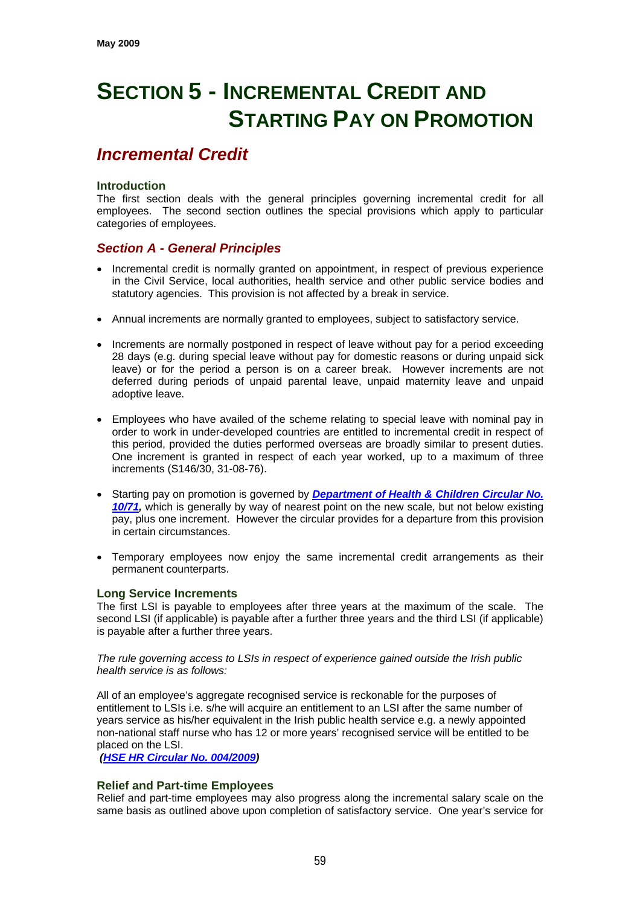# **SECTION 5 - INCREMENTAL CREDIT AND STARTING PAY ON PROMOTION**

### *Incremental Credit*

### **Introduction**

The first section deals with the general principles governing incremental credit for all employees. The second section outlines the special provisions which apply to particular categories of employees.

### *Section A - General Principles*

- Incremental credit is normally granted on appointment, in respect of previous experience in the Civil Service, local authorities, health service and other public service bodies and statutory agencies. This provision is not affected by a break in service.
- Annual increments are normally granted to employees, subject to satisfactory service.
- Increments are normally postponed in respect of leave without pay for a period exceeding 28 days (e.g. during special leave without pay for domestic reasons or during unpaid sick leave) or for the period a person is on a career break. However increments are not deferred during periods of unpaid parental leave, unpaid maternity leave and unpaid adoptive leave.
- Employees who have availed of the scheme relating to special leave with nominal pay in order to work in under-developed countries are entitled to incremental credit in respect of this period, provided the duties performed overseas are broadly similar to present duties. One increment is granted in respect of each year worked, up to a maximum of three increments (S146/30, 31-08-76).
- Starting pay on promotion is governed by *[Department of Health & Children Circular No.](http://www.hseea.ie//Circulars/71_03_29_DOH_10_Appointment and Conditions of Service of Officers and Servants under HBs1.pdf) [10/71](http://www.hseea.ie//Circulars/71_03_29_DOH_10_Appointment and Conditions of Service of Officers and Servants under HBs1.pdf),* which is generally by way of nearest point on the new scale, but not below existing pay, plus one increment. However the circular provides for a departure from this provision in certain circumstances.
- Temporary employees now enjoy the same incremental credit arrangements as their permanent counterparts.

### **Long Service Increments**

The first LSI is payable to employees after three years at the maximum of the scale. The second LSI (if applicable) is payable after a further three years and the third LSI (if applicable) is payable after a further three years.

*The rule governing access to LSIs in respect of experience gained outside the Irish public health service is as follows:* 

All of an employee's aggregate recognised service is reckonable for the purposes of entitlement to LSIs i.e. s/he will acquire an entitlement to an LSI after the same number of years service as his/her equivalent in the Irish public health service e.g. a newly appointed non-national staff nurse who has 12 or more years' recognised service will be entitled to be placed on the LSI.

*[\(HSE HR Circular No. 004/2009\)](http://www.hseea.ie//Circulars/09.02.04.HSE HR Circular 004-2009 Recognition of Long Service Increment (LSI).pdf)* 

### **Relief and Part-time Employees**

Relief and part-time employees may also progress along the incremental salary scale on the same basis as outlined above upon completion of satisfactory service. One year's service for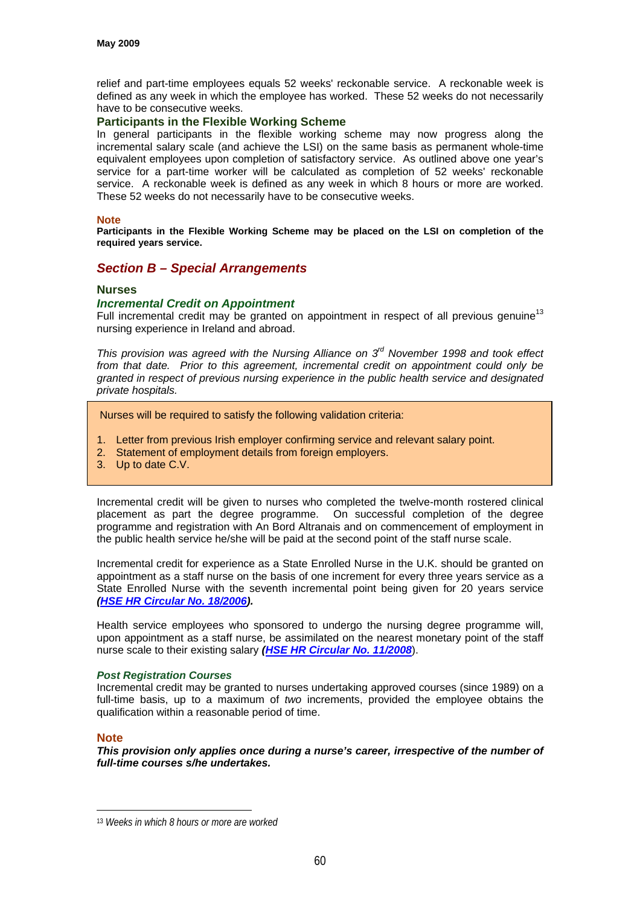relief and part-time employees equals 52 weeks' reckonable service. A reckonable week is defined as any week in which the employee has worked. These 52 weeks do not necessarily have to be consecutive weeks.

### **Participants in the Flexible Working Scheme**

In general participants in the flexible working scheme may now progress along the incremental salary scale (and achieve the LSI) on the same basis as permanent whole-time equivalent employees upon completion of satisfactory service. As outlined above one year's service for a part-time worker will be calculated as completion of 52 weeks' reckonable service. A reckonable week is defined as any week in which 8 hours or more are worked. These 52 weeks do not necessarily have to be consecutive weeks.

#### **Note**

**Participants in the Flexible Working Scheme may be placed on the LSI on completion of the required years service.** 

### *Section B – Special Arrangements*

#### **Nurses**

### *Incremental Credit on Appointment*

Full incremental credit may be granted on appointment in respect of all previous genuine<sup>[13](#page-59-0)</sup> nursing experience in Ireland and abroad.

*This provision was agreed with the Nursing Alliance on 3rd November 1998 and took effect from that date. Prior to this agreement, incremental credit on appointment could only be granted in respect of previous nursing experience in the public health service and designated private hospitals.* 

Nurses will be required to satisfy the following validation criteria:

- 1. Letter from previous Irish employer confirming service and relevant salary point.
- 2. Statement of employment details from foreign employers.
- 3. Up to date C.V.

Incremental credit will be given to nurses who completed the twelve-month rostered clinical placement as part the degree programme. On successful completion of the degree programme and registration with An Bord Altranais and on commencement of employment in the public health service he/she will be paid at the second point of the staff nurse scale.

Incremental credit for experience as a State Enrolled Nurse in the U.K. should be granted on appointment as a staff nurse on the basis of one increment for every three years service as a State Enrolled Nurse with the seventh incremental point being given for 20 years service *[\(HSE HR Circular No. 18/2006\)](http://www.hseea.ie/Circulars/Forms/AllItems.htm?Paged=TRUE&p_Year=2007&p_FileRef=Circ%2003%2d2007%20Appt%20of%20ADoNs%2epdf&p_ID=666&SortField=Year&SortDir=Desc&PageFirstRow=101).* 

Health service employees who sponsored to undergo the nursing degree programme will, upon appointment as a staff nurse, be assimilated on the nearest monetary point of the staff nurse scale to their existing salary *([HSE HR Circular No. 11/2008](http://www.hseea.ie/Circulars/Forms/AllItems.htm?Paged=TRUE&p_Year=2007&p_FileRef=Circ%2003%2d2007%20Appt%20of%20ADoNs%2epdf&p_ID=666&SortField=Year&SortDir=Desc&PageFirstRow=101)*).

### *Post Registration Courses*

Incremental credit may be granted to nurses undertaking approved courses (since 1989) on a full-time basis, up to a maximum of *two* increments, provided the employee obtains the qualification within a reasonable period of time.

### **Note**

 $\overline{a}$ 

*This provision only applies once during a nurse's career, irrespective of the number of full-time courses s/he undertakes.* 

<span id="page-59-0"></span><sup>13</sup> *Weeks in which 8 hours or more are worked*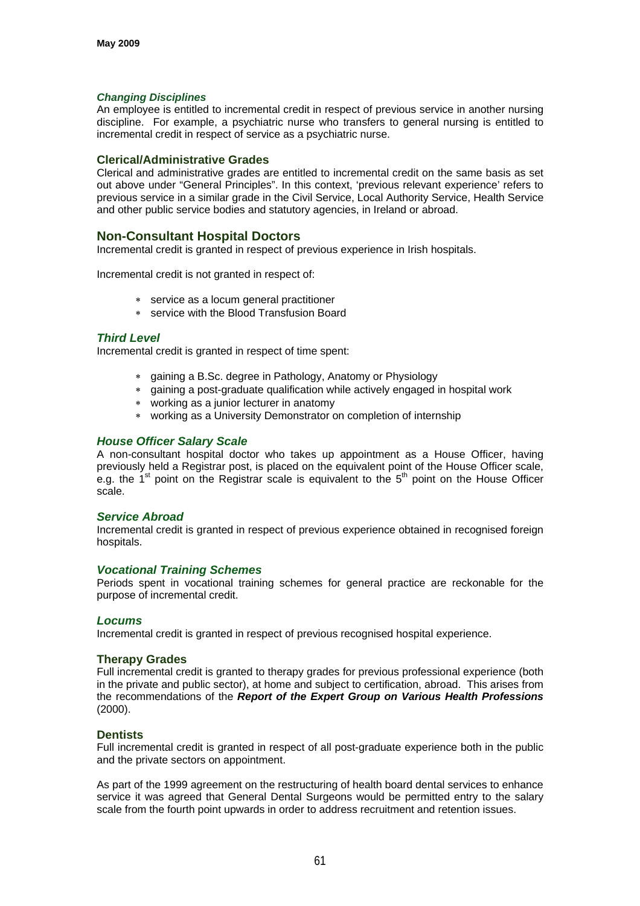### *Changing Disciplines*

An employee is entitled to incremental credit in respect of previous service in another nursing discipline. For example, a psychiatric nurse who transfers to general nursing is entitled to incremental credit in respect of service as a psychiatric nurse.

### **Clerical/Administrative Grades**

Clerical and administrative grades are entitled to incremental credit on the same basis as set out above under "General Principles". In this context, 'previous relevant experience' refers to previous service in a similar grade in the Civil Service, Local Authority Service, Health Service and other public service bodies and statutory agencies, in Ireland or abroad.

### **Non-Consultant Hospital Doctors**

Incremental credit is granted in respect of previous experience in Irish hospitals.

Incremental credit is not granted in respect of:

- ∗ service as a locum general practitioner
- ∗ service with the Blood Transfusion Board

### *Third Level*

Incremental credit is granted in respect of time spent:

- ∗ gaining a B.Sc. degree in Pathology, Anatomy or Physiology
- ∗ gaining a post-graduate qualification while actively engaged in hospital work
- ∗ working as a junior lecturer in anatomy
- ∗ working as a University Demonstrator on completion of internship

### *House Officer Salary Scale*

A non-consultant hospital doctor who takes up appointment as a House Officer, having previously held a Registrar post, is placed on the equivalent point of the House Officer scale, e.g. the  $1<sup>st</sup>$  point on the Registrar scale is equivalent to the  $5<sup>th</sup>$  point on the House Officer scale.

### *Service Abroad*

Incremental credit is granted in respect of previous experience obtained in recognised foreign hospitals.

### *Vocational Training Schemes*

Periods spent in vocational training schemes for general practice are reckonable for the purpose of incremental credit.

### *Locums*

Incremental credit is granted in respect of previous recognised hospital experience.

### **Therapy Grades**

Full incremental credit is granted to therapy grades for previous professional experience (both in the private and public sector), at home and subject to certification, abroad. This arises from the recommendations of the *Report of the Expert Group on Various Health Professions* (2000).

### **Dentists**

Full incremental credit is granted in respect of all post-graduate experience both in the public and the private sectors on appointment.

As part of the 1999 agreement on the restructuring of health board dental services to enhance service it was agreed that General Dental Surgeons would be permitted entry to the salary scale from the fourth point upwards in order to address recruitment and retention issues.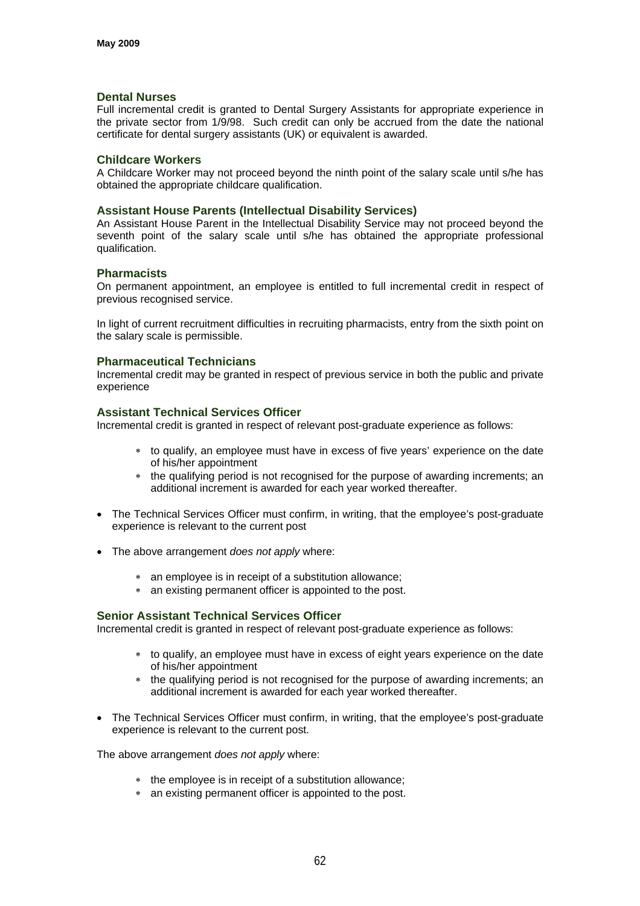### **Dental Nurses**

Full incremental credit is granted to Dental Surgery Assistants for appropriate experience in the private sector from 1/9/98. Such credit can only be accrued from the date the national certificate for dental surgery assistants (UK) or equivalent is awarded.

### **Childcare Workers**

A Childcare Worker may not proceed beyond the ninth point of the salary scale until s/he has obtained the appropriate childcare qualification.

### **Assistant House Parents (Intellectual Disability Services)**

An Assistant House Parent in the Intellectual Disability Service may not proceed beyond the seventh point of the salary scale until s/he has obtained the appropriate professional qualification.

### **Pharmacists**

On permanent appointment, an employee is entitled to full incremental credit in respect of previous recognised service.

In light of current recruitment difficulties in recruiting pharmacists, entry from the sixth point on the salary scale is permissible.

### **Pharmaceutical Technicians**

Incremental credit may be granted in respect of previous service in both the public and private experience

### **Assistant Technical Services Officer**

Incremental credit is granted in respect of relevant post-graduate experience as follows:

- ∗ to qualify, an employee must have in excess of five years' experience on the date of his/her appointment
- ∗ the qualifying period is not recognised for the purpose of awarding increments; an additional increment is awarded for each year worked thereafter.
- The Technical Services Officer must confirm, in writing, that the employee's post-graduate experience is relevant to the current post
- The above arrangement *does not apply* where:
	- ∗ an employee is in receipt of a substitution allowance;
	- ∗ an existing permanent officer is appointed to the post.

### **Senior Assistant Technical Services Officer**

Incremental credit is granted in respect of relevant post-graduate experience as follows:

- ∗ to qualify, an employee must have in excess of eight years experience on the date of his/her appointment
- ∗ the qualifying period is not recognised for the purpose of awarding increments; an additional increment is awarded for each year worked thereafter.
- The Technical Services Officer must confirm, in writing, that the employee's post-graduate experience is relevant to the current post.

The above arrangement *does not apply* where:

- ∗ the employee is in receipt of a substitution allowance;
- ∗ an existing permanent officer is appointed to the post.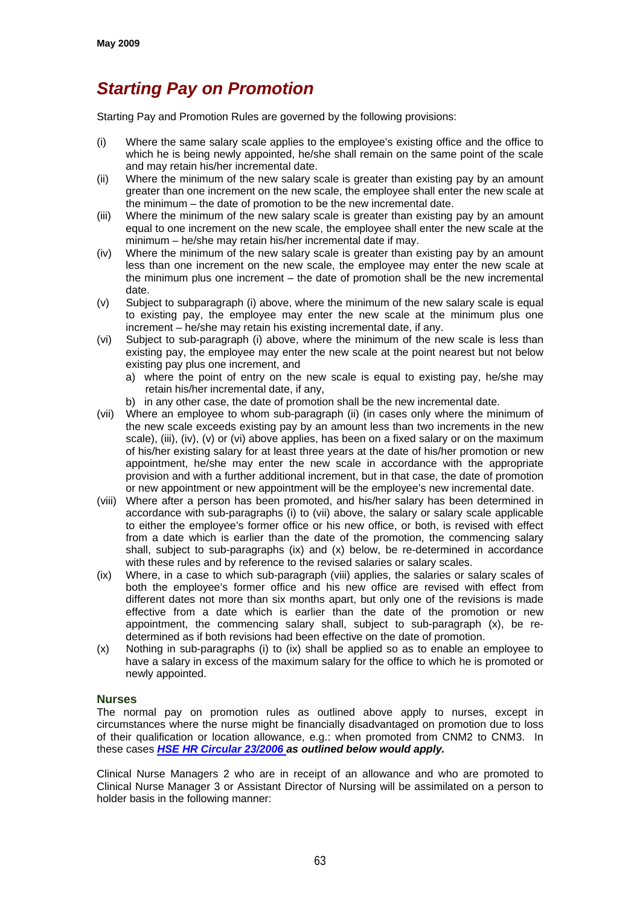### *Starting Pay on Promotion*

Starting Pay and Promotion Rules are governed by the following provisions:

- (i) Where the same salary scale applies to the employee's existing office and the office to which he is being newly appointed, he/she shall remain on the same point of the scale and may retain his/her incremental date.
- (ii) Where the minimum of the new salary scale is greater than existing pay by an amount greater than one increment on the new scale, the employee shall enter the new scale at the minimum – the date of promotion to be the new incremental date.
- (iii) Where the minimum of the new salary scale is greater than existing pay by an amount equal to one increment on the new scale, the employee shall enter the new scale at the minimum – he/she may retain his/her incremental date if may.
- (iv) Where the minimum of the new salary scale is greater than existing pay by an amount less than one increment on the new scale, the employee may enter the new scale at the minimum plus one increment – the date of promotion shall be the new incremental date.
- (v) Subject to subparagraph (i) above, where the minimum of the new salary scale is equal to existing pay, the employee may enter the new scale at the minimum plus one increment – he/she may retain his existing incremental date, if any.
- (vi) Subject to sub-paragraph (i) above, where the minimum of the new scale is less than existing pay, the employee may enter the new scale at the point nearest but not below existing pay plus one increment, and
	- a) where the point of entry on the new scale is equal to existing pay, he/she may retain his/her incremental date, if any,
	- b) in any other case, the date of promotion shall be the new incremental date.
- (vii) Where an employee to whom sub-paragraph (ii) (in cases only where the minimum of the new scale exceeds existing pay by an amount less than two increments in the new scale), (iii), (iv), (v) or (vi) above applies, has been on a fixed salary or on the maximum of his/her existing salary for at least three years at the date of his/her promotion or new appointment, he/she may enter the new scale in accordance with the appropriate provision and with a further additional increment, but in that case, the date of promotion or new appointment or new appointment will be the employee's new incremental date.
- (viii) Where after a person has been promoted, and his/her salary has been determined in accordance with sub-paragraphs (i) to (vii) above, the salary or salary scale applicable to either the employee's former office or his new office, or both, is revised with effect from a date which is earlier than the date of the promotion, the commencing salary shall, subject to sub-paragraphs (ix) and (x) below, be re-determined in accordance with these rules and by reference to the revised salaries or salary scales.
- (ix) Where, in a case to which sub-paragraph (viii) applies, the salaries or salary scales of both the employee's former office and his new office are revised with effect from different dates not more than six months apart, but only one of the revisions is made effective from a date which is earlier than the date of the promotion or new appointment, the commencing salary shall, subject to sub-paragraph (x), be redetermined as if both revisions had been effective on the date of promotion.
- (x) Nothing in sub-paragraphs (i) to (ix) shall be applied so as to enable an employee to have a salary in excess of the maximum salary for the office to which he is promoted or newly appointed.

### **Nurses**

The normal pay on promotion rules as outlined above apply to nurses, except in circumstances where the nurse might be financially disadvantaged on promotion due to loss of their qualification or location allowance, e.g.: when promoted from CNM2 to CNM3. In these cases *[HSE HR Circular 23/2006](http://www.hseea.ie/Circulars/Forms/AllItems.htm?Paged=TRUE&p_Year=2007&p_FileRef=Circ%2003%2d2007%20Appt%20of%20ADoNs%2epdf&p_ID=666&SortField=Year&SortDir=Desc&PageFirstRow=101) as outlined below would apply.* 

Clinical Nurse Managers 2 who are in receipt of an allowance and who are promoted to Clinical Nurse Manager 3 or Assistant Director of Nursing will be assimilated on a person to holder basis in the following manner: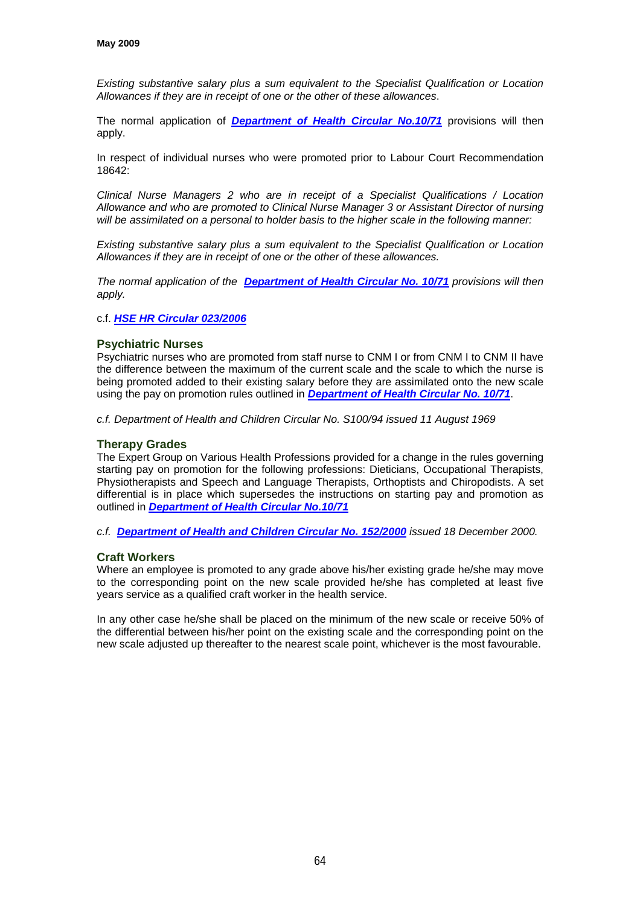*Existing substantive salary plus a sum equivalent to the Specialist Qualification or Location Allowances if they are in receipt of one or the other of these allowances*.

The normal application of *Department [of Health Circular](http://www.hseea.ie//Circulars/71_03_29_DOH_10_Appointment and Conditions of Service of Officers and Servants under HBs1.pdf) No.10/71* provisions will then apply.

In respect of individual nurses who were promoted prior to Labour Court Recommendation 18642:

*Clinical Nurse Managers 2 who are in receipt of a Specialist Qualifications / Location Allowance and who are promoted to Clinical Nurse Manager 3 or Assistant Director of nursing will be assimilated on a personal to holder basis to the higher scale in the following manner:* 

*Existing substantive salary plus a sum equivalent to the Specialist Qualification or Location Allowances if they are in receipt of one or the other of these allowances.* 

*The normal application of the [Department of Health Circular No. 10/71](http://www.hseea.ie//Circulars/71_03_29_DOH_10_Appointment and Conditions of Service of Officers and Servants under HBs1.pdf) provisions will then apply.*

c.f. *[HSE HR Circular 023/2006](http://www.hseea.ie//Circulars/06.12.31.Starting Pay on Promotion - Clinical Nurse Mangers 2 who are in receipt of Specialist Qualifications Location Allowance.pdf)*

### **Psychiatric Nurses**

Psychiatric nurses who are promoted from staff nurse to CNM I or from CNM I to CNM II have the difference between the maximum of the current scale and the scale to which the nurse is being promoted added to their existing salary before they are assimilated onto the new scale using the pay on promotion rules outlined in *[Department of Health Circular No. 10/71](http://www.hseea.ie//Circulars/71_03_29_DOH_10_Appointment and Conditions of Service of Officers and Servants under HBs1.pdf)*.

*c.f. Department of Health and Children Circular No. S100/94 issued 11 August 1969* 

### **Therapy Grades**

The Expert Group on Various Health Professions provided for a change in the rules governing starting pay on promotion for the following professions: Dieticians, Occupational Therapists, Physiotherapists and Speech and Language Therapists, Orthoptists and Chiropodists. A set differential is in place which supersedes the instructions on starting pay and promotion as outlined in *[Department of Health Circular No.10/71](http://www.hseea.ie//Circulars/71_03_29_DOH_10_Appointment and Conditions of Service of Officers and Servants under HBs1.pdf)*

*c.f. [Department of Health and Children Circular No. 152/2000](http://www.hseea.ie/subNav.aspx?pid=circulars§ion=paramedical&year=2000) issued 18 December 2000.*

### **Craft Workers**

Where an employee is promoted to any grade above his/her existing grade he/she may move to the corresponding point on the new scale provided he/she has completed at least five years service as a qualified craft worker in the health service.

In any other case he/she shall be placed on the minimum of the new scale or receive 50% of the differential between his/her point on the existing scale and the corresponding point on the new scale adjusted up thereafter to the nearest scale point, whichever is the most favourable.